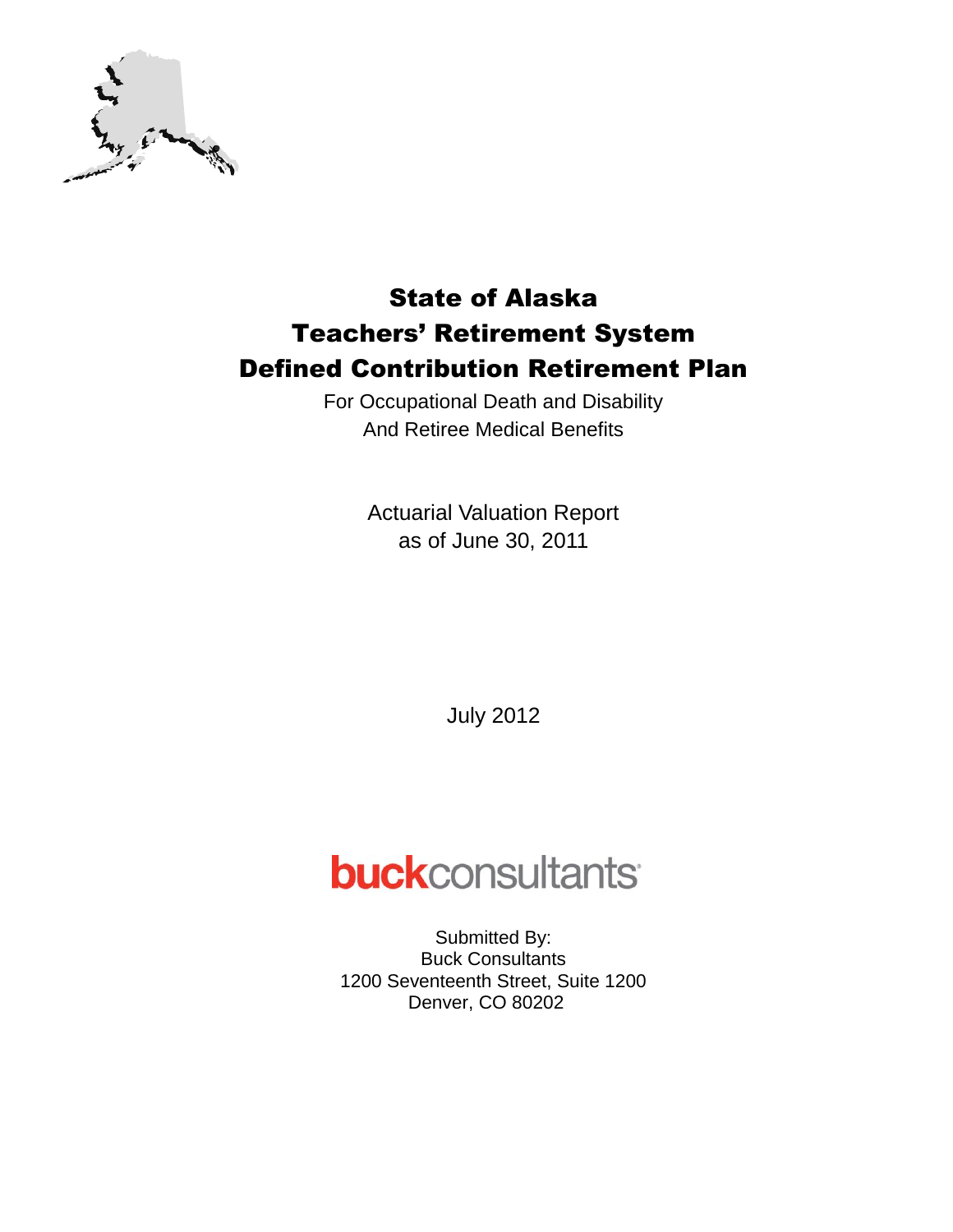

For Occupational Death and Disability And Retiree Medical Benefits

> Actuarial Valuation Report as of June 30, 2011

> > July 2012

# **buck**consultants

Submitted By: Buck Consultants 1200 Seventeenth Street, Suite 1200 Denver, CO 80202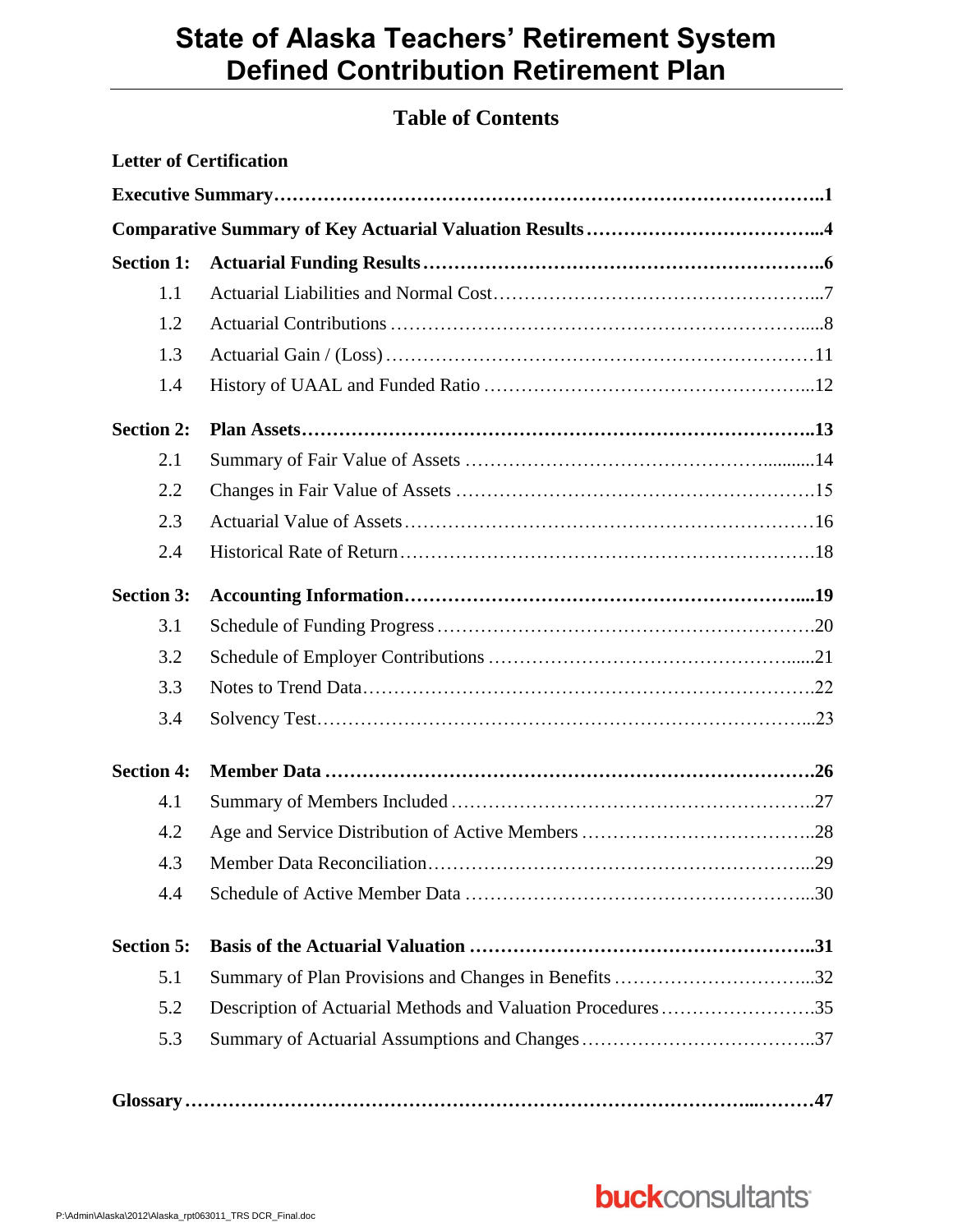### **Table of Contents**

|                   | <b>Letter of Certification</b>                              |  |
|-------------------|-------------------------------------------------------------|--|
|                   |                                                             |  |
|                   |                                                             |  |
| <b>Section 1:</b> |                                                             |  |
| 1.1               |                                                             |  |
| 1.2               |                                                             |  |
| 1.3               |                                                             |  |
| 1.4               |                                                             |  |
| <b>Section 2:</b> |                                                             |  |
| 2.1               |                                                             |  |
| 2.2               |                                                             |  |
| 2.3               |                                                             |  |
| 2.4               |                                                             |  |
| <b>Section 3:</b> |                                                             |  |
| 3.1               |                                                             |  |
| 3.2               |                                                             |  |
| 3.3               |                                                             |  |
| 3.4               |                                                             |  |
| <b>Section 4:</b> |                                                             |  |
| 4.1               |                                                             |  |
| 4.2               |                                                             |  |
| 4.3               |                                                             |  |
| 4.4               |                                                             |  |
| <b>Section 5:</b> |                                                             |  |
| 5.1               |                                                             |  |
| 5.2               | Description of Actuarial Methods and Valuation Procedures35 |  |
| 5.3               |                                                             |  |
|                   |                                                             |  |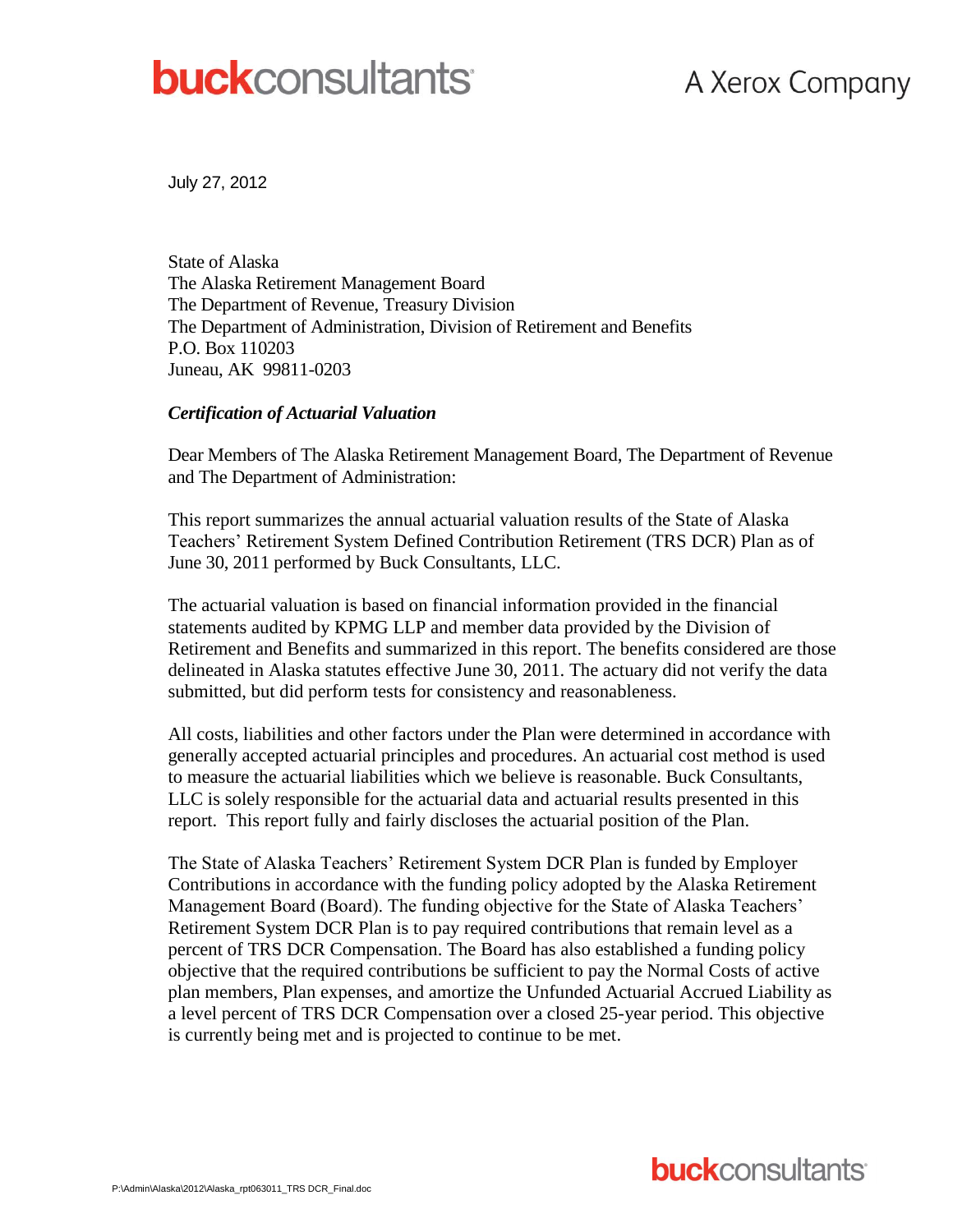# **buck**consultants

# A Xerox Company

July 27, 2012

State of Alaska The Alaska Retirement Management Board The Department of Revenue, Treasury Division The Department of Administration, Division of Retirement and Benefits P.O. Box 110203 Juneau, AK 99811-0203

#### *Certification of Actuarial Valuation*

Dear Members of The Alaska Retirement Management Board, The Department of Revenue and The Department of Administration:

This report summarizes the annual actuarial valuation results of the State of Alaska Teachers' Retirement System Defined Contribution Retirement (TRS DCR) Plan as of June 30, 2011 performed by Buck Consultants, LLC.

The actuarial valuation is based on financial information provided in the financial statements audited by KPMG LLP and member data provided by the Division of Retirement and Benefits and summarized in this report. The benefits considered are those delineated in Alaska statutes effective June 30, 2011. The actuary did not verify the data submitted, but did perform tests for consistency and reasonableness.

All costs, liabilities and other factors under the Plan were determined in accordance with generally accepted actuarial principles and procedures. An actuarial cost method is used to measure the actuarial liabilities which we believe is reasonable. Buck Consultants, LLC is solely responsible for the actuarial data and actuarial results presented in this report. This report fully and fairly discloses the actuarial position of the Plan.

The State of Alaska Teachers' Retirement System DCR Plan is funded by Employer Contributions in accordance with the funding policy adopted by the Alaska Retirement Management Board (Board). The funding objective for the State of Alaska Teachers' Retirement System DCR Plan is to pay required contributions that remain level as a percent of TRS DCR Compensation. The Board has also established a funding policy objective that the required contributions be sufficient to pay the Normal Costs of active plan members, Plan expenses, and amortize the Unfunded Actuarial Accrued Liability as a level percent of TRS DCR Compensation over a closed 25-year period. This objective is currently being met and is projected to continue to be met.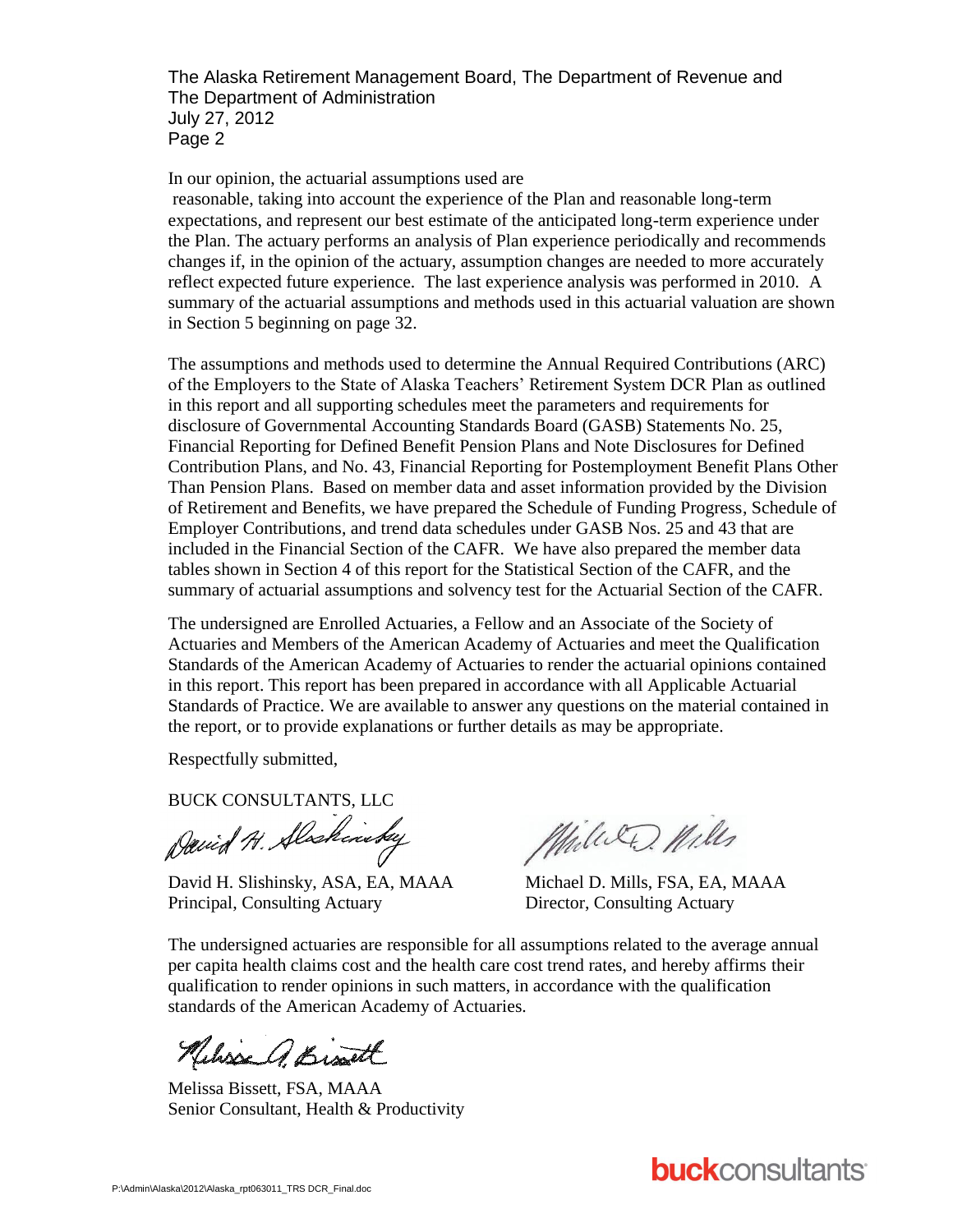The Alaska Retirement Management Board, The Department of Revenue and The Department of Administration July 27, 2012 Page 2

In our opinion, the actuarial assumptions used are

reasonable, taking into account the experience of the Plan and reasonable long-term expectations, and represent our best estimate of the anticipated long-term experience under the Plan. The actuary performs an analysis of Plan experience periodically and recommends changes if, in the opinion of the actuary, assumption changes are needed to more accurately reflect expected future experience. The last experience analysis was performed in 2010. A summary of the actuarial assumptions and methods used in this actuarial valuation are shown in Section 5 beginning on page 32.

The assumptions and methods used to determine the Annual Required Contributions (ARC) of the Employers to the State of Alaska Teachers' Retirement System DCR Plan as outlined in this report and all supporting schedules meet the parameters and requirements for disclosure of Governmental Accounting Standards Board (GASB) Statements No. 25, Financial Reporting for Defined Benefit Pension Plans and Note Disclosures for Defined Contribution Plans, and No. 43, Financial Reporting for Postemployment Benefit Plans Other Than Pension Plans. Based on member data and asset information provided by the Division of Retirement and Benefits, we have prepared the Schedule of Funding Progress, Schedule of Employer Contributions, and trend data schedules under GASB Nos. 25 and 43 that are included in the Financial Section of the CAFR. We have also prepared the member data tables shown in Section 4 of this report for the Statistical Section of the CAFR, and the summary of actuarial assumptions and solvency test for the Actuarial Section of the CAFR.

The undersigned are Enrolled Actuaries, a Fellow and an Associate of the Society of Actuaries and Members of the American Academy of Actuaries and meet the Qualification Standards of the American Academy of Actuaries to render the actuarial opinions contained in this report. This report has been prepared in accordance with all Applicable Actuarial Standards of Practice. We are available to answer any questions on the material contained in the report, or to provide explanations or further details as may be appropriate.

Respectfully submitted,

BUCK CONSULTANTS, LLC

David H. Alaskinsky

David H. Slishinsky, ASA, EA, MAAA Michael D. Mills, FSA, EA, MAAA Principal, Consulting Actuary Director, Consulting Actuary

Miller Mills

The undersigned actuaries are responsible for all assumptions related to the average annual per capita health claims cost and the health care cost trend rates, and hereby affirms their qualification to render opinions in such matters, in accordance with the qualification standards of the American Academy of Actuaries.

Melisse A. Bissett

Melissa Bissett, FSA, MAAA Senior Consultant, Health & Productivity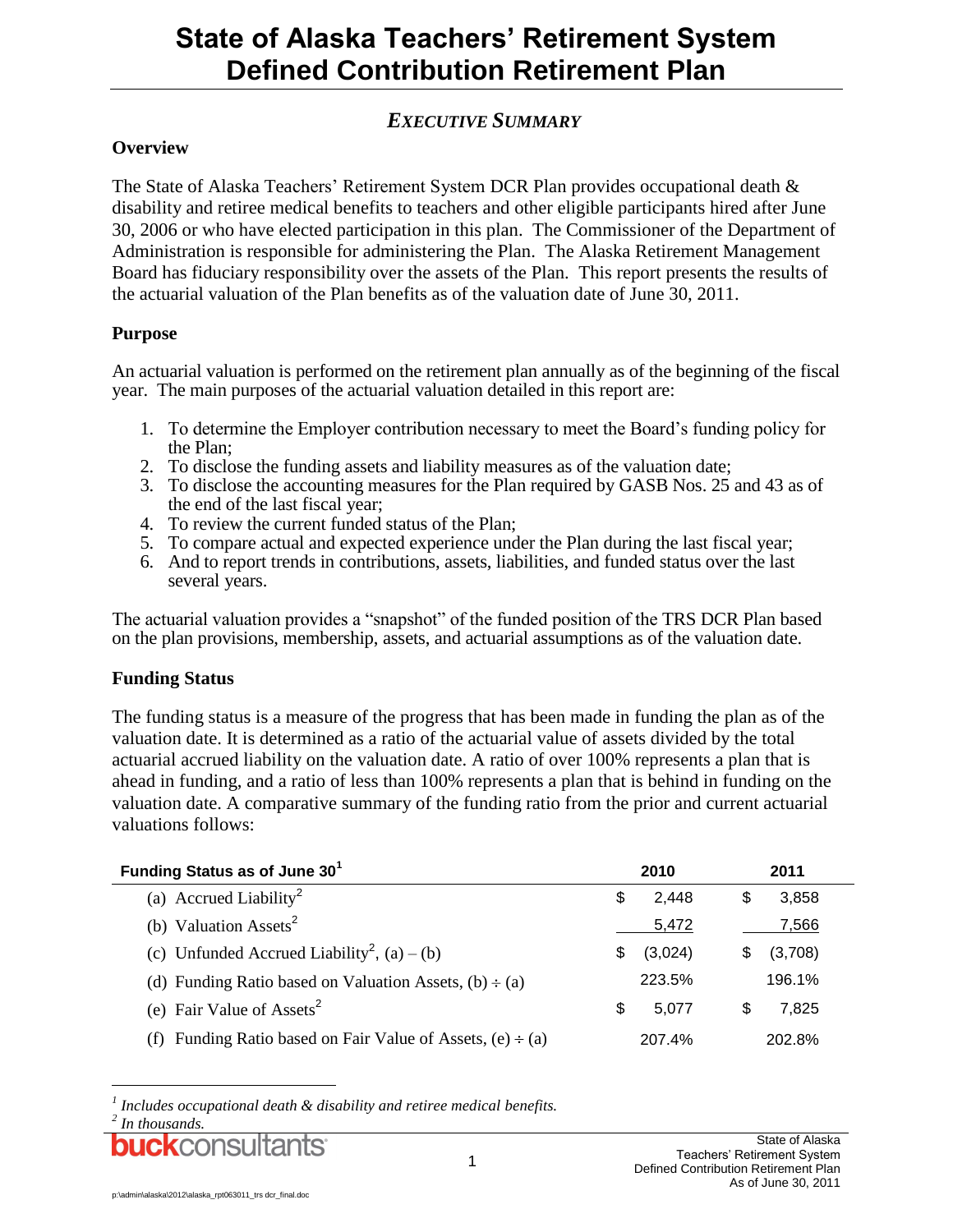### *EXECUTIVE SUMMARY*

#### **Overview**

The State of Alaska Teachers' Retirement System DCR Plan provides occupational death & disability and retiree medical benefits to teachers and other eligible participants hired after June 30, 2006 or who have elected participation in this plan. The Commissioner of the Department of Administration is responsible for administering the Plan. The Alaska Retirement Management Board has fiduciary responsibility over the assets of the Plan. This report presents the results of the actuarial valuation of the Plan benefits as of the valuation date of June 30, 2011.

#### **Purpose**

An actuarial valuation is performed on the retirement plan annually as of the beginning of the fiscal year. The main purposes of the actuarial valuation detailed in this report are:

- 1. To determine the Employer contribution necessary to meet the Board's funding policy for the Plan;
- 2. To disclose the funding assets and liability measures as of the valuation date;
- 3. To disclose the accounting measures for the Plan required by GASB Nos. 25 and 43 as of the end of the last fiscal year;
- 4. To review the current funded status of the Plan;
- 5. To compare actual and expected experience under the Plan during the last fiscal year;
- 6. And to report trends in contributions, assets, liabilities, and funded status over the last several years.

The actuarial valuation provides a "snapshot" of the funded position of the TRS DCR Plan based on the plan provisions, membership, assets, and actuarial assumptions as of the valuation date.

#### **Funding Status**

The funding status is a measure of the progress that has been made in funding the plan as of the valuation date. It is determined as a ratio of the actuarial value of assets divided by the total actuarial accrued liability on the valuation date. A ratio of over 100% represents a plan that is ahead in funding, and a ratio of less than 100% represents a plan that is behind in funding on the valuation date. A comparative summary of the funding ratio from the prior and current actuarial valuations follows:

| Funding Status as of June 30 <sup>1</sup>                       |   | 2010    | 2011 |         |  |
|-----------------------------------------------------------------|---|---------|------|---------|--|
| (a) Accrued Liability <sup>2</sup>                              | S | 2,448   | S    | 3,858   |  |
| (b) Valuation Assets <sup>2</sup>                               |   | 5,472   |      | 7.566   |  |
| (c) Unfunded Accrued Liability <sup>2</sup> , (a) – (b)         |   | (3,024) | S    | (3,708) |  |
| (d) Funding Ratio based on Valuation Assets, $(b) \div (a)$     |   | 223.5%  |      | 196.1%  |  |
| (e) Fair Value of Assets <sup>2</sup>                           | S | 5.077   | S    | 7.825   |  |
| (f) Funding Ratio based on Fair Value of Assets, $(e) \div (a)$ |   | 207.4%  |      | 202.8%  |  |

*<sup>1</sup> Includes occupational death & disability and retiree medical benefits.*

*<sup>2</sup> In thousands.*

**CK**CONSI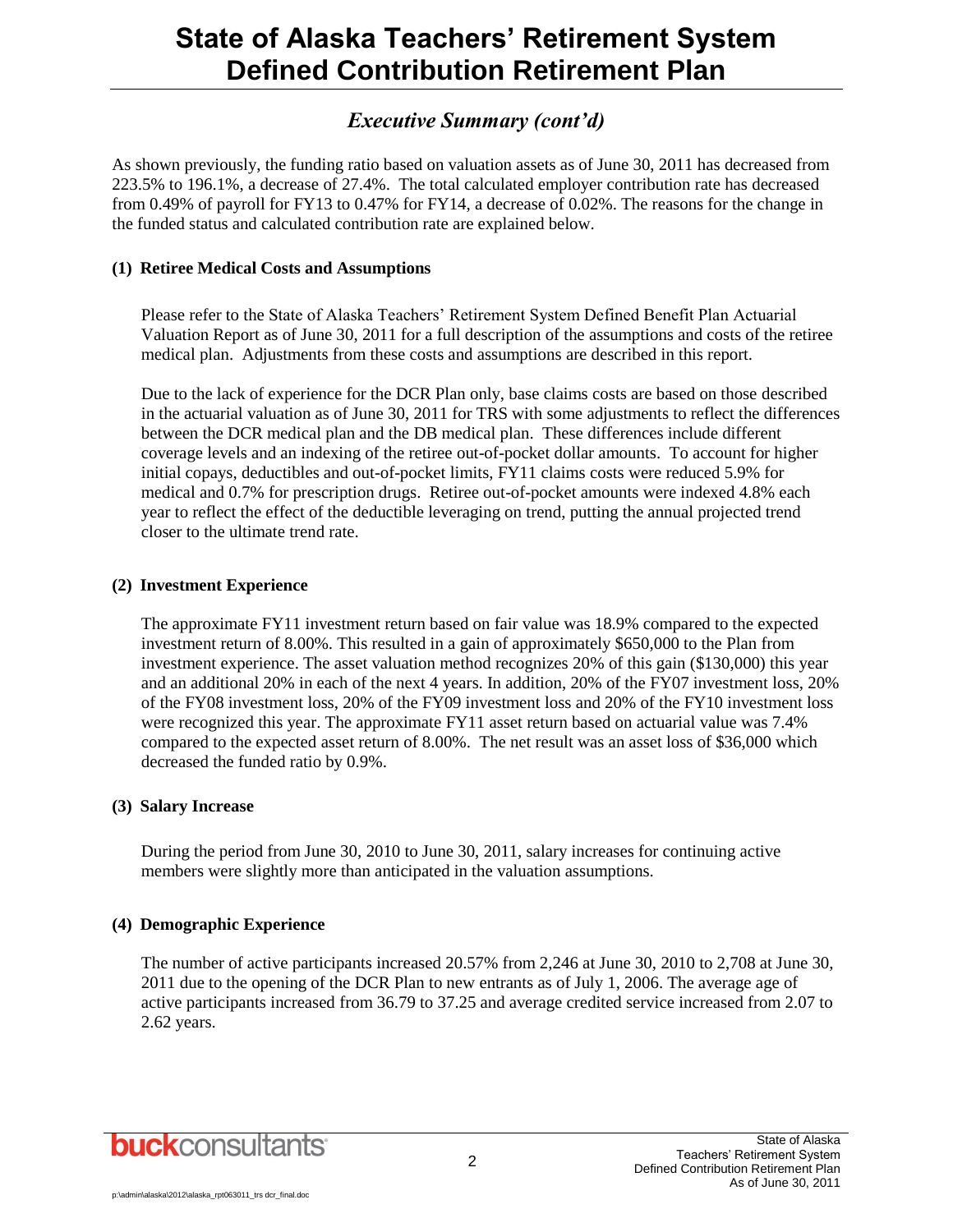### *Executive Summary (cont'd)*

As shown previously, the funding ratio based on valuation assets as of June 30, 2011 has decreased from 223.5% to 196.1%, a decrease of 27.4%. The total calculated employer contribution rate has decreased from 0.49% of payroll for FY13 to 0.47% for FY14, a decrease of 0.02%. The reasons for the change in the funded status and calculated contribution rate are explained below.

#### **(1) Retiree Medical Costs and Assumptions**

Please refer to the State of Alaska Teachers' Retirement System Defined Benefit Plan Actuarial Valuation Report as of June 30, 2011 for a full description of the assumptions and costs of the retiree medical plan. Adjustments from these costs and assumptions are described in this report.

Due to the lack of experience for the DCR Plan only, base claims costs are based on those described in the actuarial valuation as of June 30, 2011 for TRS with some adjustments to reflect the differences between the DCR medical plan and the DB medical plan. These differences include different coverage levels and an indexing of the retiree out-of-pocket dollar amounts. To account for higher initial copays, deductibles and out-of-pocket limits, FY11 claims costs were reduced 5.9% for medical and 0.7% for prescription drugs. Retiree out-of-pocket amounts were indexed 4.8% each year to reflect the effect of the deductible leveraging on trend, putting the annual projected trend closer to the ultimate trend rate.

#### **(2) Investment Experience**

The approximate FY11 investment return based on fair value was 18.9% compared to the expected investment return of 8.00%. This resulted in a gain of approximately \$650,000 to the Plan from investment experience. The asset valuation method recognizes 20% of this gain (\$130,000) this year and an additional 20% in each of the next 4 years. In addition, 20% of the FY07 investment loss, 20% of the FY08 investment loss, 20% of the FY09 investment loss and 20% of the FY10 investment loss were recognized this year. The approximate FY11 asset return based on actuarial value was 7.4% compared to the expected asset return of 8.00%. The net result was an asset loss of \$36,000 which decreased the funded ratio by 0.9%.

#### **(3) Salary Increase**

During the period from June 30, 2010 to June 30, 2011, salary increases for continuing active members were slightly more than anticipated in the valuation assumptions.

#### **(4) Demographic Experience**

The number of active participants increased 20.57% from 2,246 at June 30, 2010 to 2,708 at June 30, 2011 due to the opening of the DCR Plan to new entrants as of July 1, 2006. The average age of active participants increased from 36.79 to 37.25 and average credited service increased from 2.07 to 2.62 years.

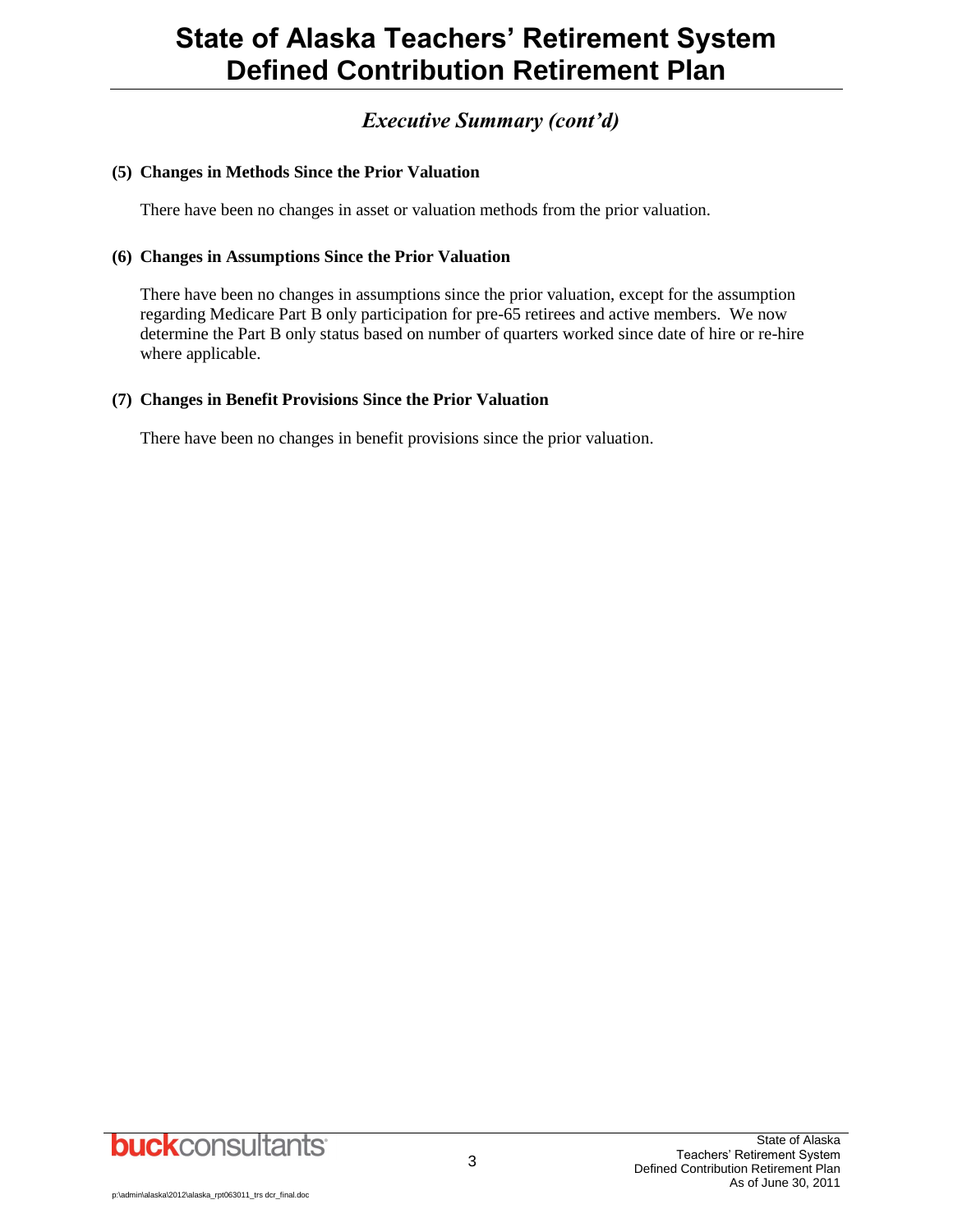### *Executive Summary (cont'd)*

#### **(5) Changes in Methods Since the Prior Valuation**

There have been no changes in asset or valuation methods from the prior valuation.

#### **(6) Changes in Assumptions Since the Prior Valuation**

There have been no changes in assumptions since the prior valuation, except for the assumption regarding Medicare Part B only participation for pre-65 retirees and active members. We now determine the Part B only status based on number of quarters worked since date of hire or re-hire where applicable.

#### **(7) Changes in Benefit Provisions Since the Prior Valuation**

There have been no changes in benefit provisions since the prior valuation.

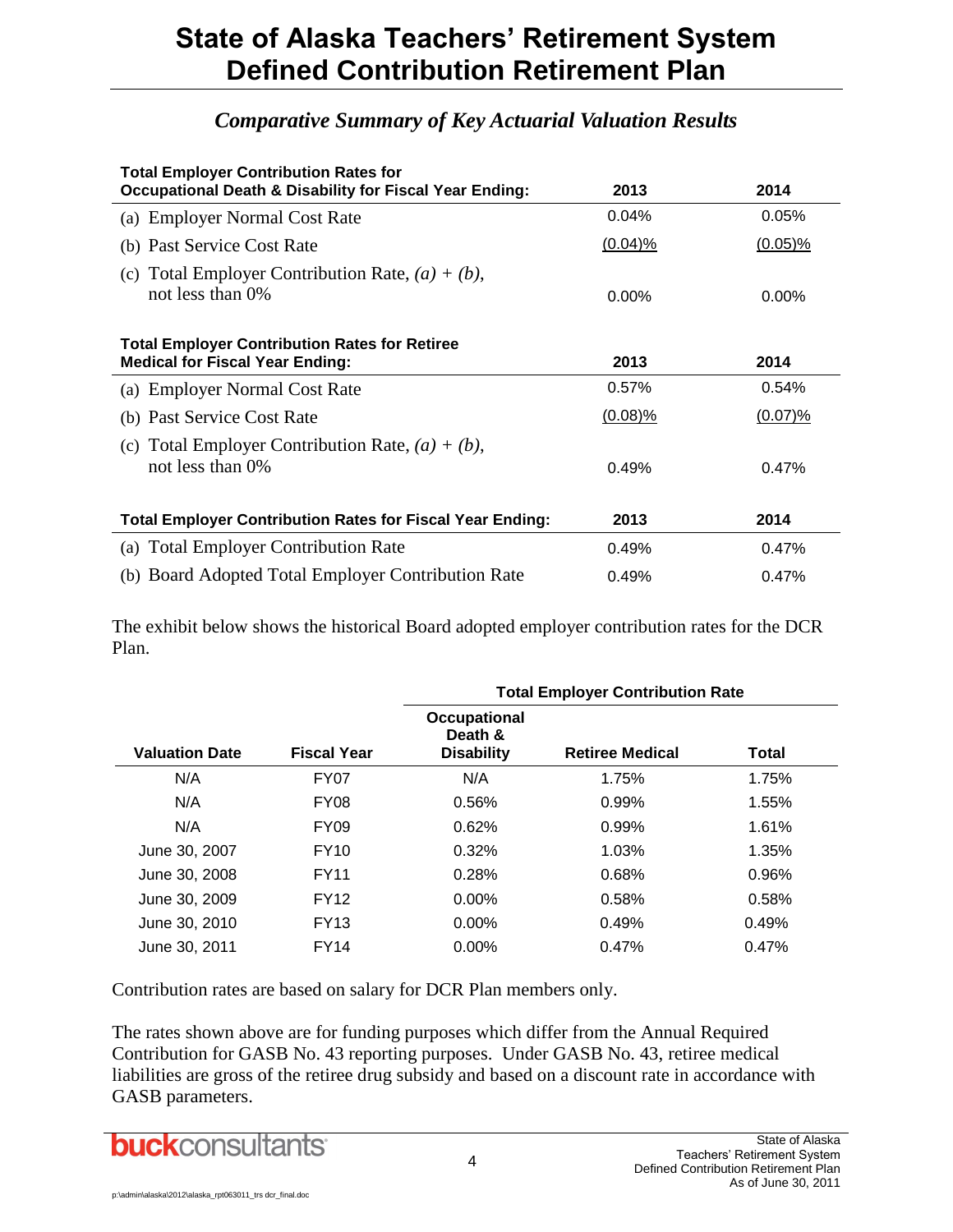### *Comparative Summary of Key Actuarial Valuation Results*

| <b>Total Employer Contribution Rates for</b><br><b>Occupational Death &amp; Disability for Fiscal Year Ending:</b> | 2013       | 2014       |
|--------------------------------------------------------------------------------------------------------------------|------------|------------|
| (a) Employer Normal Cost Rate                                                                                      | 0.04%      | 0.05%      |
| (b) Past Service Cost Rate                                                                                         | $(0.04)$ % | $(0.05)\%$ |
| (c) Total Employer Contribution Rate, $(a) + (b)$ ,<br>not less than 0\%                                           | $0.00\%$   | $0.00\%$   |
| <b>Total Employer Contribution Rates for Retiree</b><br><b>Medical for Fiscal Year Ending:</b>                     | 2013       | 2014       |
| (a) Employer Normal Cost Rate                                                                                      | 0.57%      | 0.54%      |
| (b) Past Service Cost Rate                                                                                         | $(0.08)\%$ | $(0.07)$ % |
| (c) Total Employer Contribution Rate, $(a) + (b)$ ,<br>not less than 0%                                            | 0.49%      | 0.47%      |
| <b>Total Employer Contribution Rates for Fiscal Year Ending:</b>                                                   | 2013       | 2014       |
| (a) Total Employer Contribution Rate                                                                               | 0.49%      | 0.47%      |
| (b) Board Adopted Total Employer Contribution Rate                                                                 | 0.49%      | 0.47%      |

The exhibit below shows the historical Board adopted employer contribution rates for the DCR Plan.

|                       |                    | <b>Total Employer Contribution Rate</b>             |                        |              |  |  |  |  |  |
|-----------------------|--------------------|-----------------------------------------------------|------------------------|--------------|--|--|--|--|--|
| <b>Valuation Date</b> | <b>Fiscal Year</b> | <b>Occupational</b><br>Death &<br><b>Disability</b> | <b>Retiree Medical</b> | <b>Total</b> |  |  |  |  |  |
| N/A                   | FY <sub>0</sub> 7  | N/A                                                 | 1.75%                  | 1.75%        |  |  |  |  |  |
| N/A                   | FY <sub>08</sub>   | 0.56%                                               | 0.99%                  | 1.55%        |  |  |  |  |  |
| N/A                   | <b>FY09</b>        | 0.62%                                               | 0.99%                  | 1.61%        |  |  |  |  |  |
| June 30, 2007         | <b>FY10</b>        | 0.32%                                               | 1.03%                  | 1.35%        |  |  |  |  |  |
| June 30, 2008         | <b>FY11</b>        | 0.28%                                               | 0.68%                  | 0.96%        |  |  |  |  |  |
| June 30, 2009         | <b>FY12</b>        | $0.00\%$                                            | 0.58%                  | 0.58%        |  |  |  |  |  |
| June 30, 2010         | <b>FY13</b>        | $0.00\%$                                            | 0.49%                  | 0.49%        |  |  |  |  |  |
| June 30, 2011         | <b>FY14</b>        | $0.00\%$                                            | 0.47%                  | 0.47%        |  |  |  |  |  |

Contribution rates are based on salary for DCR Plan members only.

The rates shown above are for funding purposes which differ from the Annual Required Contribution for GASB No. 43 reporting purposes. Under GASB No. 43, retiree medical liabilities are gross of the retiree drug subsidy and based on a discount rate in accordance with GASB parameters.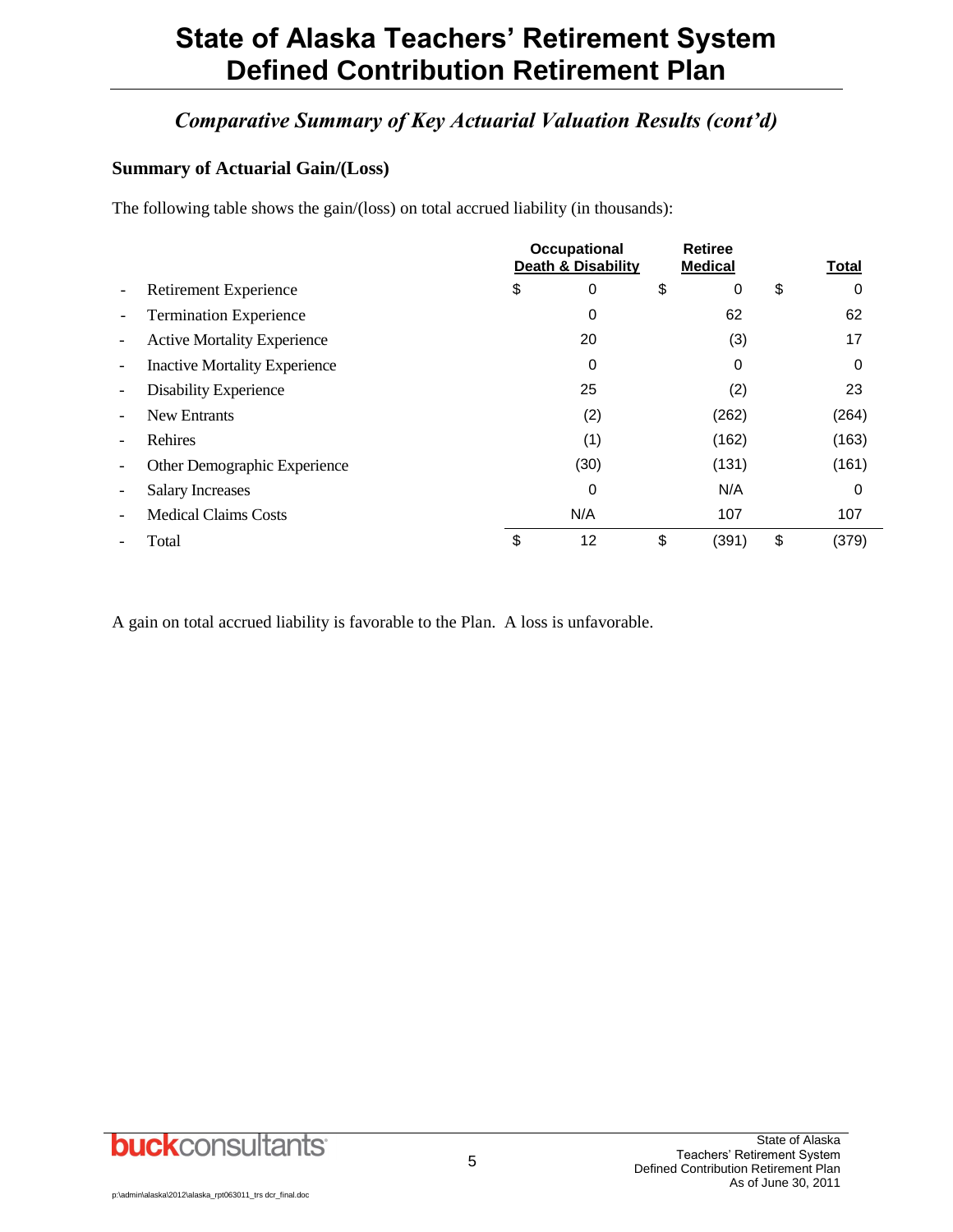## *Comparative Summary of Key Actuarial Valuation Results (cont'd)*

#### **Summary of Actuarial Gain/(Loss)**

The following table shows the gain/(loss) on total accrued liability (in thousands):

|                          |                                      | <b>Occupational</b><br><b>Death &amp; Disability</b> |      | <b>Retiree</b><br><b>Medical</b> | <b>Total</b> |       |
|--------------------------|--------------------------------------|------------------------------------------------------|------|----------------------------------|--------------|-------|
| $\overline{\phantom{0}}$ | <b>Retirement Experience</b>         | \$                                                   | 0    | \$<br>0                          | \$           | 0     |
|                          | <b>Termination Experience</b>        |                                                      | 0    | 62                               |              | 62    |
| $\overline{\phantom{a}}$ | <b>Active Mortality Experience</b>   |                                                      | 20   | (3)                              |              | 17    |
| $\overline{\phantom{a}}$ | <b>Inactive Mortality Experience</b> |                                                      | 0    | 0                                |              | 0     |
| $\overline{\phantom{a}}$ | <b>Disability Experience</b>         |                                                      | 25   | (2)                              |              | 23    |
| $\overline{\phantom{0}}$ | <b>New Entrants</b>                  |                                                      | (2)  | (262)                            |              | (264) |
|                          | Rehires                              |                                                      | (1)  | (162)                            |              | (163) |
|                          | Other Demographic Experience         |                                                      | (30) | (131)                            |              | (161) |
| $\overline{\phantom{a}}$ | <b>Salary Increases</b>              |                                                      | 0    | N/A                              |              | 0     |
|                          | <b>Medical Claims Costs</b>          |                                                      | N/A  | 107                              |              | 107   |
|                          | Total                                | \$                                                   | 12   | \$<br>(391)                      | \$           | (379) |

A gain on total accrued liability is favorable to the Plan. A loss is unfavorable.

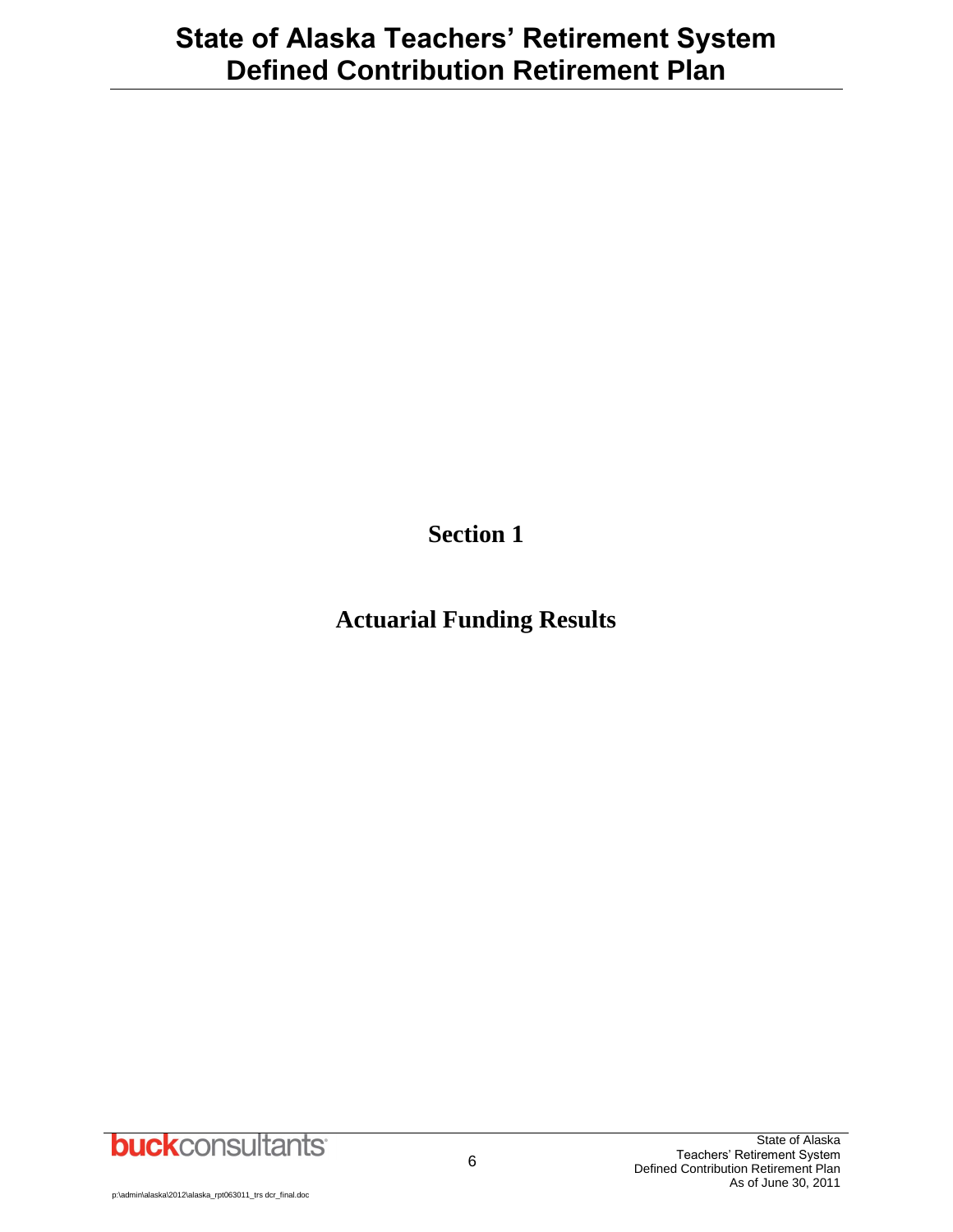**Section 1**

# **Actuarial Funding Results**

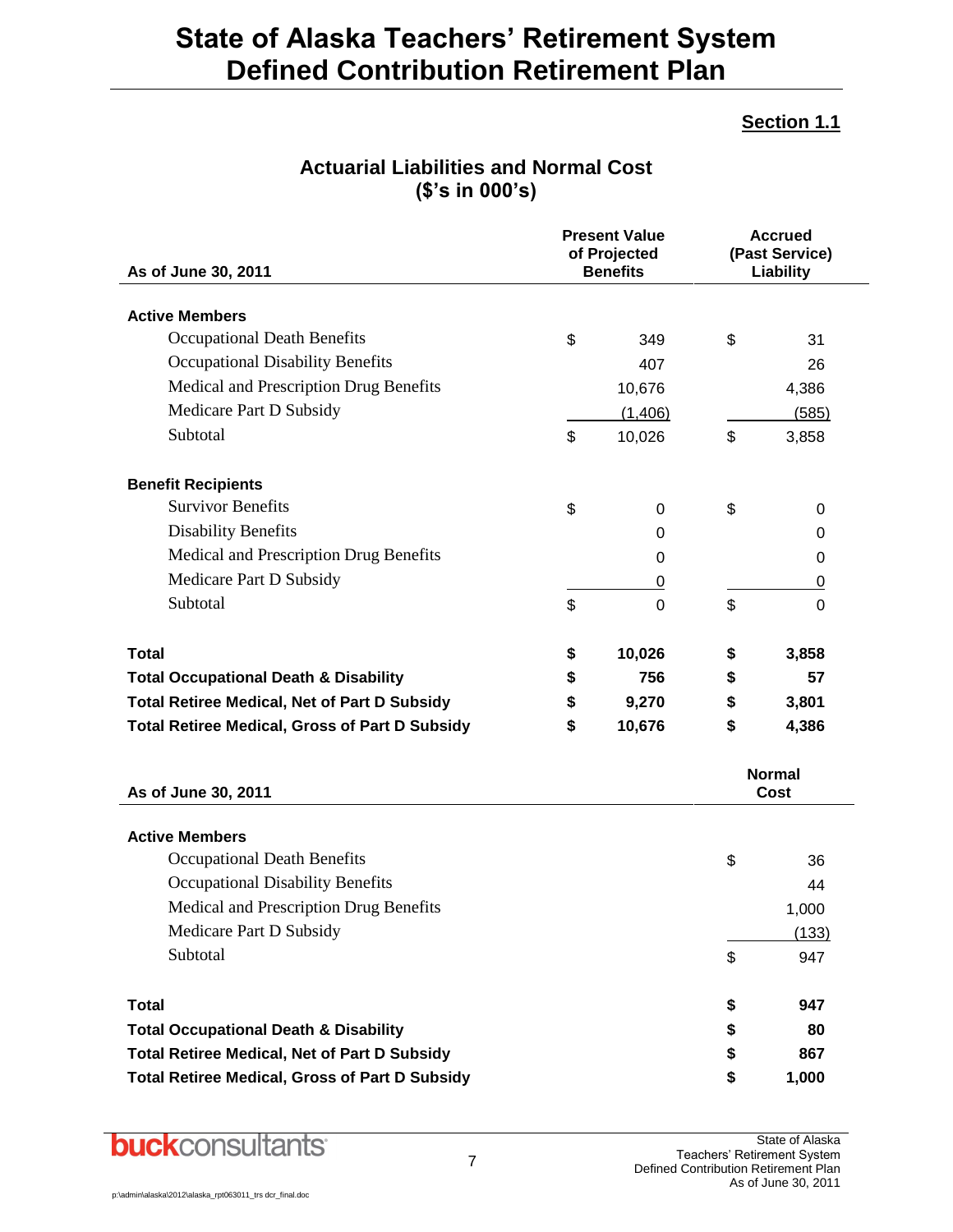### **Section 1.1**

| <b>Present Value</b><br>of Projected<br>As of June 30, 2011<br><b>Benefits</b> |    |         | <b>Accrued</b><br>(Past Service)<br>Liability |                       |  |  |
|--------------------------------------------------------------------------------|----|---------|-----------------------------------------------|-----------------------|--|--|
| <b>Active Members</b>                                                          |    |         |                                               |                       |  |  |
| <b>Occupational Death Benefits</b>                                             | \$ | 349     | \$                                            | 31                    |  |  |
| Occupational Disability Benefits                                               |    | 407     |                                               | 26                    |  |  |
| Medical and Prescription Drug Benefits                                         |    | 10,676  |                                               | 4,386                 |  |  |
| Medicare Part D Subsidy                                                        |    | (1,406) |                                               | (585)                 |  |  |
| Subtotal                                                                       | \$ | 10,026  | \$                                            | 3,858                 |  |  |
| <b>Benefit Recipients</b>                                                      |    |         |                                               |                       |  |  |
| <b>Survivor Benefits</b>                                                       | \$ | 0       | \$                                            | 0                     |  |  |
| <b>Disability Benefits</b>                                                     |    | 0       |                                               | 0                     |  |  |
| Medical and Prescription Drug Benefits                                         |    | 0       |                                               | 0                     |  |  |
| Medicare Part D Subsidy                                                        |    | 0       |                                               | $\overline{0}$        |  |  |
| Subtotal                                                                       | \$ | 0       | \$                                            | 0                     |  |  |
| Total                                                                          | \$ | 10,026  | \$                                            | 3,858                 |  |  |
| <b>Total Occupational Death &amp; Disability</b>                               | \$ | 756     | \$                                            | 57                    |  |  |
| <b>Total Retiree Medical, Net of Part D Subsidy</b>                            | \$ | 9,270   | \$                                            | 3,801                 |  |  |
| <b>Total Retiree Medical, Gross of Part D Subsidy</b>                          | \$ | 10,676  | \$                                            | 4,386                 |  |  |
| As of June 30, 2011                                                            |    |         |                                               | <b>Normal</b><br>Cost |  |  |
| <b>Active Members</b>                                                          |    |         |                                               |                       |  |  |
| Occupational Death Benefits                                                    |    |         | \$                                            | 36                    |  |  |
| <b>Occupational Disability Benefits</b>                                        |    |         |                                               | 44                    |  |  |
| Medical and Prescription Drug Benefits                                         |    |         |                                               | 1,000                 |  |  |
| Medicare Part D Subsidy                                                        |    |         |                                               | (133)                 |  |  |
| Subtotal                                                                       |    |         | \$                                            | 947                   |  |  |
| <b>Total</b>                                                                   |    |         | \$                                            | 947                   |  |  |
| <b>Total Occupational Death &amp; Disability</b>                               |    |         | \$                                            | 80                    |  |  |
| <b>Total Retiree Medical, Net of Part D Subsidy</b>                            |    |         | \$                                            | 867                   |  |  |
| <b>Total Retiree Medical, Gross of Part D Subsidy</b>                          |    |         | \$                                            | 1,000                 |  |  |

### **Actuarial Liabilities and Normal Cost (\$'s in 000's)**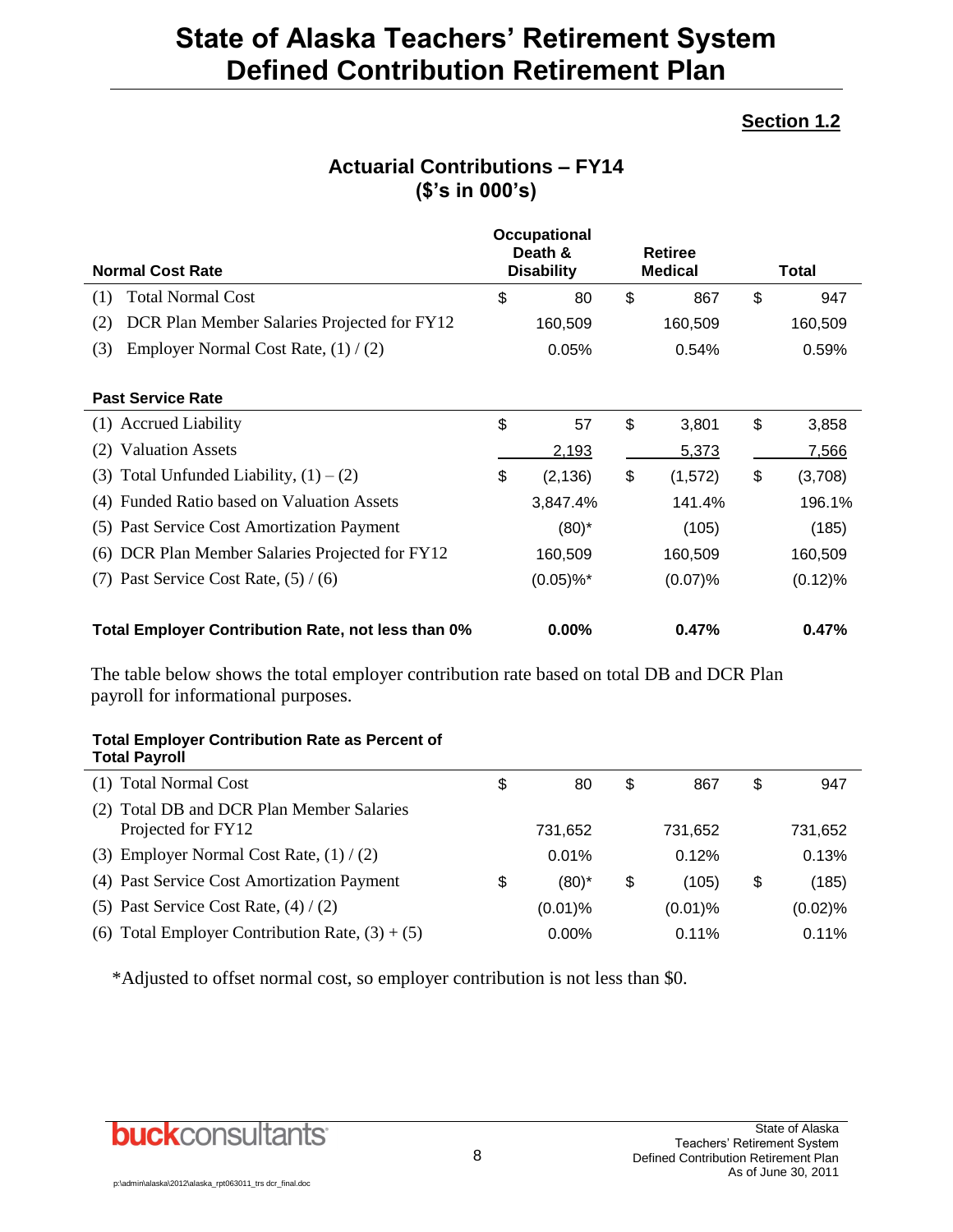### **Section 1.2**

|                                                    |    | Occupational<br>Death &  | <b>Retiree</b> |                |              |            |
|----------------------------------------------------|----|--------------------------|----------------|----------------|--------------|------------|
| <b>Normal Cost Rate</b>                            |    | <b>Disability</b>        |                | <b>Medical</b> | <b>Total</b> |            |
| <b>Total Normal Cost</b><br>(1)                    | \$ | 80                       | \$             | 867            | \$           | 947        |
| DCR Plan Member Salaries Projected for FY12<br>(2) |    | 160,509                  |                | 160,509        |              | 160,509    |
| Employer Normal Cost Rate, $(1) / (2)$<br>(3)      |    | 0.05%                    |                | 0.54%          |              | 0.59%      |
|                                                    |    |                          |                |                |              |            |
| <b>Past Service Rate</b>                           |    |                          |                |                |              |            |
| (1) Accrued Liability                              | \$ | 57                       | \$             | 3,801          | \$           | 3,858      |
| <b>Valuation Assets</b><br>(2)                     |    | 2,193                    |                | <u>5,373</u>   |              | 7,566      |
| Total Unfunded Liability, $(1) - (2)$<br>(3)       | \$ | (2, 136)                 | \$             | (1,572)        | \$           | (3,708)    |
| Funded Ratio based on Valuation Assets<br>(4)      |    | 3,847.4%                 |                | 141.4%         |              | 196.1%     |
| (5) Past Service Cost Amortization Payment         |    | $(80)^*$                 |                | (105)          |              | (185)      |
| DCR Plan Member Salaries Projected for FY12<br>(6) |    | 160,509                  |                | 160,509        |              | 160,509    |
| Past Service Cost Rate, $(5) / (6)$<br>(7)         |    | $(0.05) \%$ <sup>*</sup> |                | (0.07)%        |              | $(0.12)\%$ |
| Total Employer Contribution Rate, not less than 0% |    | $0.00\%$                 |                | 0.47%          |              | 0.47%      |

### **Actuarial Contributions – FY14 (\$'s in 000's)**

The table below shows the total employer contribution rate based on total DB and DCR Plan payroll for informational purposes.

#### **Total Employer Contribution Rate as Percent of Total Payroll**

| (1) Total Normal Cost                                              | \$<br>80       | \$<br>867   | \$ | 947     |
|--------------------------------------------------------------------|----------------|-------------|----|---------|
| Total DB and DCR Plan Member Salaries<br>(2)<br>Projected for FY12 | 731,652        | 731,652     |    | 731,652 |
| (3) Employer Normal Cost Rate, $(1) / (2)$                         | 0.01%          | 0.12%       |    | 0.13%   |
| (4) Past Service Cost Amortization Payment                         | \$<br>$(80)^*$ | \$<br>(105) | S  | (185)   |
| (5) Past Service Cost Rate, $(4) / (2)$                            | $(0.01)$ %     | $(0.01)\%$  |    | (0.02)% |
| (6) Total Employer Contribution Rate, $(3) + (5)$                  | $0.00\%$       | $0.11\%$    |    | 0.11%   |
|                                                                    |                |             |    |         |

\*Adjusted to offset normal cost, so employer contribution is not less than \$0.

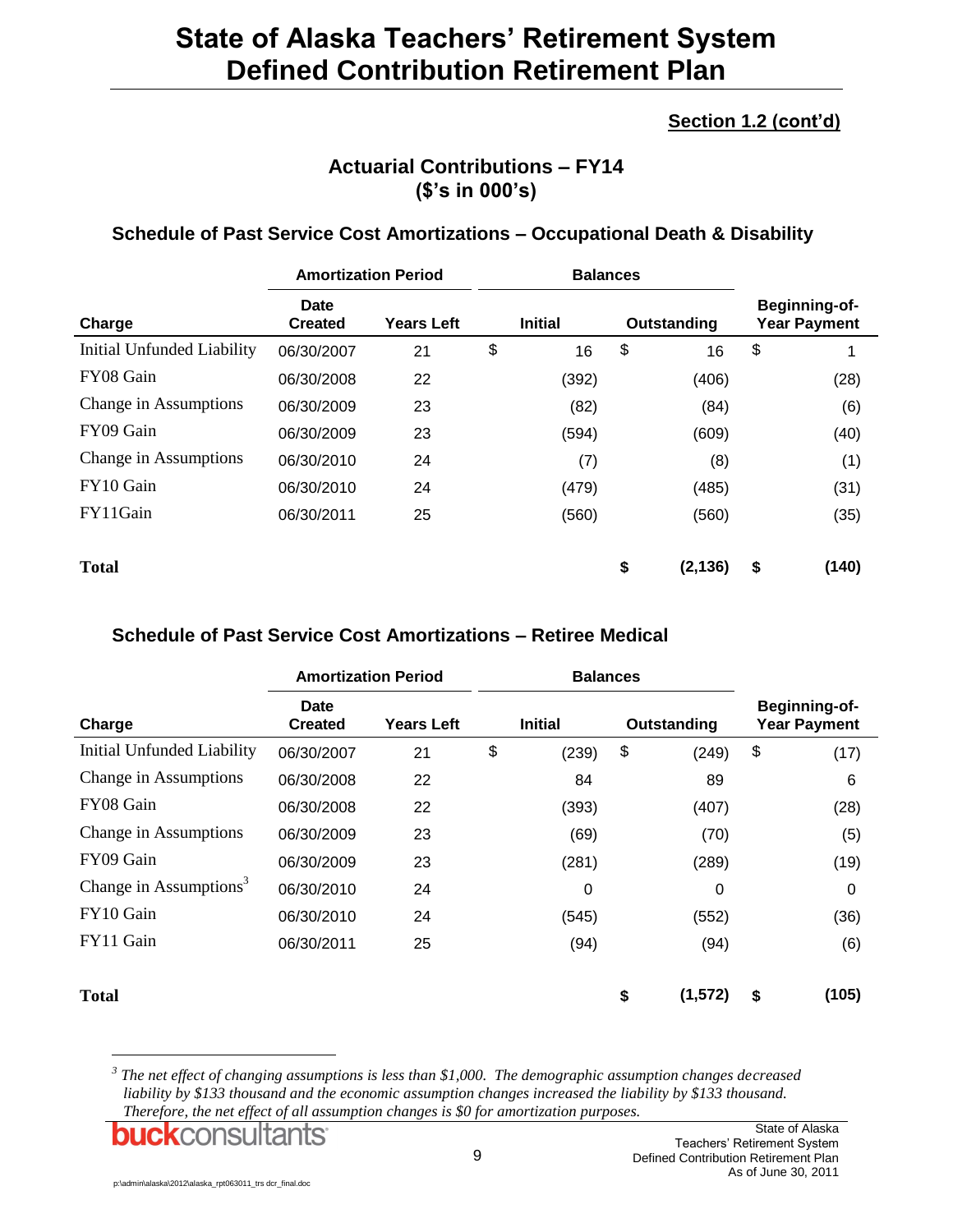### **Section 1.2 (cont'd)**

### **Actuarial Contributions – FY14 (\$'s in 000's)**

#### **Schedule of Past Service Cost Amortizations – Occupational Death & Disability**

|                            | <b>Amortization Period</b> |                   | <b>Balances</b> |                |    |             |                                             |
|----------------------------|----------------------------|-------------------|-----------------|----------------|----|-------------|---------------------------------------------|
| Charge                     | Date<br><b>Created</b>     | <b>Years Left</b> |                 | <b>Initial</b> |    | Outstanding | <b>Beginning-of-</b><br><b>Year Payment</b> |
| Initial Unfunded Liability | 06/30/2007                 | 21                | \$              | 16             | \$ | 16          | \$                                          |
| FY08 Gain                  | 06/30/2008                 | 22                |                 | (392)          |    | (406)       | (28)                                        |
| Change in Assumptions      | 06/30/2009                 | 23                |                 | (82)           |    | (84)        | (6)                                         |
| FY09 Gain                  | 06/30/2009                 | 23                |                 | (594)          |    | (609)       | (40)                                        |
| Change in Assumptions      | 06/30/2010                 | 24                |                 | (7)            |    | (8)         | (1)                                         |
| FY10 Gain                  | 06/30/2010                 | 24                |                 | (479)          |    | (485)       | (31)                                        |
| FY11Gain                   | 06/30/2011                 | 25                |                 | (560)          |    | (560)       | (35)                                        |
| <b>Total</b>               |                            |                   |                 |                | \$ | (2, 136)    | \$<br>(140)                                 |

#### **Schedule of Past Service Cost Amortizations – Retiree Medical**

|                                    | <b>Amortization Period</b>    |                                     | <b>Balances</b> |       |             |                                      |    |          |
|------------------------------------|-------------------------------|-------------------------------------|-----------------|-------|-------------|--------------------------------------|----|----------|
| Charge                             | <b>Date</b><br><b>Created</b> | <b>Years Left</b><br><b>Initial</b> |                 |       | Outstanding | Beginning-of-<br><b>Year Payment</b> |    |          |
| Initial Unfunded Liability         | 06/30/2007                    | 21                                  | \$              | (239) | \$          | (249)                                | \$ | (17)     |
| Change in Assumptions              | 06/30/2008                    | 22                                  |                 | 84    |             | 89                                   |    | 6        |
| FY08 Gain                          | 06/30/2008                    | 22                                  |                 | (393) |             | (407)                                |    | (28)     |
| Change in Assumptions              | 06/30/2009                    | 23                                  |                 | (69)  |             | (70)                                 |    | (5)      |
| FY09 Gain                          | 06/30/2009                    | 23                                  |                 | (281) |             | (289)                                |    | (19)     |
| Change in Assumptions <sup>3</sup> | 06/30/2010                    | 24                                  |                 | 0     |             | 0                                    |    | $\Omega$ |
| FY10 Gain                          | 06/30/2010                    | 24                                  |                 | (545) |             | (552)                                |    | (36)     |
| FY11 Gain                          | 06/30/2011                    | 25                                  |                 | (94)  |             | (94)                                 |    | (6)      |
| <b>Total</b>                       |                               |                                     |                 |       | \$          | (1,572)                              | \$ | (105)    |

*3 The net effect of changing assumptions is less than \$1,000. The demographic assumption changes decreased liability by \$133 thousand and the economic assumption changes increased the liability by \$133 thousand. Therefore, the net effect of all assumption changes is \$0 for amortization purposes.*

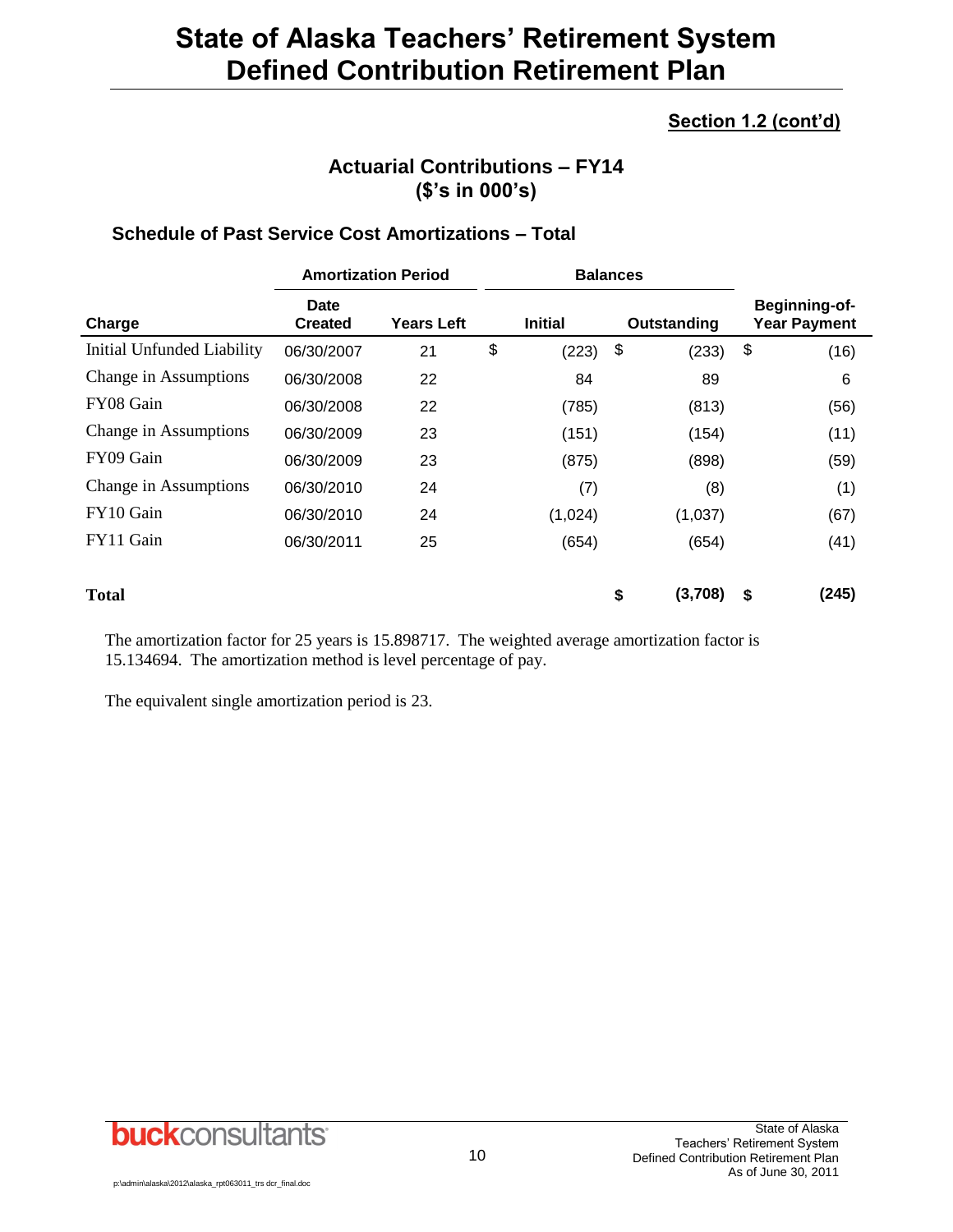### **Section 1.2 (cont'd)**

### **Actuarial Contributions – FY14 (\$'s in 000's)**

#### **Schedule of Past Service Cost Amortizations – Total**

|                            | <b>Amortization Period</b> |            |    |                | <b>Balances</b> |             |    |                                      |
|----------------------------|----------------------------|------------|----|----------------|-----------------|-------------|----|--------------------------------------|
| Charge                     | Date<br><b>Created</b>     | Years Left |    | <b>Initial</b> |                 | Outstanding |    | Beginning-of-<br><b>Year Payment</b> |
| Initial Unfunded Liability | 06/30/2007                 | 21         | \$ | (223)          | \$              | (233)       | \$ | (16)                                 |
| Change in Assumptions      | 06/30/2008                 | 22         |    | 84             |                 | 89          |    | 6                                    |
| FY08 Gain                  | 06/30/2008                 | 22         |    | (785)          |                 | (813)       |    | (56)                                 |
| Change in Assumptions      | 06/30/2009                 | 23         |    | (151)          |                 | (154)       |    | (11)                                 |
| FY09 Gain                  | 06/30/2009                 | 23         |    | (875)          |                 | (898)       |    | (59)                                 |
| Change in Assumptions      | 06/30/2010                 | 24         |    | (7)            |                 | (8)         |    | (1)                                  |
| FY10 Gain                  | 06/30/2010                 | 24         |    | (1,024)        |                 | (1,037)     |    | (67)                                 |
| FY11 Gain                  | 06/30/2011                 | 25         |    | (654)          |                 | (654)       |    | (41)                                 |
| <b>Total</b>               |                            |            |    |                | \$              | (3,708)     | \$ | (245)                                |

The amortization factor for 25 years is 15.898717. The weighted average amortization factor is 15.134694. The amortization method is level percentage of pay.

The equivalent single amortization period is 23.

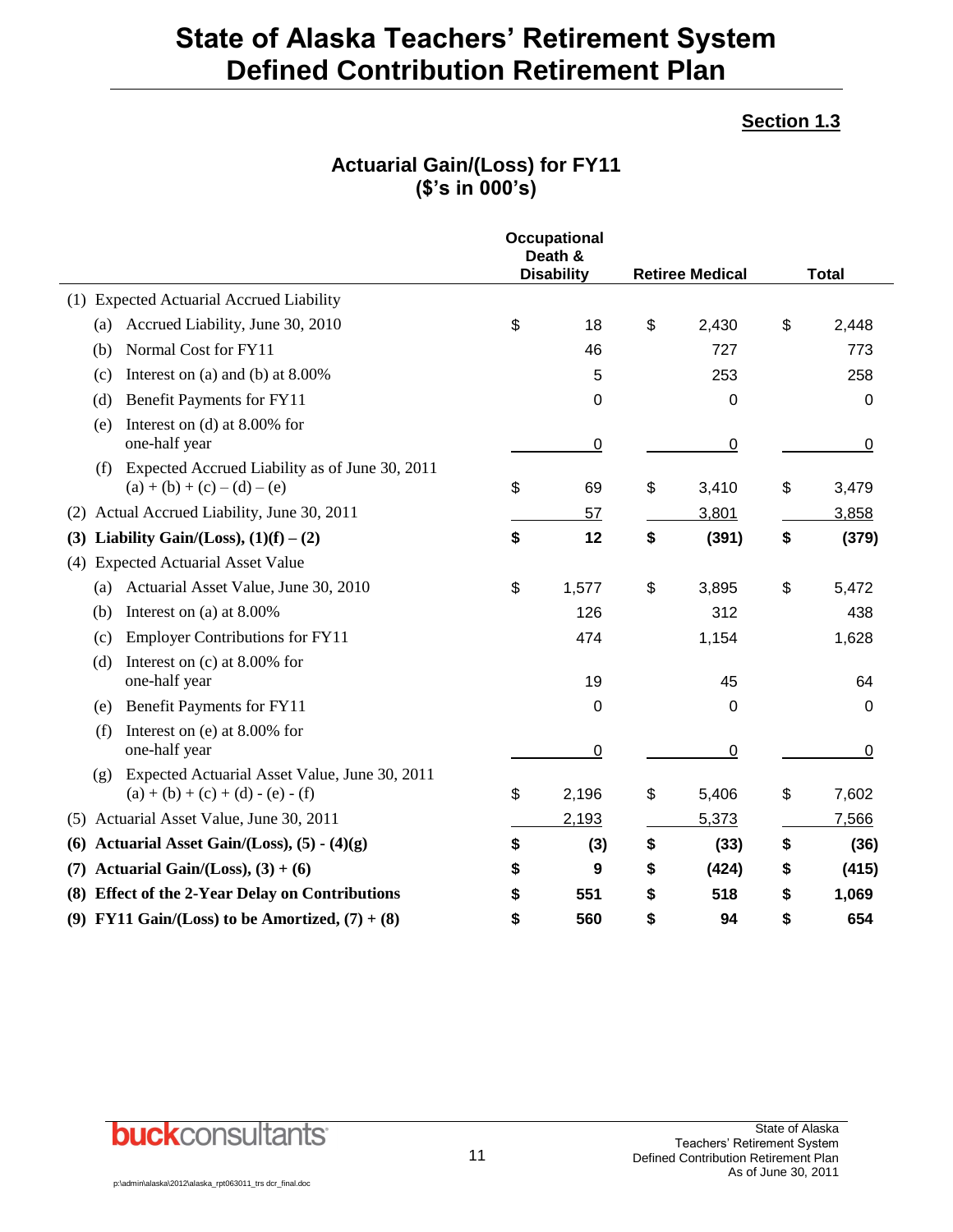#### **Section 1.3**

### **Actuarial Gain/(Loss) for FY11 (\$'s in 000's)**

|                                                                                             | <b>Occupational</b><br>Death &<br><b>Disability</b><br><b>Retiree Medical</b> |       | <b>Total</b> |             |
|---------------------------------------------------------------------------------------------|-------------------------------------------------------------------------------|-------|--------------|-------------|
| (1) Expected Actuarial Accrued Liability                                                    |                                                                               |       |              |             |
| Accrued Liability, June 30, 2010<br>(a)                                                     | \$                                                                            | 18    | \$<br>2,430  | \$<br>2,448 |
| Normal Cost for FY11<br>(b)                                                                 |                                                                               | 46    | 727          | 773         |
| Interest on (a) and (b) at $8.00\%$<br>(c)                                                  |                                                                               | 5     | 253          | 258         |
| Benefit Payments for FY11<br>(d)                                                            |                                                                               | 0     | 0            | 0           |
| Interest on (d) at $8.00\%$ for<br>(e)<br>one-half year                                     |                                                                               | 0     | 0            | 0           |
| Expected Accrued Liability as of June 30, 2011<br>(f)<br>$(a) + (b) + (c) - (d) - (e)$      | \$                                                                            | 69    | \$<br>3,410  | \$<br>3,479 |
| Actual Accrued Liability, June 30, 2011<br>(2)                                              |                                                                               | 57    | 3,801        | 3,858       |
| Liability Gain/(Loss), $(1)(f) - (2)$<br>(3)                                                | \$                                                                            | 12    | \$<br>(391)  | \$<br>(379) |
| <b>Expected Actuarial Asset Value</b><br>(4)                                                |                                                                               |       |              |             |
| Actuarial Asset Value, June 30, 2010<br>(a)                                                 | \$                                                                            | 1,577 | \$<br>3,895  | \$<br>5,472 |
| Interest on (a) at 8.00%<br>(b)                                                             |                                                                               | 126   | 312          | 438         |
| <b>Employer Contributions for FY11</b><br>(c)                                               |                                                                               | 474   | 1,154        | 1,628       |
| Interest on $(c)$ at 8.00% for<br>(d)<br>one-half year                                      |                                                                               | 19    | 45           | 64          |
| Benefit Payments for FY11<br>(e)                                                            |                                                                               | 0     | 0            | 0           |
| Interest on (e) at 8.00% for<br>(f)<br>one-half year                                        |                                                                               | 0     | 0            | 0           |
| Expected Actuarial Asset Value, June 30, 2011<br>(g)<br>$(a) + (b) + (c) + (d) - (e) - (f)$ | \$                                                                            | 2,196 | \$<br>5,406  | \$<br>7,602 |
| Actuarial Asset Value, June 30, 2011<br>(5)                                                 |                                                                               | 2,193 | 5,373        | 7,566       |
| Actuarial Asset Gain/(Loss), $(5) - (4)(g)$<br>(6)                                          | \$                                                                            | (3)   | \$<br>(33)   | \$<br>(36)  |
| Actuarial Gain/(Loss), $(3) + (6)$<br>(7)                                                   | \$                                                                            | 9     | \$<br>(424)  | \$<br>(415) |
| <b>Effect of the 2-Year Delay on Contributions</b><br>(8)                                   | \$                                                                            | 551   | \$<br>518    | \$<br>1,069 |
| (9) FY11 Gain/(Loss) to be Amortized, $(7) + (8)$                                           | \$                                                                            | 560   | \$<br>94     | \$<br>654   |

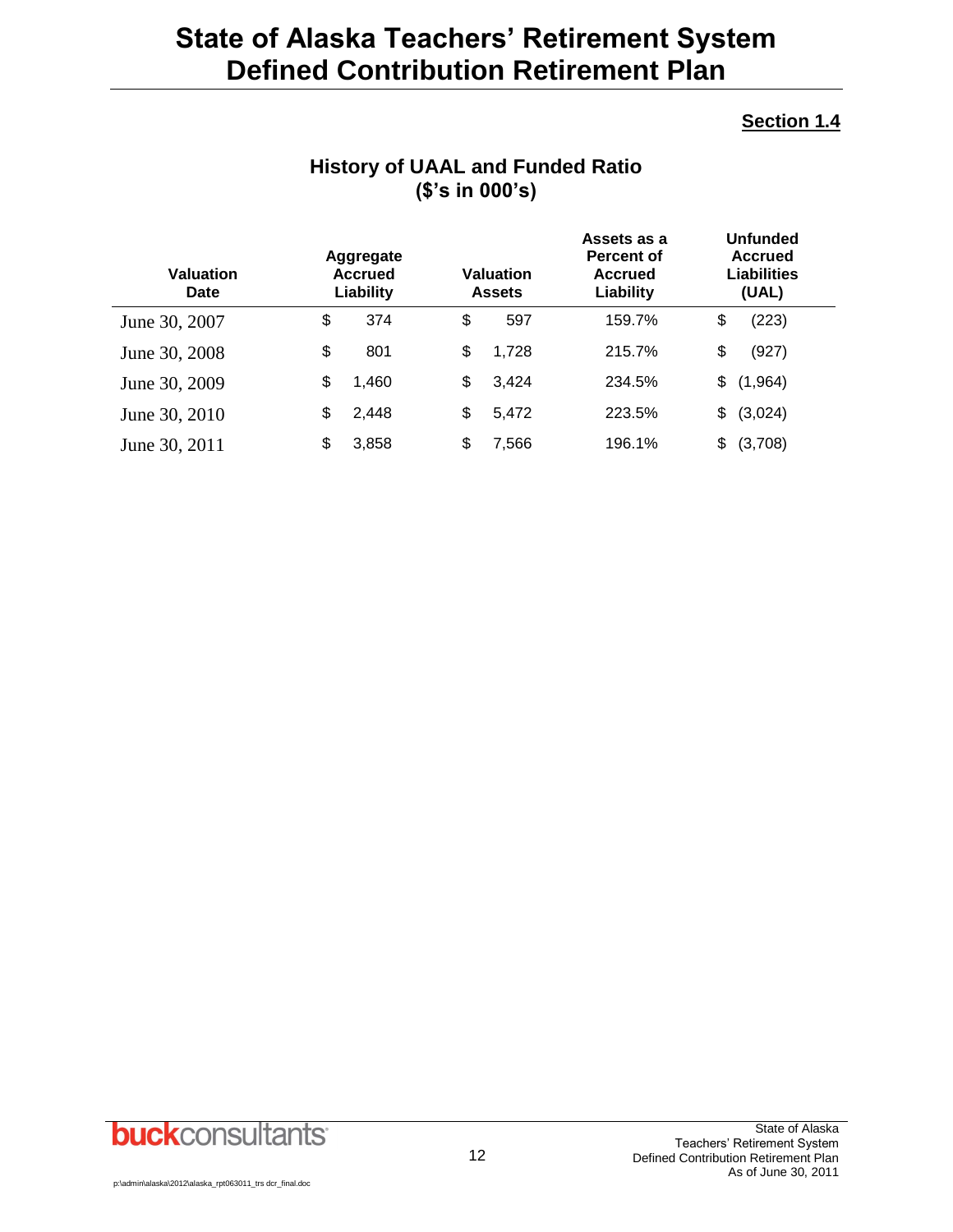#### **Section 1.4**

| <b>Valuation</b><br>Date | Aggregate<br><b>Accrued</b><br>Liability | <b>Valuation</b><br><b>Assets</b> | Assets as a<br><b>Percent of</b><br><b>Accrued</b><br>Liability |     | <b>Unfunded</b><br><b>Accrued</b><br><b>Liabilities</b><br>(UAL) |  |
|--------------------------|------------------------------------------|-----------------------------------|-----------------------------------------------------------------|-----|------------------------------------------------------------------|--|
| June 30, 2007            | \$<br>374                                | \$<br>597                         | 159.7%                                                          | \$  | (223)                                                            |  |
| June 30, 2008            | \$<br>801                                | \$<br>1,728                       | 215.7%                                                          | \$  | (927)                                                            |  |
| June 30, 2009            | \$<br>1,460                              | \$<br>3,424                       | 234.5%                                                          | \$  | (1,964)                                                          |  |
| June 30, 2010            | \$<br>2,448                              | \$<br>5,472                       | 223.5%                                                          | \$  | (3,024)                                                          |  |
| June 30, 2011            | \$<br>3,858                              | \$<br>7,566                       | 196.1%                                                          | \$. | (3,708)                                                          |  |

### **History of UAAL and Funded Ratio (\$'s in 000's)**

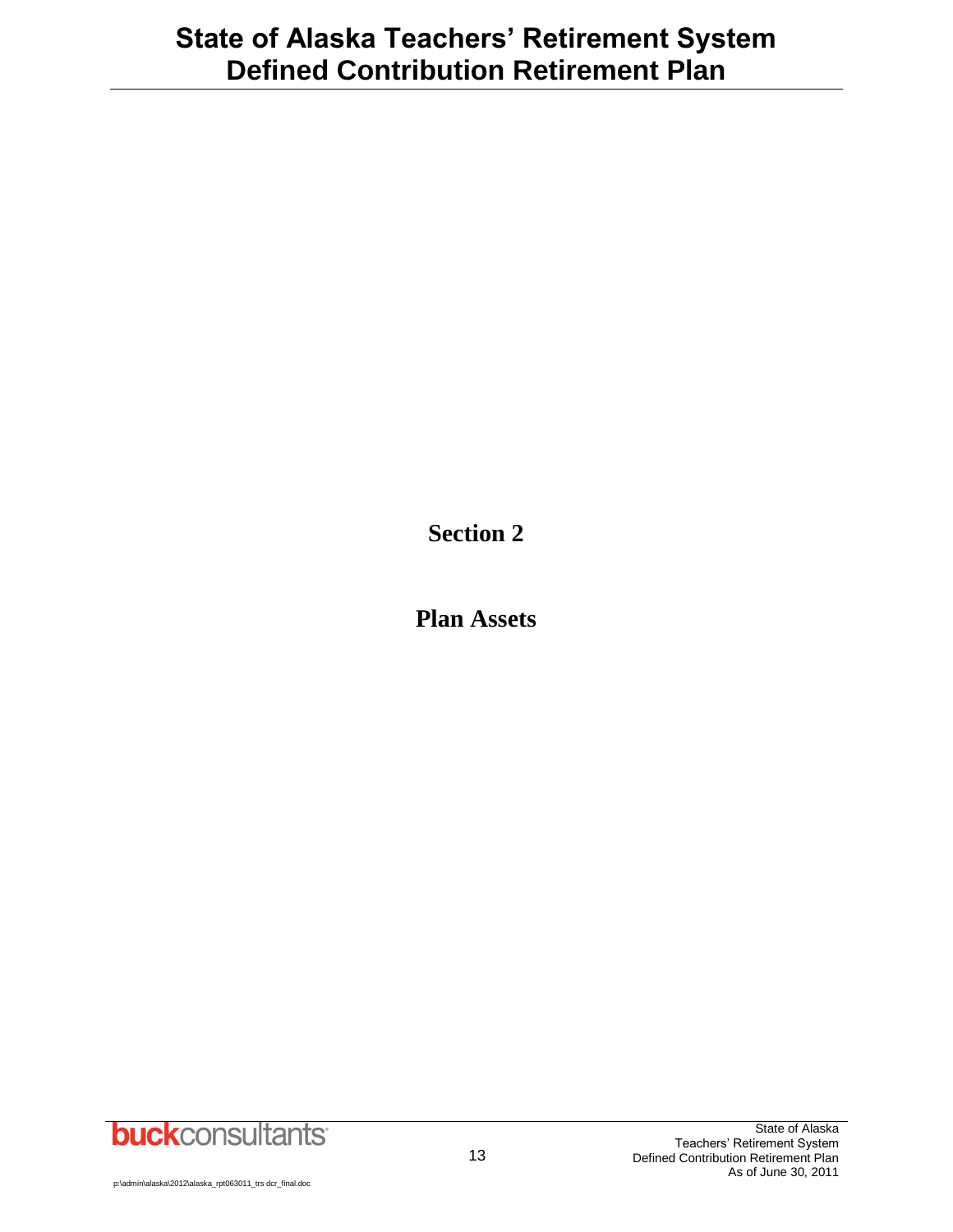**Section 2**

**Plan Assets**

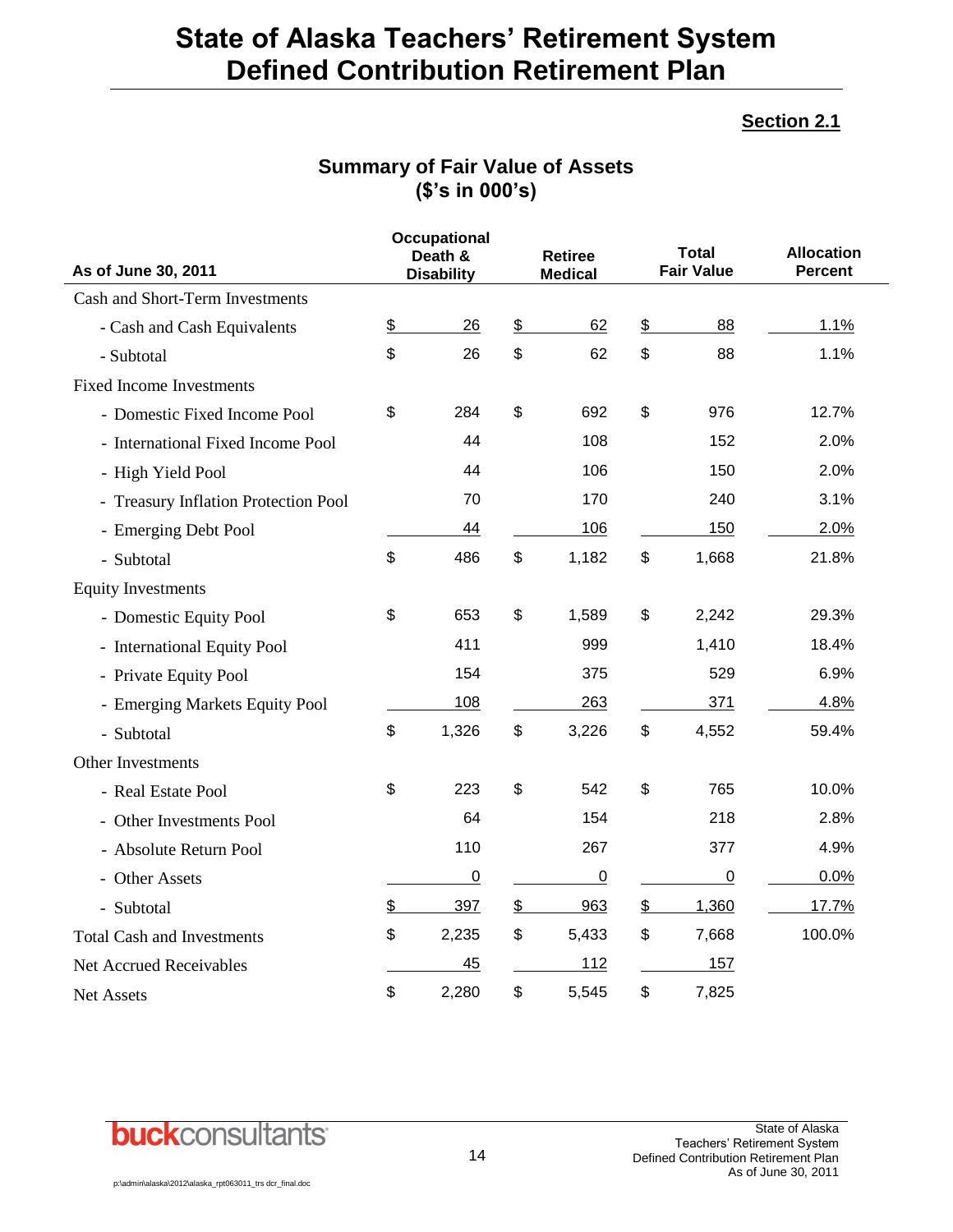#### **Section 2.1**

### **Summary of Fair Value of Assets (\$'s in 000's)**

|                                      |               | <b>Occupational</b><br>Death & |               | <b>Retiree</b> | Total             | <b>Allocation</b> |
|--------------------------------------|---------------|--------------------------------|---------------|----------------|-------------------|-------------------|
| As of June 30, 2011                  |               | <b>Disability</b>              |               | <b>Medical</b> | <b>Fair Value</b> | <b>Percent</b>    |
| Cash and Short-Term Investments      |               |                                |               |                |                   |                   |
| - Cash and Cash Equivalents          | $\frac{2}{2}$ | 26                             | $\frac{1}{2}$ | 62             | \$<br>88          | 1.1%              |
| - Subtotal                           | \$            | 26                             | \$            | 62             | \$<br>88          | 1.1%              |
| <b>Fixed Income Investments</b>      |               |                                |               |                |                   |                   |
| - Domestic Fixed Income Pool         | \$            | 284                            | \$            | 692            | \$<br>976         | 12.7%             |
| - International Fixed Income Pool    |               | 44                             |               | 108            | 152               | 2.0%              |
| - High Yield Pool                    |               | 44                             |               | 106            | 150               | 2.0%              |
| - Treasury Inflation Protection Pool |               | 70                             |               | 170            | 240               | 3.1%              |
| - Emerging Debt Pool                 |               | 44                             |               | 106            | 150               | 2.0%              |
| - Subtotal                           | \$            | 486                            | \$            | 1,182          | \$<br>1,668       | 21.8%             |
| <b>Equity Investments</b>            |               |                                |               |                |                   |                   |
| - Domestic Equity Pool               | \$            | 653                            | \$            | 1,589          | \$<br>2,242       | 29.3%             |
| - International Equity Pool          |               | 411                            |               | 999            | 1,410             | 18.4%             |
| - Private Equity Pool                |               | 154                            |               | 375            | 529               | 6.9%              |
| - Emerging Markets Equity Pool       |               | 108                            |               | 263            | 371               | 4.8%              |
| - Subtotal                           | \$            | 1,326                          | \$            | 3,226          | \$<br>4,552       | 59.4%             |
| Other Investments                    |               |                                |               |                |                   |                   |
| - Real Estate Pool                   | \$            | 223                            | \$            | 542            | \$<br>765         | 10.0%             |
| - Other Investments Pool             |               | 64                             |               | 154            | 218               | 2.8%              |
| - Absolute Return Pool               |               | 110                            |               | 267            | 377               | 4.9%              |
| - Other Assets                       |               | $\mathbf 0$                    |               | $\mathbf 0$    | $\overline{0}$    | 0.0%              |
| - Subtotal                           | \$            | 397                            | \$            | 963            | \$<br>1,360       | 17.7%             |
| <b>Total Cash and Investments</b>    | \$            | 2,235                          | \$            | 5,433          | \$<br>7,668       | 100.0%            |
| Net Accrued Receivables              |               | 45                             |               | 112            | 157               |                   |
| Net Assets                           | \$            | 2,280                          | \$            | 5,545          | \$<br>7,825       |                   |

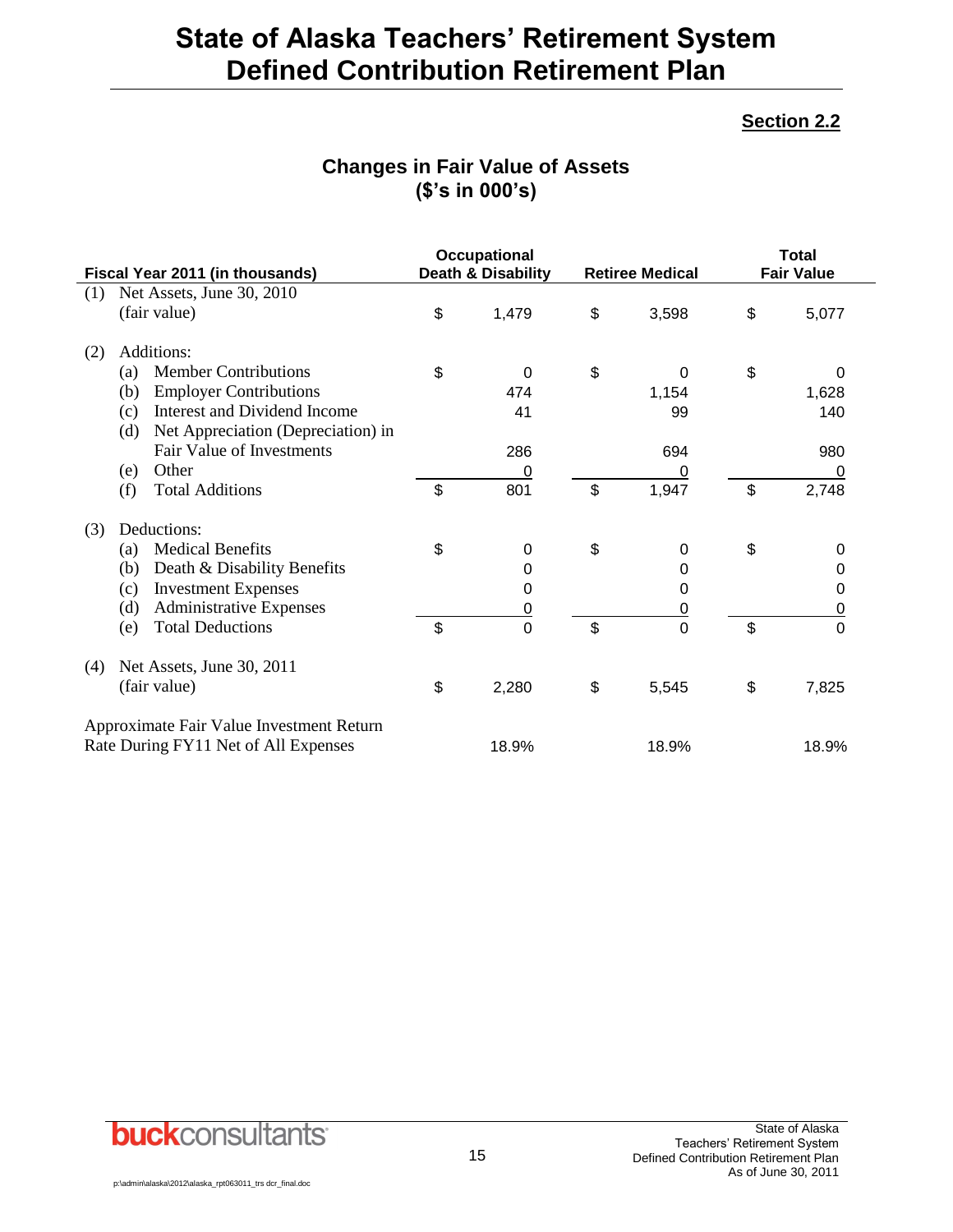#### **Section 2.2**

### **Changes in Fair Value of Assets (\$'s in 000's)**

|     | Fiscal Year 2011 (in thousands)           | <b>Occupational</b><br><b>Death &amp; Disability</b> | <b>Retiree Medical</b> | <b>Total</b><br><b>Fair Value</b> |                |  |
|-----|-------------------------------------------|------------------------------------------------------|------------------------|-----------------------------------|----------------|--|
| (1) | Net Assets, June 30, 2010                 |                                                      |                        |                                   |                |  |
|     | (fair value)                              | \$<br>1,479                                          | \$<br>3,598            | \$                                | 5,077          |  |
| (2) | Additions:                                |                                                      |                        |                                   |                |  |
|     | <b>Member Contributions</b><br>(a)        | \$<br>$\Omega$                                       | \$<br>0                | \$                                | $\Omega$       |  |
|     | <b>Employer Contributions</b><br>(b)      | 474                                                  | 1,154                  |                                   | 1,628          |  |
|     | Interest and Dividend Income<br>(c)       | 41                                                   | 99                     |                                   | 140            |  |
|     | Net Appreciation (Depreciation) in<br>(d) |                                                      |                        |                                   |                |  |
|     | Fair Value of Investments                 | 286                                                  | 694                    |                                   | 980            |  |
|     | Other<br>(e)                              | <u>0</u>                                             | 0                      |                                   | 0              |  |
|     | <b>Total Additions</b><br>(f)             | \$<br>801                                            | \$<br>1,947            | \$                                | 2,748          |  |
| (3) | Deductions:                               |                                                      |                        |                                   |                |  |
|     | <b>Medical Benefits</b><br>(a)            | \$<br>0                                              | \$<br>0                | \$                                | 0              |  |
|     | Death & Disability Benefits<br>(b)        | 0                                                    | 0                      |                                   | 0              |  |
|     | <b>Investment Expenses</b><br>(c)         | 0                                                    | 0                      |                                   | 0              |  |
|     | <b>Administrative Expenses</b><br>(d)     | $\overline{0}$                                       | <u>0</u>               |                                   | 0              |  |
|     | <b>Total Deductions</b><br>(e)            | \$<br>$\overline{0}$                                 | \$<br>0                | \$                                | $\overline{0}$ |  |
| (4) | Net Assets, June 30, 2011                 |                                                      |                        |                                   |                |  |
|     | (fair value)                              | \$<br>2,280                                          | \$<br>5,545            | \$                                | 7,825          |  |
|     | Approximate Fair Value Investment Return  |                                                      |                        |                                   |                |  |
|     | Rate During FY11 Net of All Expenses      | 18.9%                                                | 18.9%                  |                                   | 18.9%          |  |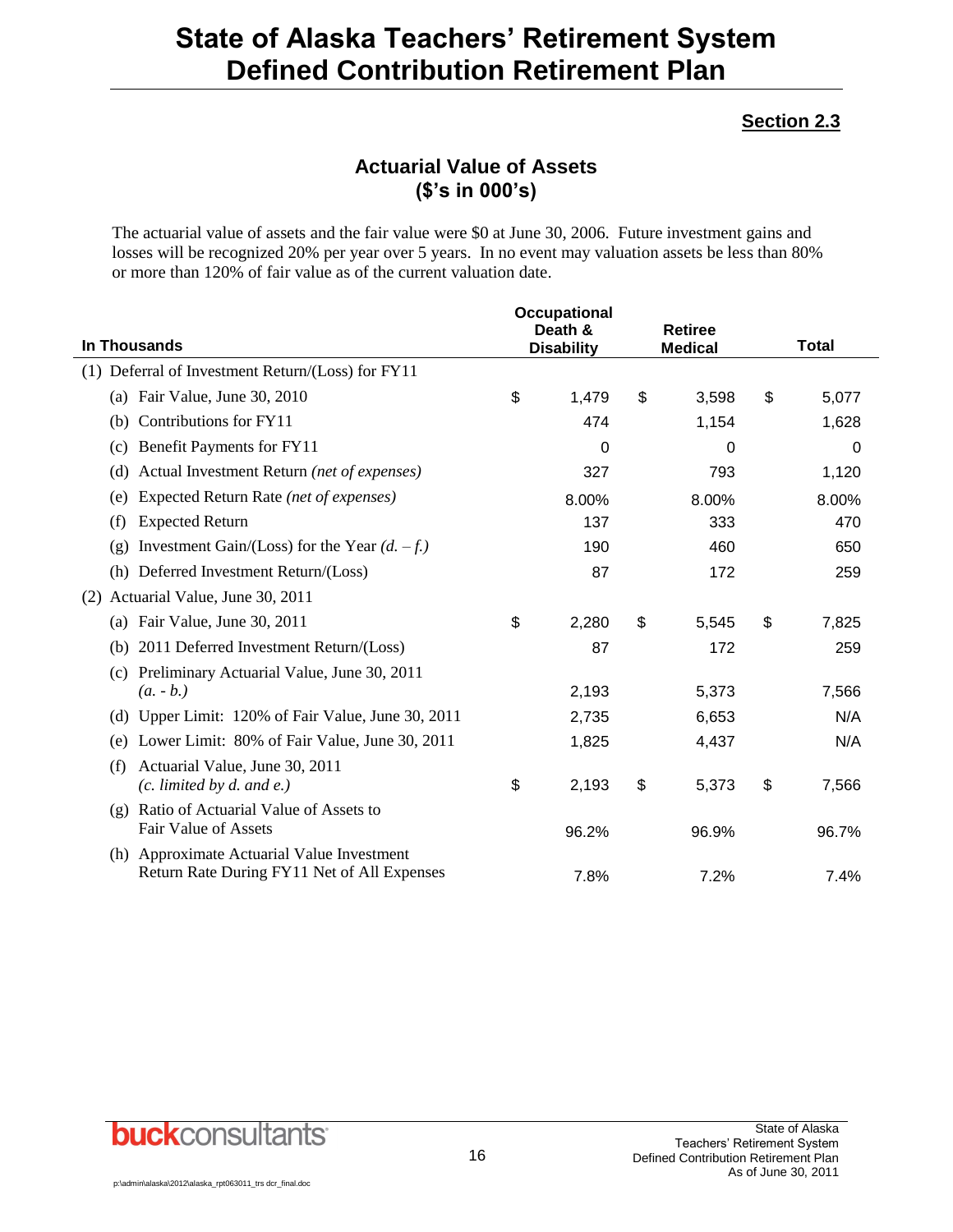### **Section 2.3**

### **Actuarial Value of Assets (\$'s in 000's)**

The actuarial value of assets and the fair value were \$0 at June 30, 2006. Future investment gains and losses will be recognized 20% per year over 5 years. In no event may valuation assets be less than 80% or more than 120% of fair value as of the current valuation date.

|                                                                                           | Occupational                 |                                  |              |
|-------------------------------------------------------------------------------------------|------------------------------|----------------------------------|--------------|
| In Thousands                                                                              | Death &<br><b>Disability</b> | <b>Retiree</b><br><b>Medical</b> | <b>Total</b> |
| Deferral of Investment Return/(Loss) for FY11<br>(1)                                      |                              |                                  |              |
| (a) Fair Value, June 30, 2010                                                             | \$<br>1,479                  | \$<br>3,598                      | \$<br>5,077  |
| Contributions for FY11<br>(b)                                                             | 474                          | 1,154                            | 1,628        |
| Benefit Payments for FY11<br>(c)                                                          | 0                            | 0                                | 0            |
| Actual Investment Return (net of expenses)<br>(d)                                         | 327                          | 793                              | 1,120        |
| Expected Return Rate (net of expenses)<br>(e)                                             | 8.00%                        | 8.00%                            | 8.00%        |
| <b>Expected Return</b><br>(f)                                                             | 137                          | 333                              | 470          |
| Investment Gain/(Loss) for the Year $(d. -f.)$<br>(g)                                     | 190                          | 460                              | 650          |
| (h) Deferred Investment Return/(Loss)                                                     | 87                           | 172                              | 259          |
| Actuarial Value, June 30, 2011<br>(2)                                                     |                              |                                  |              |
| Fair Value, June 30, 2011<br>(a)                                                          | \$<br>2,280                  | \$<br>5,545                      | \$<br>7,825  |
| 2011 Deferred Investment Return/(Loss)<br>(b)                                             | 87                           | 172                              | 259          |
| Preliminary Actuarial Value, June 30, 2011<br>(c)<br>$(a. - b.)$                          | 2,193                        | 5,373                            | 7,566        |
| Upper Limit: 120% of Fair Value, June 30, 2011<br>(d)                                     | 2,735                        | 6,653                            | N/A          |
| Lower Limit: 80% of Fair Value, June 30, 2011<br>(e)                                      | 1,825                        | 4,437                            | N/A          |
| Actuarial Value, June 30, 2011<br>(f)<br>$(c.$ limited by d. and e.)                      | \$<br>2,193                  | \$<br>5,373                      | \$<br>7,566  |
| Ratio of Actuarial Value of Assets to<br>(g)<br><b>Fair Value of Assets</b>               | 96.2%                        | 96.9%                            | 96.7%        |
| (h) Approximate Actuarial Value Investment<br>Return Rate During FY11 Net of All Expenses | 7.8%                         | 7.2%                             | 7.4%         |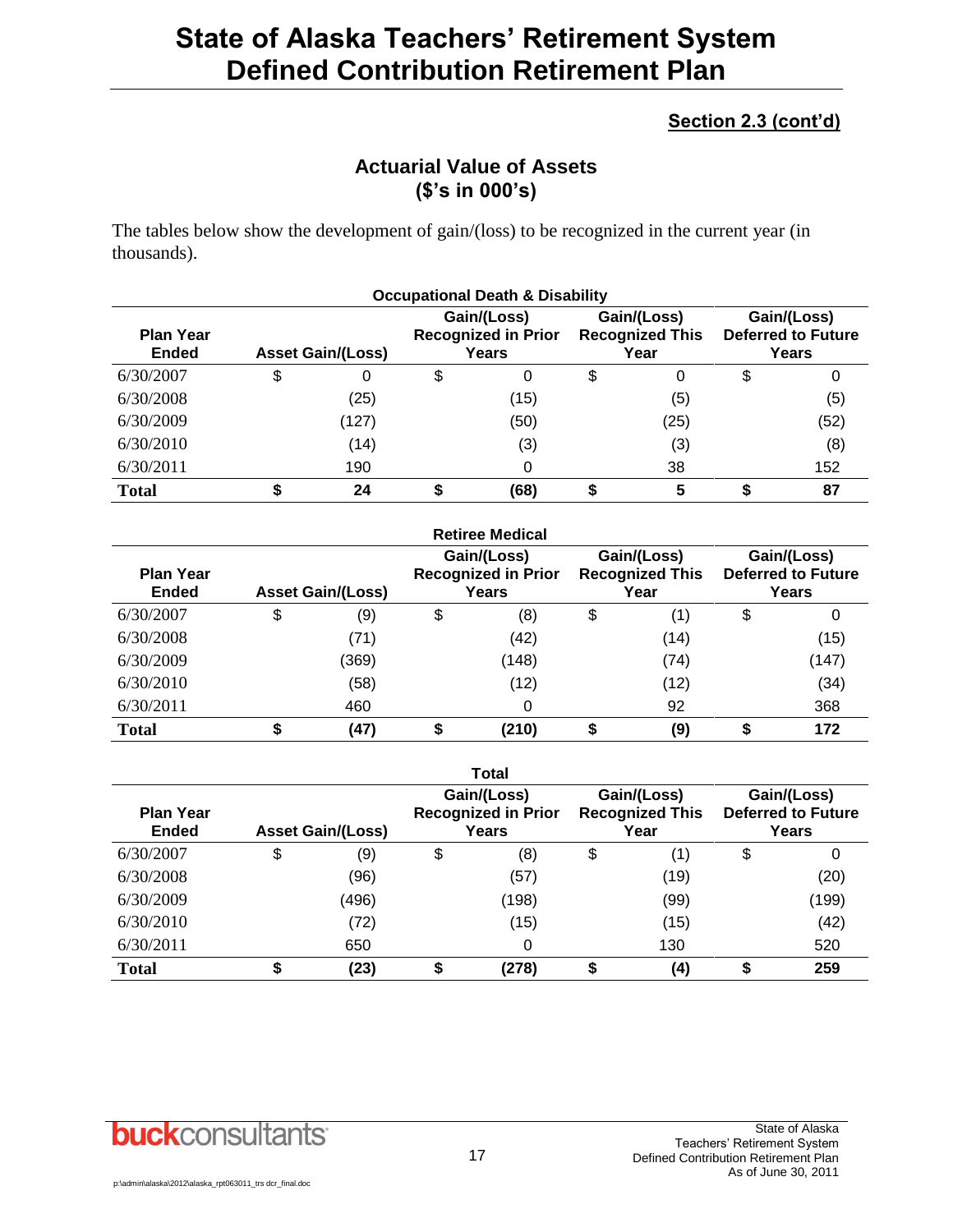### **Section 2.3 (cont'd)**

### **Actuarial Value of Assets (\$'s in 000's)**

The tables below show the development of gain/(loss) to be recognized in the current year (in thousands).

| <b>Occupational Death &amp; Disability</b> |    |                          |    |                                                    |    |                                               |   |                                                   |  |
|--------------------------------------------|----|--------------------------|----|----------------------------------------------------|----|-----------------------------------------------|---|---------------------------------------------------|--|
| <b>Plan Year</b><br><b>Ended</b>           |    | <b>Asset Gain/(Loss)</b> |    | Gain/(Loss)<br><b>Recognized in Prior</b><br>Years |    | Gain/(Loss)<br><b>Recognized This</b><br>Year |   | Gain/(Loss)<br><b>Deferred to Future</b><br>Years |  |
| 6/30/2007                                  | \$ | 0                        | \$ | 0                                                  | \$ | 0                                             | S | 0                                                 |  |
| 6/30/2008                                  |    | (25)                     |    | (15)                                               |    | (5)                                           |   | (5)                                               |  |
| 6/30/2009                                  |    | (127)                    |    | (50)                                               |    | (25)                                          |   | (52)                                              |  |
| 6/30/2010                                  |    | (14)                     |    | (3)                                                |    | (3)                                           |   | (8)                                               |  |
| 6/30/2011                                  |    | 190                      |    | 0                                                  |    | 38                                            |   | 152                                               |  |
| <b>Total</b>                               |    | 24                       |    | (68)                                               |    | 5                                             |   | 87                                                |  |

|                                  |                          | <b>Retiree Medical</b>                             |    |                                               |                                                   |
|----------------------------------|--------------------------|----------------------------------------------------|----|-----------------------------------------------|---------------------------------------------------|
| <b>Plan Year</b><br><b>Ended</b> | <b>Asset Gain/(Loss)</b> | Gain/(Loss)<br><b>Recognized in Prior</b><br>Years |    | Gain/(Loss)<br><b>Recognized This</b><br>Year | Gain/(Loss)<br><b>Deferred to Future</b><br>Years |
| 6/30/2007                        | \$<br>(9)                | \$<br>(8)                                          | \$ | (1)                                           | \$<br>0                                           |
| 6/30/2008                        | (71)                     | (42)                                               |    | (14)                                          | (15)                                              |
| 6/30/2009                        | (369)                    | (148)                                              |    | (74)                                          | (147)                                             |
| 6/30/2010                        | (58)                     | (12)                                               |    | (12)                                          | (34)                                              |
| 6/30/2011                        | 460                      | 0                                                  |    | 92                                            | 368                                               |
| <b>Total</b>                     | (47)                     | \$<br>(210)                                        | S  | (9)                                           | 172                                               |

|                                  |                          | <b>Total</b>                                       |                                               |                                                   |
|----------------------------------|--------------------------|----------------------------------------------------|-----------------------------------------------|---------------------------------------------------|
| <b>Plan Year</b><br><b>Ended</b> | <b>Asset Gain/(Loss)</b> | Gain/(Loss)<br><b>Recognized in Prior</b><br>Years | Gain/(Loss)<br><b>Recognized This</b><br>Year | Gain/(Loss)<br><b>Deferred to Future</b><br>Years |
| 6/30/2007                        | \$<br>(9)                | \$<br>(8)                                          | \$<br>(1)                                     | \$                                                |
| 6/30/2008                        | (96)                     | (57)                                               | (19)                                          | (20)                                              |
| 6/30/2009                        | (496)                    | (198)                                              | (99)                                          | (199)                                             |
| 6/30/2010                        | (72)                     | (15)                                               | (15)                                          | (42)                                              |
| 6/30/2011                        | 650                      | 0                                                  | 130                                           | 520                                               |
| <b>Total</b>                     | (23)                     | (278)                                              | (4)                                           | 259                                               |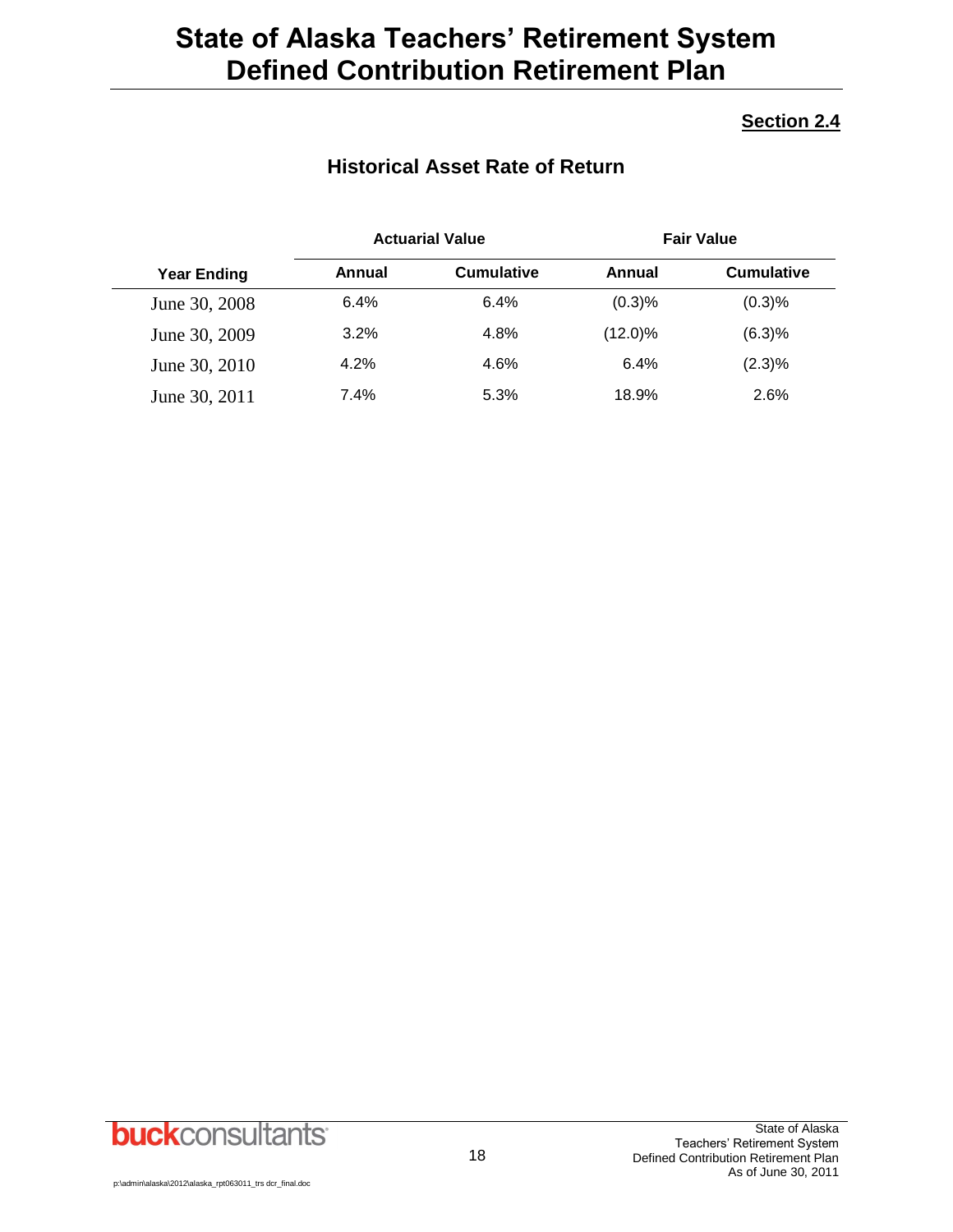#### **Section 2.4**

### **Historical Asset Rate of Return**

|                    |        | <b>Actuarial Value</b> |            | <b>Fair Value</b> |
|--------------------|--------|------------------------|------------|-------------------|
| <b>Year Ending</b> | Annual | <b>Cumulative</b>      | Annual     | <b>Cumulative</b> |
| June 30, 2008      | 6.4%   | 6.4%                   | (0.3)%     | (0.3)%            |
| June 30, 2009      | 3.2%   | 4.8%                   | $(12.0)\%$ | (6.3)%            |
| June 30, 2010      | 4.2%   | 4.6%                   | 6.4%       | (2.3)%            |
| June 30, 2011      | 7.4%   | 5.3%                   | 18.9%      | 2.6%              |

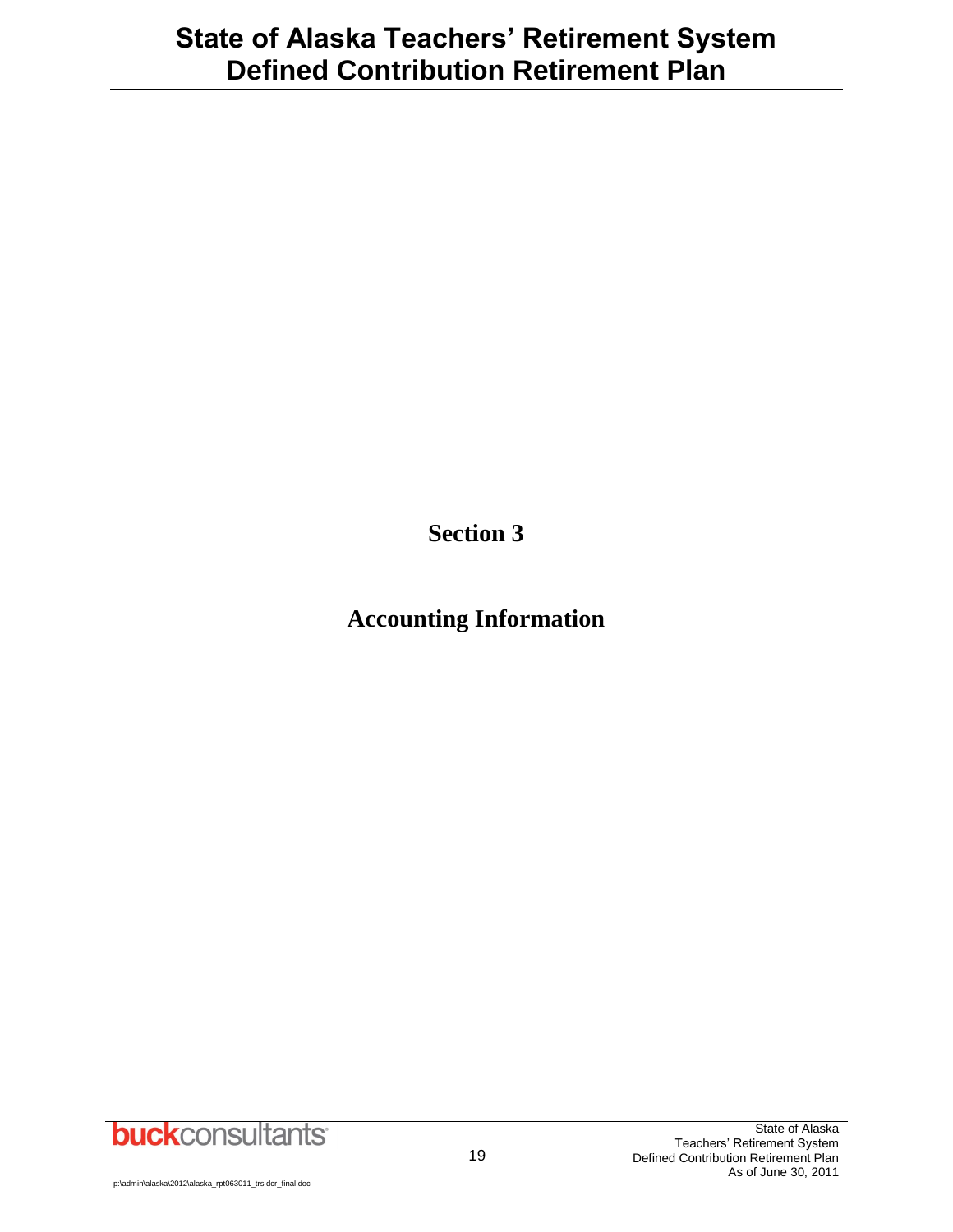**Section 3**

# **Accounting Information**

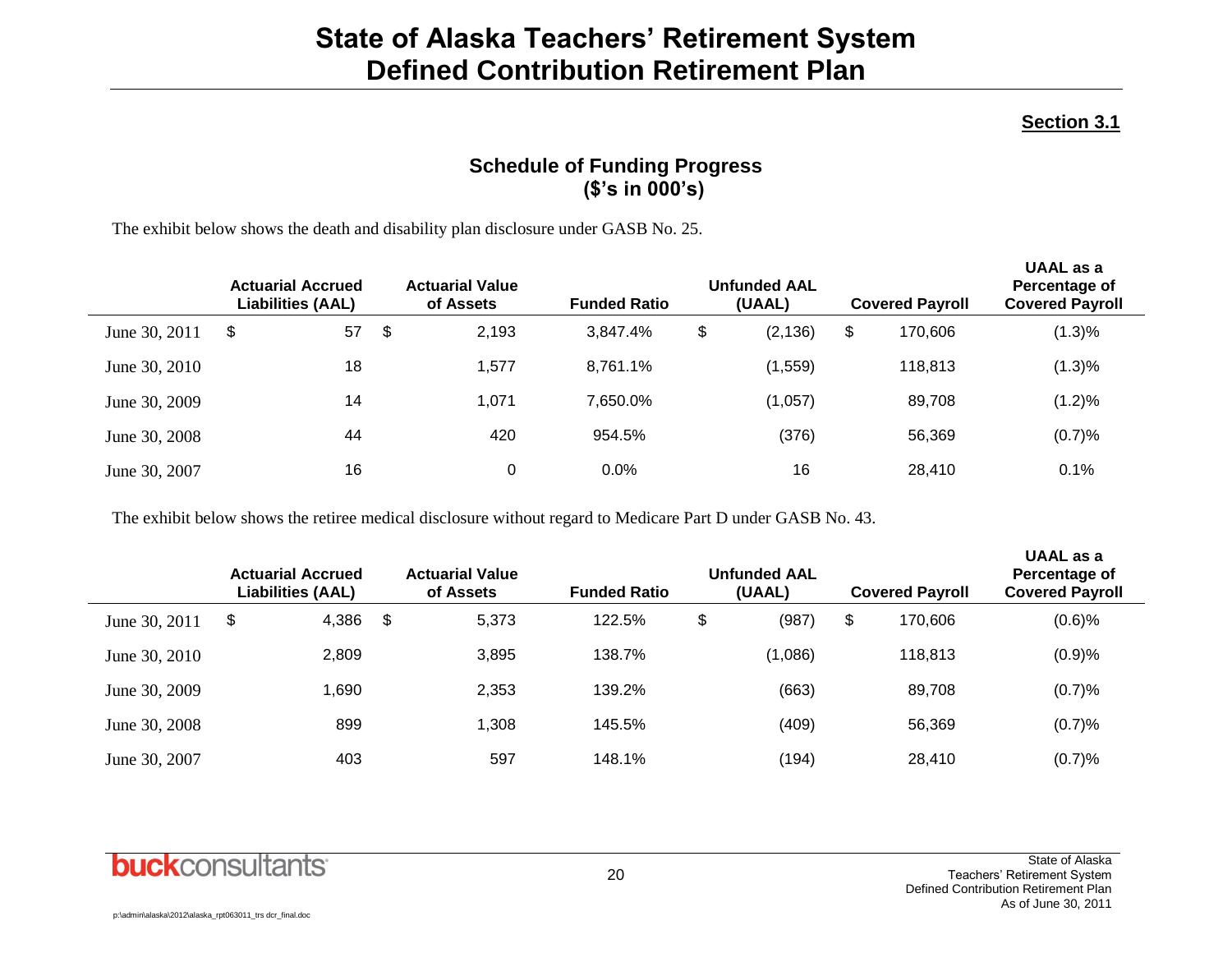#### **Section 3.1**

### **Schedule of Funding Progress (\$'s in 000's)**

The exhibit below shows the death and disability plan disclosure under GASB No. 25.

|               | <b>Actuarial Accrued</b><br><b>Liabilities (AAL)</b> |     | <b>Actuarial Value</b><br>of Assets | <b>Funded Ratio</b> | <b>Unfunded AAL</b><br>(UAAL) | <b>Covered Payroll</b> | <b>UAAL</b> as a<br>Percentage of<br><b>Covered Payroll</b> |
|---------------|------------------------------------------------------|-----|-------------------------------------|---------------------|-------------------------------|------------------------|-------------------------------------------------------------|
| June 30, 2011 | 57<br>\$                                             | -\$ | 2,193                               | 3.847.4%            | \$<br>(2, 136)                | \$<br>170.606          | (1.3)%                                                      |
| June 30, 2010 | 18                                                   |     | 1,577                               | 8.761.1%            | (1,559)                       | 118,813                | (1.3)%                                                      |
| June 30, 2009 | 14                                                   |     | 1,071                               | 7.650.0%            | (1,057)                       | 89,708                 | (1.2)%                                                      |
| June 30, 2008 | 44                                                   |     | 420                                 | 954.5%              | (376)                         | 56,369                 | (0.7)%                                                      |
| June 30, 2007 | 16                                                   |     | 0                                   | $0.0\%$             | 16                            | 28,410                 | 0.1%                                                        |

The exhibit below shows the retiree medical disclosure without regard to Medicare Part D under GASB No. 43.

|               | <b>Actuarial Accrued</b><br><b>Liabilities (AAL)</b> | <b>Actuarial Value</b><br>of Assets | <b>Funded Ratio</b> | <b>Unfunded AAL</b><br>(UAAL) | <b>Covered Payroll</b> | UAAL as a<br>Percentage of<br><b>Covered Payroll</b> |
|---------------|------------------------------------------------------|-------------------------------------|---------------------|-------------------------------|------------------------|------------------------------------------------------|
| June 30, 2011 | \$<br>4,386                                          | \$<br>5,373                         | 122.5%              | \$<br>(987)                   | \$<br>170.606          | $(0.6)$ %                                            |
| June 30, 2010 | 2,809                                                | 3,895                               | 138.7%              | (1,086)                       | 118,813                | (0.9)%                                               |
| June 30, 2009 | 1,690                                                | 2,353                               | 139.2%              | (663)                         | 89,708                 | (0.7)%                                               |
| June 30, 2008 | 899                                                  | 1,308                               | 145.5%              | (409)                         | 56,369                 | (0.7)%                                               |
| June 30, 2007 | 403                                                  | 597                                 | 148.1%              | (194)                         | 28,410                 | (0.7)%                                               |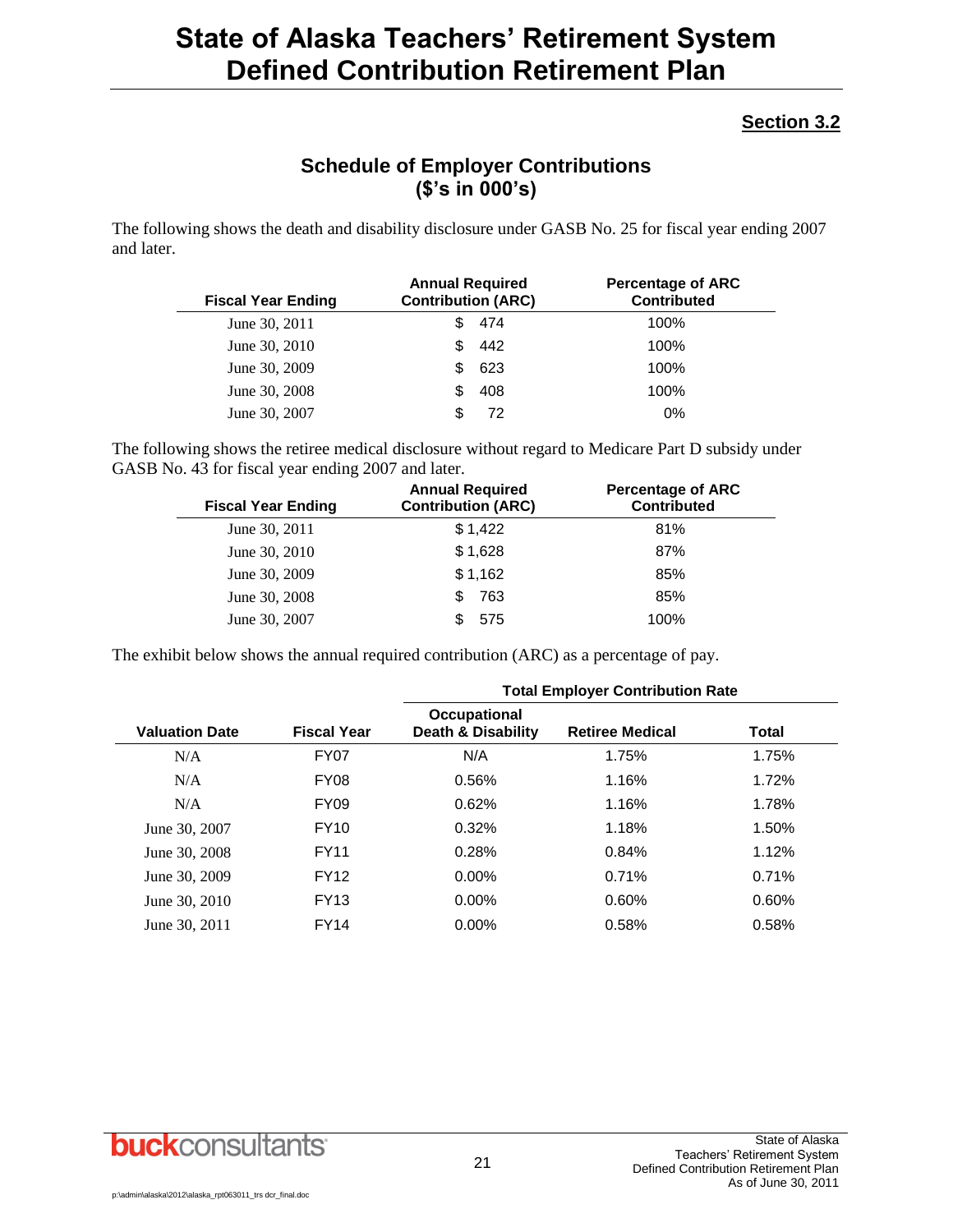#### **Section 3.2**

### **Schedule of Employer Contributions (\$'s in 000's)**

The following shows the death and disability disclosure under GASB No. 25 for fiscal year ending 2007 and later.

| <b>Fiscal Year Ending</b> | <b>Annual Required</b><br><b>Contribution (ARC)</b> | <b>Percentage of ARC</b><br><b>Contributed</b> |
|---------------------------|-----------------------------------------------------|------------------------------------------------|
| June 30, 2011             | 474                                                 | 100%                                           |
| June 30, 2010             | 442<br>\$.                                          | 100%                                           |
| June 30, 2009             | 623<br>S.                                           | 100%                                           |
| June 30, 2008             | 408                                                 | 100%                                           |
| June 30, 2007             | 72                                                  | 0%                                             |

The following shows the retiree medical disclosure without regard to Medicare Part D subsidy under GASB No. 43 for fiscal year ending 2007 and later.

| <b>Fiscal Year Ending</b> | <b>Annual Required</b><br><b>Contribution (ARC)</b> | <b>Percentage of ARC</b><br><b>Contributed</b> |
|---------------------------|-----------------------------------------------------|------------------------------------------------|
| June 30, 2011             | \$1,422                                             | 81%                                            |
| June 30, 2010             | \$1,628                                             | 87%                                            |
| June 30, 2009             | \$1,162                                             | 85%                                            |
| June 30, 2008             | 763<br>S                                            | 85%                                            |
| June 30, 2007             | 575                                                 | 100%                                           |

The exhibit below shows the annual required contribution (ARC) as a percentage of pay.

|                       |                    | <b>Total Employer Contribution Rate</b>       |                        |       |
|-----------------------|--------------------|-----------------------------------------------|------------------------|-------|
| <b>Valuation Date</b> | <b>Fiscal Year</b> | Occupational<br><b>Death &amp; Disability</b> | <b>Retiree Medical</b> | Total |
| N/A                   | FY <sub>07</sub>   | N/A                                           | 1.75%                  | 1.75% |
| N/A                   | <b>FY08</b>        | 0.56%                                         | 1.16%                  | 1.72% |
| N/A                   | <b>FY09</b>        | 0.62%                                         | 1.16%                  | 1.78% |
| June 30, 2007         | <b>FY10</b>        | 0.32%                                         | 1.18%                  | 1.50% |
| June 30, 2008         | <b>FY11</b>        | 0.28%                                         | 0.84%                  | 1.12% |
| June 30, 2009         | <b>FY12</b>        | $0.00\%$                                      | 0.71%                  | 0.71% |
| June 30, 2010         | <b>FY13</b>        | $0.00\%$                                      | 0.60%                  | 0.60% |
| June 30, 2011         | <b>FY14</b>        | $0.00\%$                                      | 0.58%                  | 0.58% |

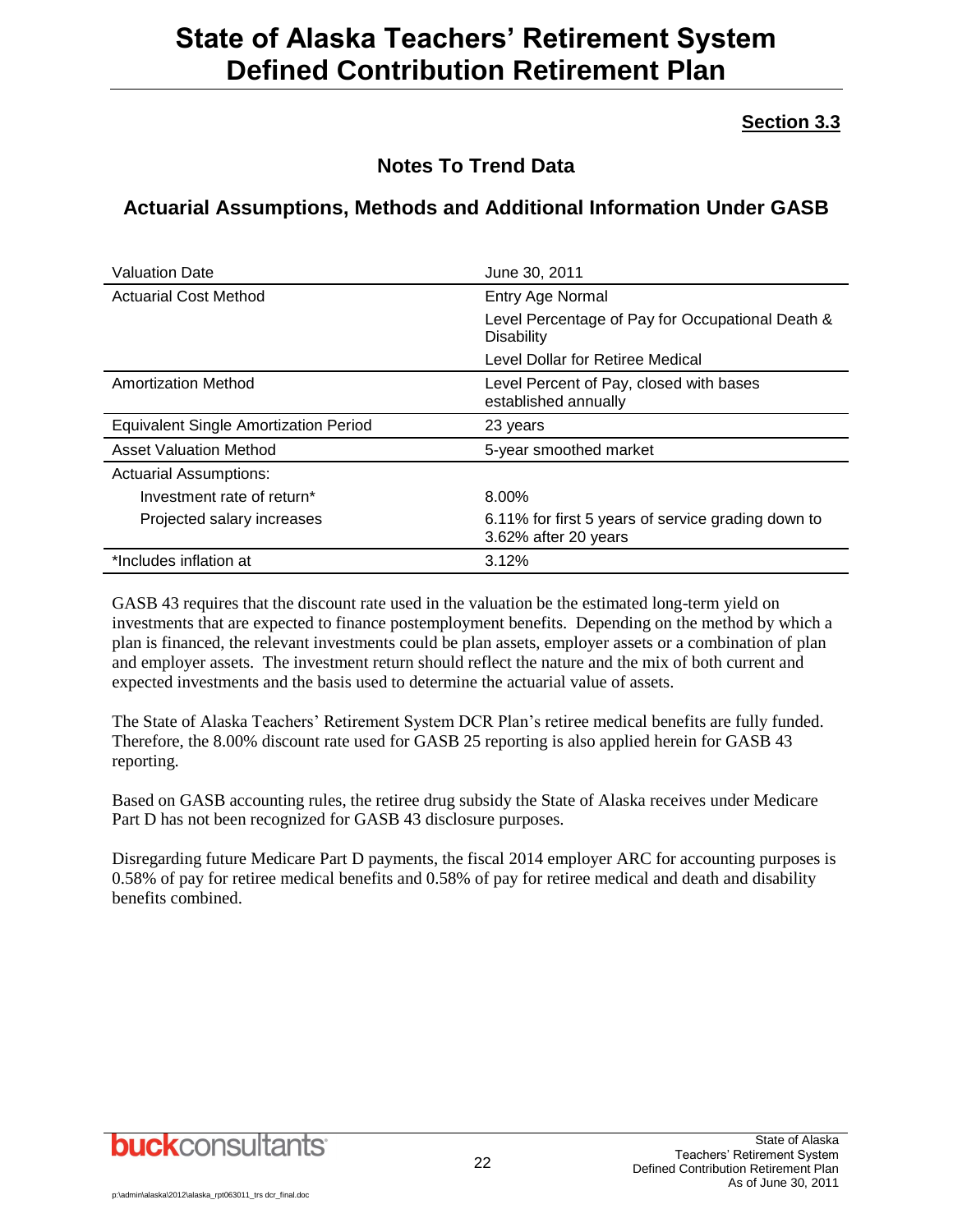### **Section 3.3**

### **Notes To Trend Data**

### **Actuarial Assumptions, Methods and Additional Information Under GASB**

| <b>Valuation Date</b>                        | June 30, 2011                                                              |
|----------------------------------------------|----------------------------------------------------------------------------|
| <b>Actuarial Cost Method</b>                 | Entry Age Normal                                                           |
|                                              | Level Percentage of Pay for Occupational Death &<br>Disability             |
|                                              | Level Dollar for Retiree Medical                                           |
| Amortization Method                          | Level Percent of Pay, closed with bases<br>established annually            |
| <b>Equivalent Single Amortization Period</b> | 23 years                                                                   |
| <b>Asset Valuation Method</b>                | 5-year smoothed market                                                     |
| <b>Actuarial Assumptions:</b>                |                                                                            |
| Investment rate of return*                   | 8.00%                                                                      |
| Projected salary increases                   | 6.11% for first 5 years of service grading down to<br>3.62% after 20 years |
| *Includes inflation at                       | 3.12%                                                                      |

GASB 43 requires that the discount rate used in the valuation be the estimated long-term yield on investments that are expected to finance postemployment benefits. Depending on the method by which a plan is financed, the relevant investments could be plan assets, employer assets or a combination of plan and employer assets. The investment return should reflect the nature and the mix of both current and expected investments and the basis used to determine the actuarial value of assets.

The State of Alaska Teachers' Retirement System DCR Plan's retiree medical benefits are fully funded. Therefore, the 8.00% discount rate used for GASB 25 reporting is also applied herein for GASB 43 reporting.

Based on GASB accounting rules, the retiree drug subsidy the State of Alaska receives under Medicare Part D has not been recognized for GASB 43 disclosure purposes.

Disregarding future Medicare Part D payments, the fiscal 2014 employer ARC for accounting purposes is 0.58% of pay for retiree medical benefits and 0.58% of pay for retiree medical and death and disability benefits combined.

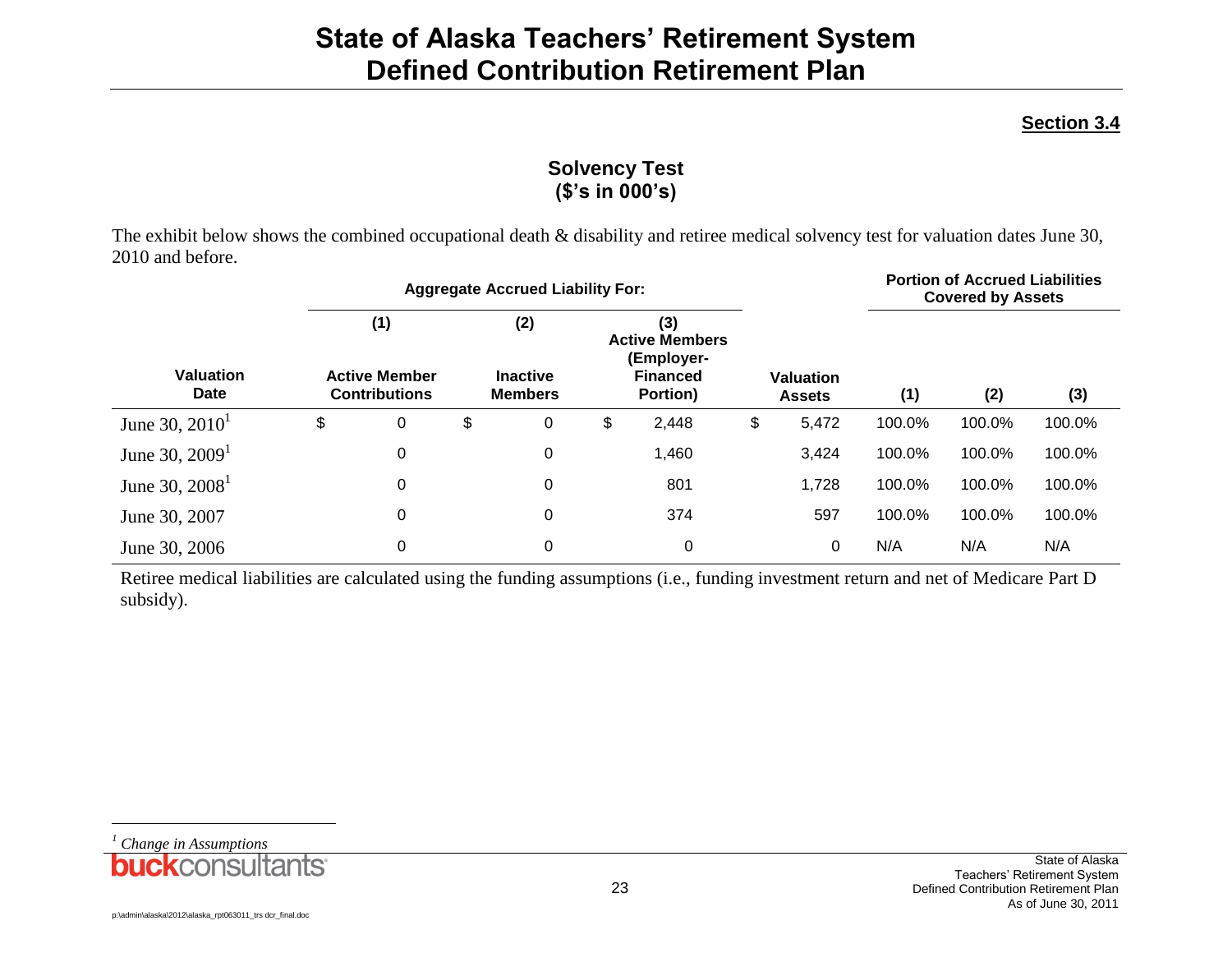### **Section 3.4**

### **Solvency Test (\$'s in 000's)**

The exhibit below shows the combined occupational death & disability and retiree medical solvency test for valuation dates June 30, 2010 and before.

|                                 | <b>Aggregate Accrued Liability For:</b> |                                                     |    |                                          |    |                                                                           |    | <b>Portion of Accrued Liabilities</b><br><b>Covered by Assets</b> |        |        |        |
|---------------------------------|-----------------------------------------|-----------------------------------------------------|----|------------------------------------------|----|---------------------------------------------------------------------------|----|-------------------------------------------------------------------|--------|--------|--------|
| <b>Valuation</b><br><b>Date</b> |                                         | (1)<br><b>Active Member</b><br><b>Contributions</b> |    | (2)<br><b>Inactive</b><br><b>Members</b> |    | (3)<br><b>Active Members</b><br>(Employer-<br><b>Financed</b><br>Portion) |    | Valuation<br><b>Assets</b>                                        | (1)    | (2)    | (3)    |
| June 30, $2010^1$               | \$                                      | 0                                                   | \$ | 0                                        | \$ | 2,448                                                                     | \$ | 5,472                                                             | 100.0% | 100.0% | 100.0% |
| June 30, $20091$                |                                         | 0                                                   |    | 0                                        |    | 1,460                                                                     |    | 3,424                                                             | 100.0% | 100.0% | 100.0% |
| June 30, $2008^1$               |                                         | 0                                                   |    | $\mathbf 0$                              |    | 801                                                                       |    | 1,728                                                             | 100.0% | 100.0% | 100.0% |
| June 30, 2007                   |                                         | 0                                                   |    | $\mathbf 0$                              |    | 374                                                                       |    | 597                                                               | 100.0% | 100.0% | 100.0% |
| June 30, 2006                   |                                         | 0                                                   |    | $\mathbf 0$                              |    | 0                                                                         |    | 0                                                                 | N/A    | N/A    | N/A    |

Retiree medical liabilities are calculated using the funding assumptions (i.e., funding investment return and net of Medicare Part D subsidy).

*<sup>1</sup> Change in Assumptions*

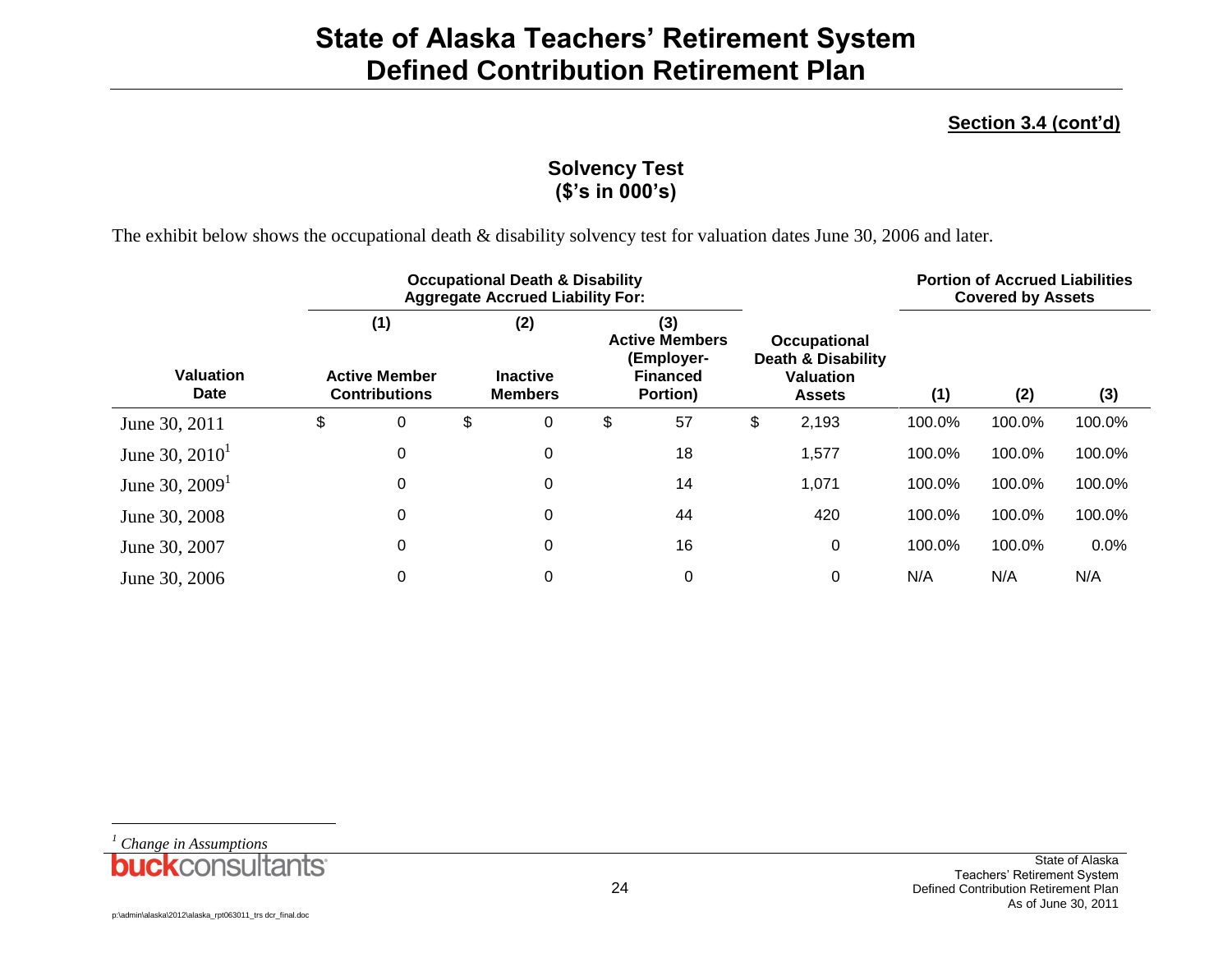### **Section 3.4 (cont'd)**

### **Solvency Test (\$'s in 000's)**

The exhibit below shows the occupational death & disability solvency test for valuation dates June 30, 2006 and later.

|                          | <b>Occupational Death &amp; Disability</b><br><b>Aggregate Accrued Liability For:</b> |    |                                          |    |                                                                           |    |                                                                                           | <b>Portion of Accrued Liabilities</b><br><b>Covered by Assets</b> |        |        |  |
|--------------------------|---------------------------------------------------------------------------------------|----|------------------------------------------|----|---------------------------------------------------------------------------|----|-------------------------------------------------------------------------------------------|-------------------------------------------------------------------|--------|--------|--|
| <b>Valuation</b><br>Date | (1)<br><b>Active Member</b><br><b>Contributions</b>                                   |    | (2)<br><b>Inactive</b><br><b>Members</b> |    | (3)<br><b>Active Members</b><br>(Employer-<br><b>Financed</b><br>Portion) |    | <b>Occupational</b><br><b>Death &amp; Disability</b><br><b>Valuation</b><br><b>Assets</b> | (1)                                                               | (2)    | (3)    |  |
| June 30, 2011            | \$<br>0                                                                               | \$ | 0                                        | \$ | 57                                                                        | \$ | 2,193                                                                                     | 100.0%                                                            | 100.0% | 100.0% |  |
| June 30, $2010^1$        | 0                                                                                     |    | 0                                        |    | 18                                                                        |    | 1,577                                                                                     | 100.0%                                                            | 100.0% | 100.0% |  |
| June 30, $20091$         | $\Omega$                                                                              |    | 0                                        |    | 14                                                                        |    | 1,071                                                                                     | 100.0%                                                            | 100.0% | 100.0% |  |
| June 30, 2008            | 0                                                                                     |    | 0                                        |    | 44                                                                        |    | 420                                                                                       | 100.0%                                                            | 100.0% | 100.0% |  |
| June 30, 2007            | 0                                                                                     |    | 0                                        |    | 16                                                                        |    | 0                                                                                         | 100.0%                                                            | 100.0% | 0.0%   |  |
| June 30, 2006            | $\Omega$                                                                              |    | 0                                        |    | 0                                                                         |    | 0                                                                                         | N/A                                                               | N/A    | N/A    |  |

*<sup>1</sup> Change in Assumptions*

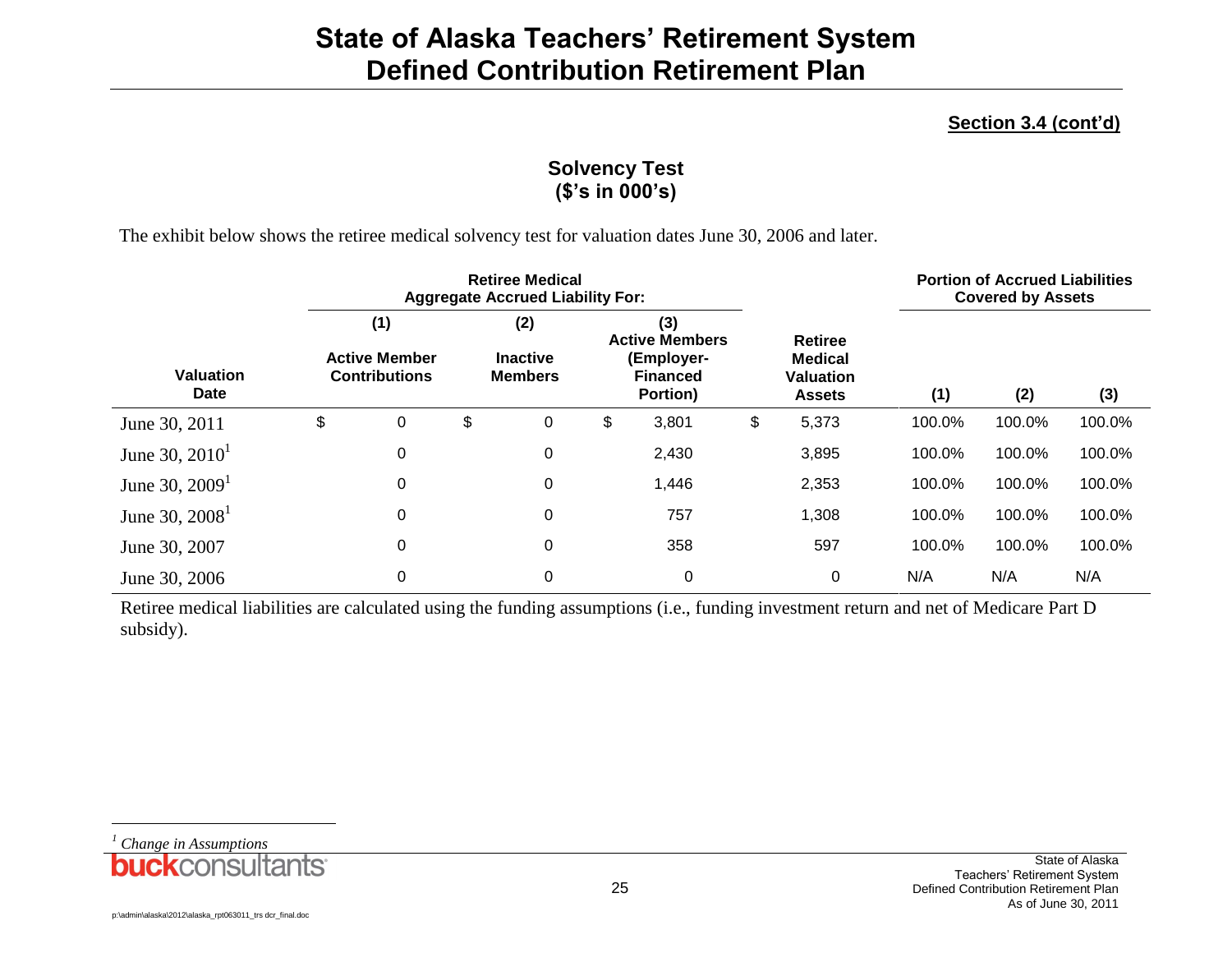### **Section 3.4 (cont'd)**

### **Solvency Test (\$'s in 000's)**

The exhibit below shows the retiree medical solvency test for valuation dates June 30, 2006 and later.

|                                 | <b>Retiree Medical</b><br><b>Aggregate Accrued Liability For:</b> |    |                                          |    |                                                                           |    |                                                                       | <b>Portion of Accrued Liabilities</b><br><b>Covered by Assets</b> |        |        |  |
|---------------------------------|-------------------------------------------------------------------|----|------------------------------------------|----|---------------------------------------------------------------------------|----|-----------------------------------------------------------------------|-------------------------------------------------------------------|--------|--------|--|
| <b>Valuation</b><br><b>Date</b> | (1)<br><b>Active Member</b><br><b>Contributions</b>               |    | (2)<br><b>Inactive</b><br><b>Members</b> |    | (3)<br><b>Active Members</b><br>(Employer-<br><b>Financed</b><br>Portion) |    | <b>Retiree</b><br><b>Medical</b><br><b>Valuation</b><br><b>Assets</b> | (1)                                                               | (2)    | (3)    |  |
| June 30, 2011                   | \$<br>0                                                           | \$ | 0                                        | \$ | 3,801                                                                     | \$ | 5,373                                                                 | 100.0%                                                            | 100.0% | 100.0% |  |
| June 30, $2010^1$               | $\pmb{0}$                                                         |    | 0                                        |    | 2,430                                                                     |    | 3,895                                                                 | 100.0%                                                            | 100.0% | 100.0% |  |
| June 30, $20091$                | 0                                                                 |    | 0                                        |    | 1,446                                                                     |    | 2,353                                                                 | 100.0%                                                            | 100.0% | 100.0% |  |
| June 30, $2008^1$               | $\pmb{0}$                                                         |    | $\mathbf 0$                              |    | 757                                                                       |    | 1,308                                                                 | 100.0%                                                            | 100.0% | 100.0% |  |
| June 30, 2007                   | $\pmb{0}$                                                         |    | 0                                        |    | 358                                                                       |    | 597                                                                   | 100.0%                                                            | 100.0% | 100.0% |  |
| June 30, 2006                   | $\pmb{0}$                                                         |    | 0                                        |    | 0                                                                         |    | 0                                                                     | N/A                                                               | N/A    | N/A    |  |

Retiree medical liabilities are calculated using the funding assumptions (i.e., funding investment return and net of Medicare Part D subsidy).

*<sup>1</sup> Change in Assumptions*

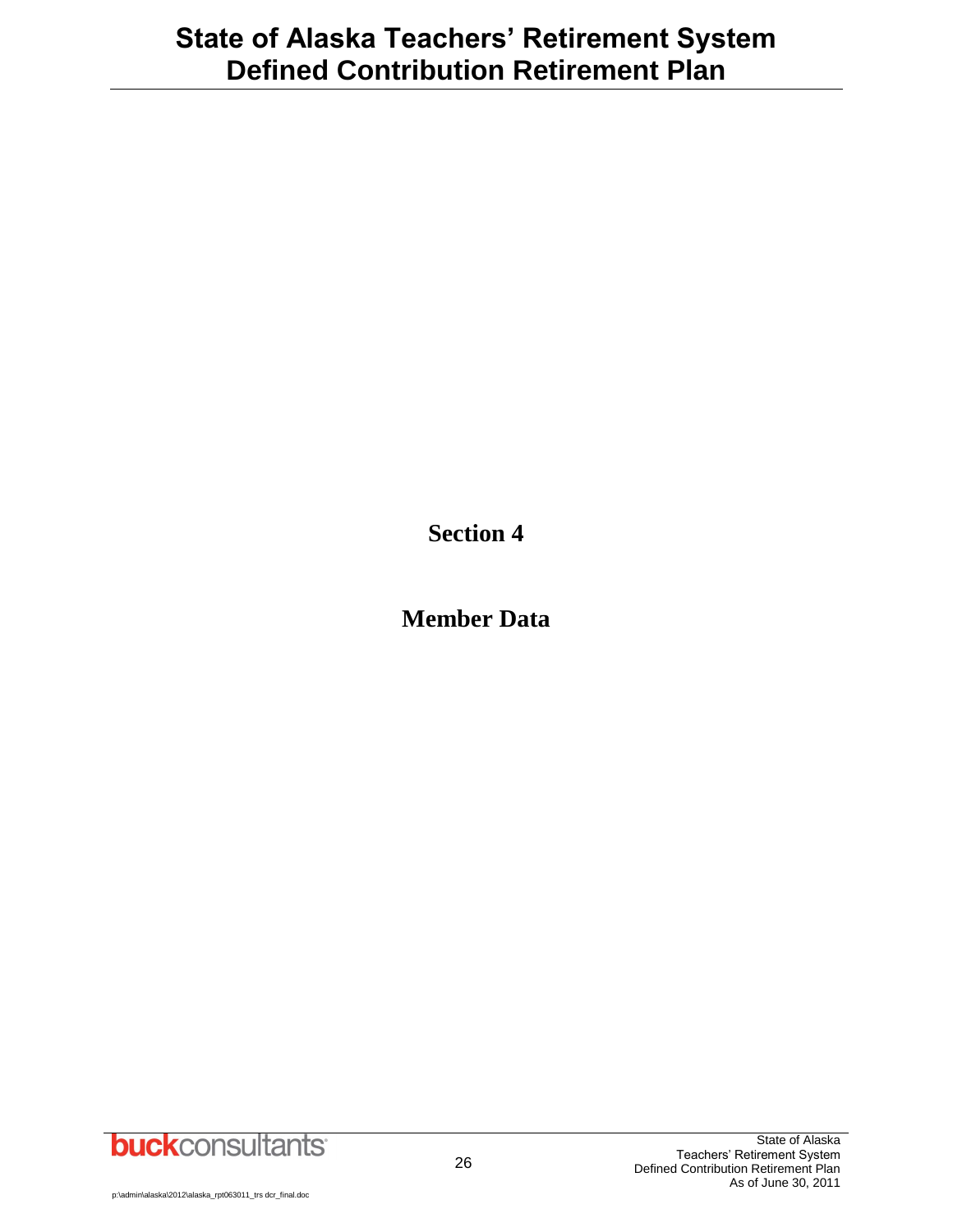**Section 4**

**Member Data**

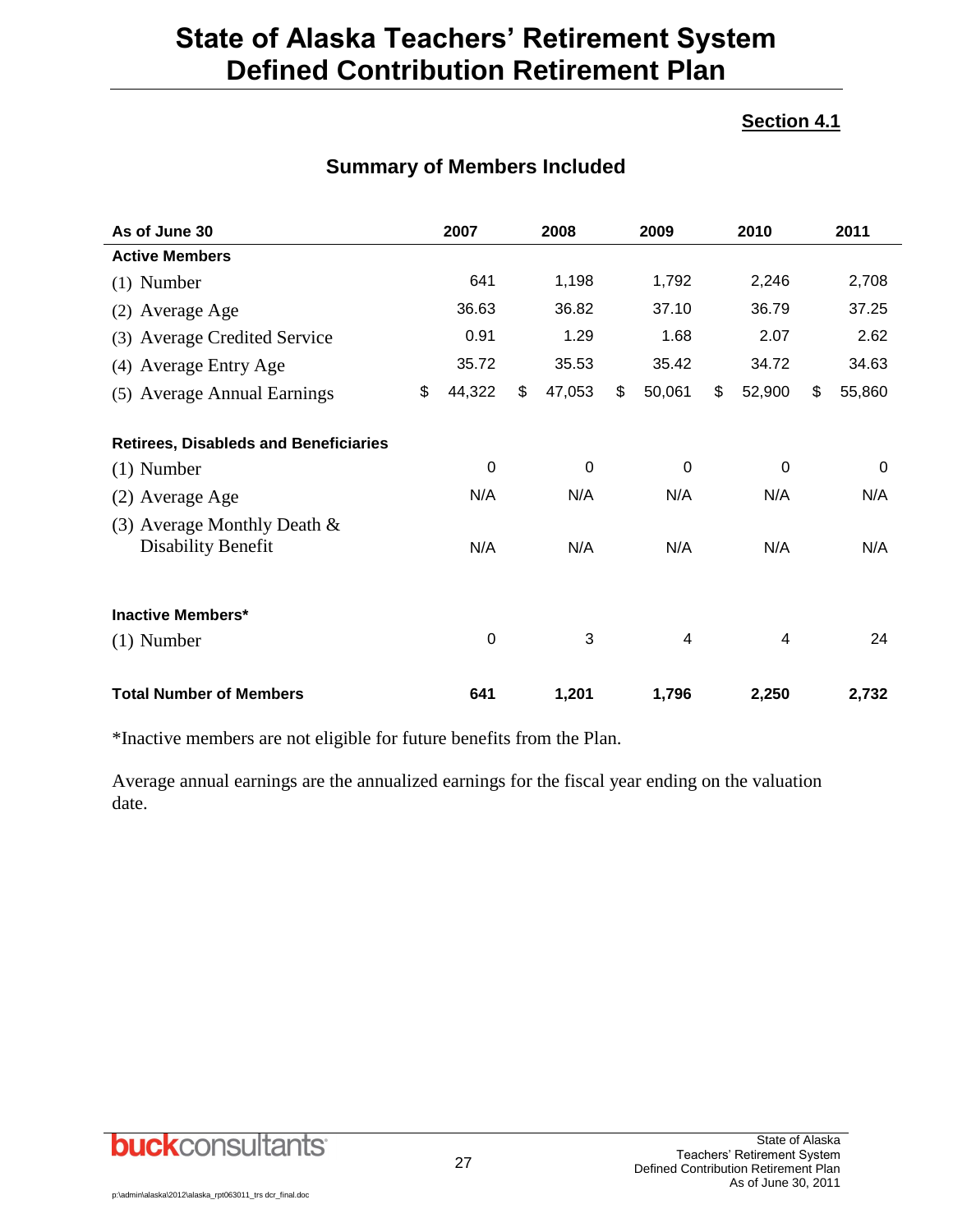#### **Section 4.1**

| As of June 30                                        | 2007         | 2008         | 2009         | 2010         | 2011         |
|------------------------------------------------------|--------------|--------------|--------------|--------------|--------------|
| <b>Active Members</b>                                |              |              |              |              |              |
| $(1)$ Number                                         | 641          | 1,198        | 1,792        | 2,246        | 2,708        |
| (2) Average Age                                      | 36.63        | 36.82        | 37.10        | 36.79        | 37.25        |
| (3) Average Credited Service                         | 0.91         | 1.29         | 1.68         | 2.07         | 2.62         |
| (4) Average Entry Age                                | 35.72        | 35.53        | 35.42        | 34.72        | 34.63        |
| (5) Average Annual Earnings                          | \$<br>44,322 | \$<br>47,053 | \$<br>50,061 | \$<br>52,900 | \$<br>55,860 |
| <b>Retirees, Disableds and Beneficiaries</b>         |              |              |              |              |              |
| $(1)$ Number                                         | 0            | 0            | $\mathbf 0$  | $\mathbf 0$  | 0            |
| (2) Average Age                                      | N/A          | N/A          | N/A          | N/A          | N/A          |
| (3) Average Monthly Death $\&$<br>Disability Benefit | N/A          | N/A          | N/A          | N/A          | N/A          |
| <b>Inactive Members*</b>                             |              |              |              |              |              |
| $(1)$ Number                                         | 0            | 3            | 4            | 4            | 24           |
| <b>Total Number of Members</b>                       | 641          | 1,201        | 1,796        | 2,250        | 2,732        |

### **Summary of Members Included**

\*Inactive members are not eligible for future benefits from the Plan.

Average annual earnings are the annualized earnings for the fiscal year ending on the valuation date.

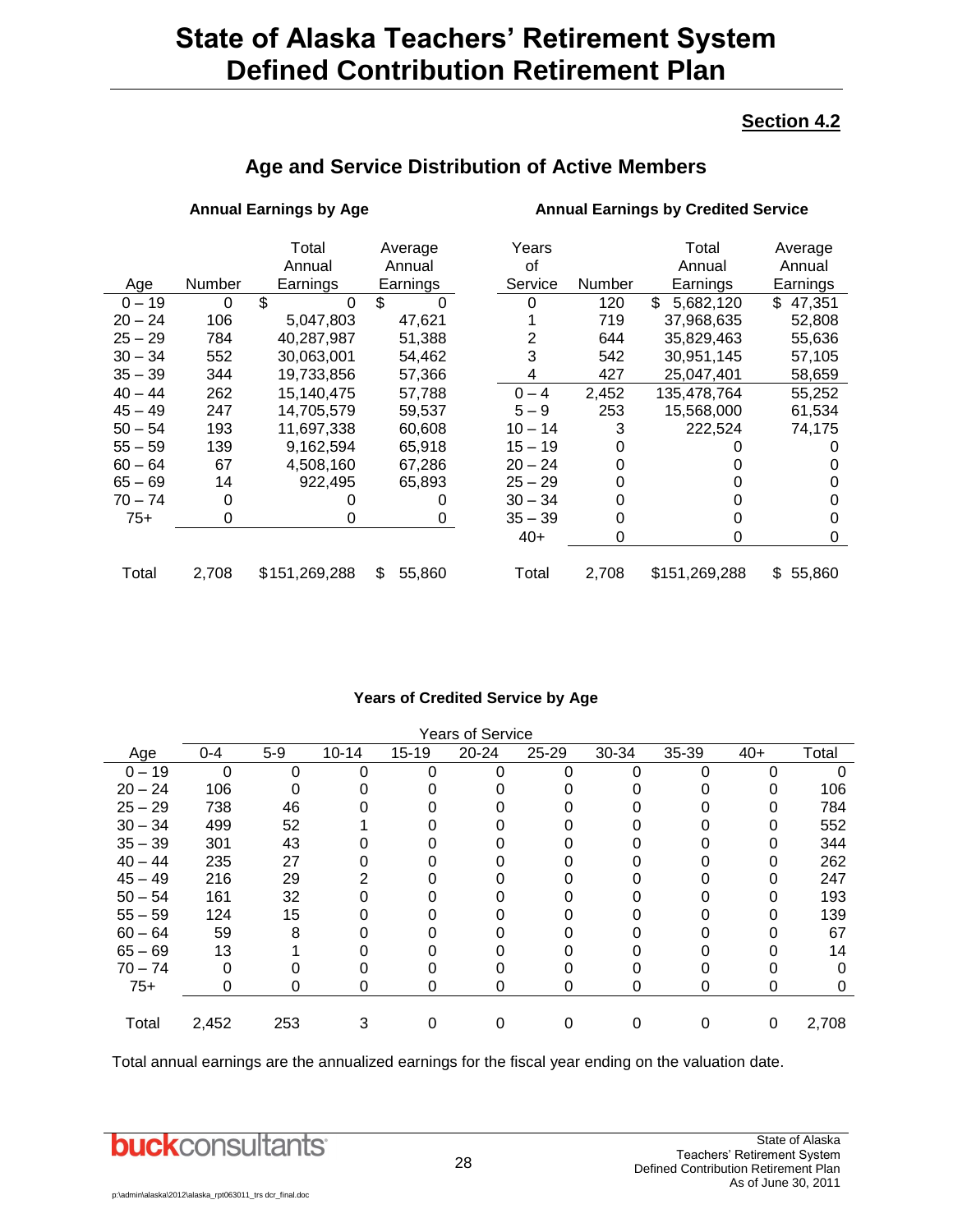#### **Section 4.2**

|           |        | Total         | Average      | Years     |        | Total           | Average      |
|-----------|--------|---------------|--------------|-----------|--------|-----------------|--------------|
|           |        | Annual        | Annual       | οf        |        | Annual          | Annual       |
| Age       | Number | Earnings      | Earnings     | Service   | Number | Earnings        | Earnings     |
| $0 - 19$  | 0      | \$<br>0       | \$<br>0      | 0         | 120    | \$<br>5,682,120 | \$<br>47,351 |
| $20 - 24$ | 106    | 5,047,803     | 47,621       |           | 719    | 37,968,635      | 52,808       |
| $25 - 29$ | 784    | 40,287,987    | 51,388       | 2         | 644    | 35,829,463      | 55,636       |
| $30 - 34$ | 552    | 30,063,001    | 54,462       | 3         | 542    | 30,951,145      | 57,105       |
| $35 - 39$ | 344    | 19,733,856    | 57,366       | 4         | 427    | 25,047,401      | 58,659       |
| $40 - 44$ | 262    | 15,140,475    | 57,788       | $0 - 4$   | 2,452  | 135,478,764     | 55,252       |
| $45 - 49$ | 247    | 14,705,579    | 59,537       | $5 - 9$   | 253    | 15,568,000      | 61,534       |
| $50 - 54$ | 193    | 11,697,338    | 60,608       | $10 - 14$ | 3      | 222,524         | 74,175       |
| $55 - 59$ | 139    | 9,162,594     | 65,918       | $15 - 19$ |        |                 |              |
| $60 - 64$ | 67     | 4,508,160     | 67.286       | $20 - 24$ |        |                 |              |
| $65 - 69$ | 14     | 922,495       | 65,893       | $25 - 29$ |        |                 |              |
| $70 - 74$ | 0      |               |              | $30 - 34$ |        |                 | 0            |
| $75+$     | 0      | 0             | 0            | $35 - 39$ |        |                 | 0            |
|           |        |               |              | $40+$     | 0      | O               | 0            |
|           |        |               |              |           |        |                 |              |
| Total     | 2,708  | \$151,269,288 | \$<br>55,860 | Total     | 2,708  | \$151,269,288   | \$<br>55,860 |

### **Age and Service Distribution of Active Members**

**Annual Earnings by Age Annual Earnings by Credited Service**

#### **Years of Credited Service by Age**

|           | <b>Years of Service</b> |       |           |           |       |           |       |       |       |       |
|-----------|-------------------------|-------|-----------|-----------|-------|-----------|-------|-------|-------|-------|
| Age       | $0 - 4$                 | $5-9$ | $10 - 14$ | $15 - 19$ | 20-24 | $25 - 29$ | 30-34 | 35-39 | $40+$ | Total |
| $0 - 19$  | $\Omega$                | 0     |           | ი         | O     | 0         | ი     |       | 0     |       |
| $20 - 24$ | 106                     |       |           |           |       |           |       |       | 0     | 106   |
| $25 - 29$ | 738                     | 46    |           |           |       |           |       |       |       | 784   |
| $30 - 34$ | 499                     | 52    |           |           |       |           |       |       | 0     | 552   |
| $35 - 39$ | 301                     | 43    |           |           |       |           |       |       | 0     | 344   |
| $40 - 44$ | 235                     | 27    |           |           |       |           |       |       |       | 262   |
| $45 - 49$ | 216                     | 29    |           |           |       |           |       |       |       | 247   |
| $50 - 54$ | 161                     | 32    |           |           |       |           |       |       | 0     | 193   |
| $55 - 59$ | 124                     | 15    |           |           |       |           |       |       | 0     | 139   |
| $60 - 64$ | 59                      | 8     |           |           |       |           |       |       |       | 67    |
| $65 - 69$ | 13                      |       |           |           |       |           |       |       |       | 14    |
| $70 - 74$ | 0                       |       |           |           |       |           |       |       |       |       |
| $75+$     | 0                       |       |           | O         | O     | 0         |       | U     | O     |       |
|           |                         |       |           |           |       |           |       |       |       |       |
| Total     | 2,452                   | 253   |           |           |       |           |       |       | 0     | 2,708 |

Total annual earnings are the annualized earnings for the fiscal year ending on the valuation date.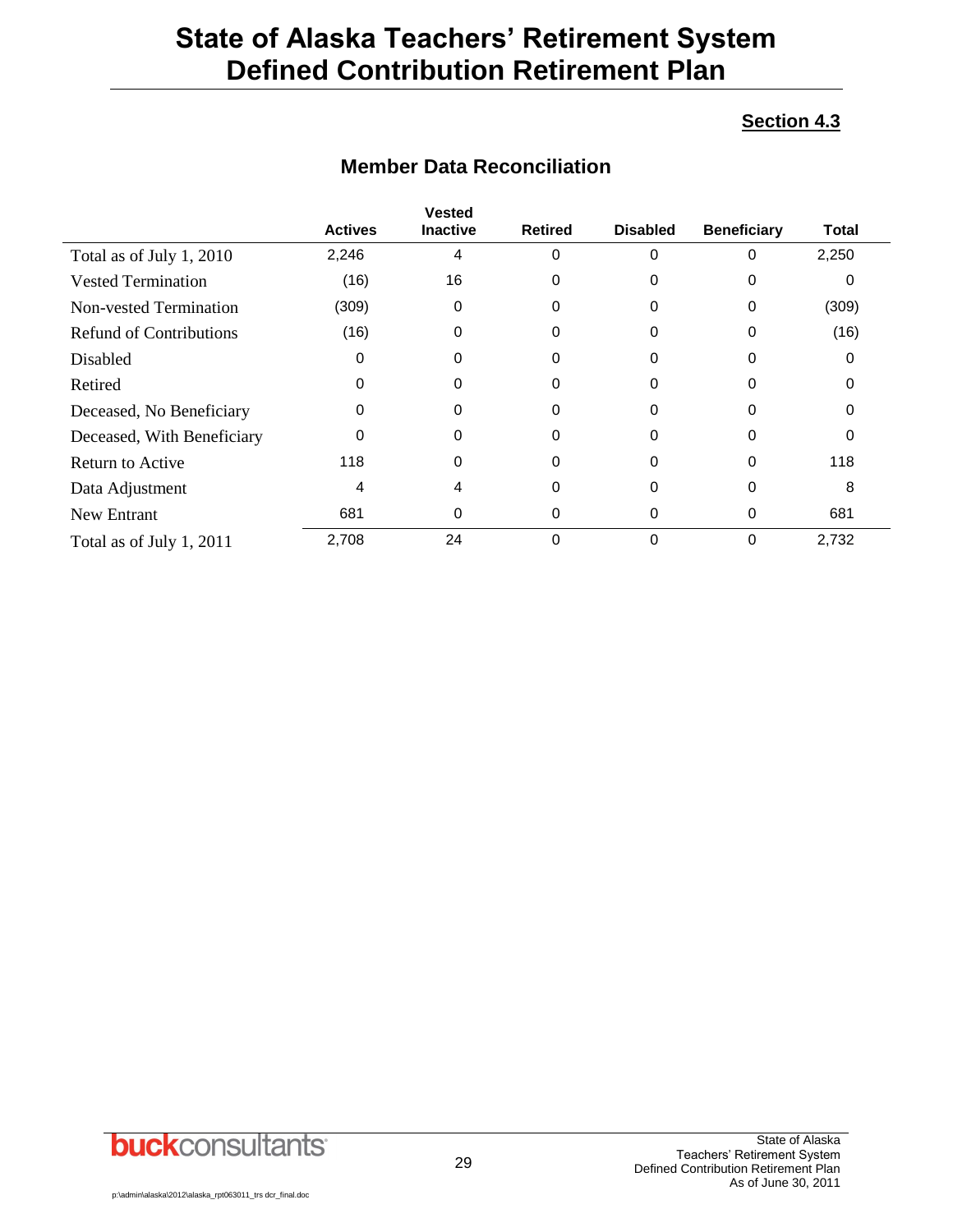#### **Section 4.3**

|                                |                | <b>Vested</b>   |                |                 |                    |       |
|--------------------------------|----------------|-----------------|----------------|-----------------|--------------------|-------|
|                                | <b>Actives</b> | <b>Inactive</b> | <b>Retired</b> | <b>Disabled</b> | <b>Beneficiary</b> | Total |
| Total as of July 1, 2010       | 2,246          | 4               | 0              | 0               | 0                  | 2,250 |
| <b>Vested Termination</b>      | (16)           | 16              | 0              | 0               | 0                  |       |
| Non-vested Termination         | (309)          | 0               | 0              | 0               | 0                  | (309) |
| <b>Refund of Contributions</b> | (16)           | 0               | 0              | 0               | 0                  | (16)  |
| Disabled                       | 0              | 0               | 0              | 0               | 0                  |       |
| Retired                        | 0              | 0               | 0              | 0               | 0                  |       |
| Deceased, No Beneficiary       | 0              | 0               | 0              | 0               | 0                  |       |
| Deceased, With Beneficiary     | 0              | 0               | 0              | 0               | 0                  | 0     |
| Return to Active               | 118            | 0               | 0              | 0               | 0                  | 118   |
| Data Adjustment                | 4              | 4               | 0              | 0               | 0                  | 8     |
| New Entrant                    | 681            | 0               | 0              | 0               | 0                  | 681   |
| Total as of July 1, 2011       | 2,708          | 24              | 0              | 0               | 0                  | 2,732 |

### **Member Data Reconciliation**

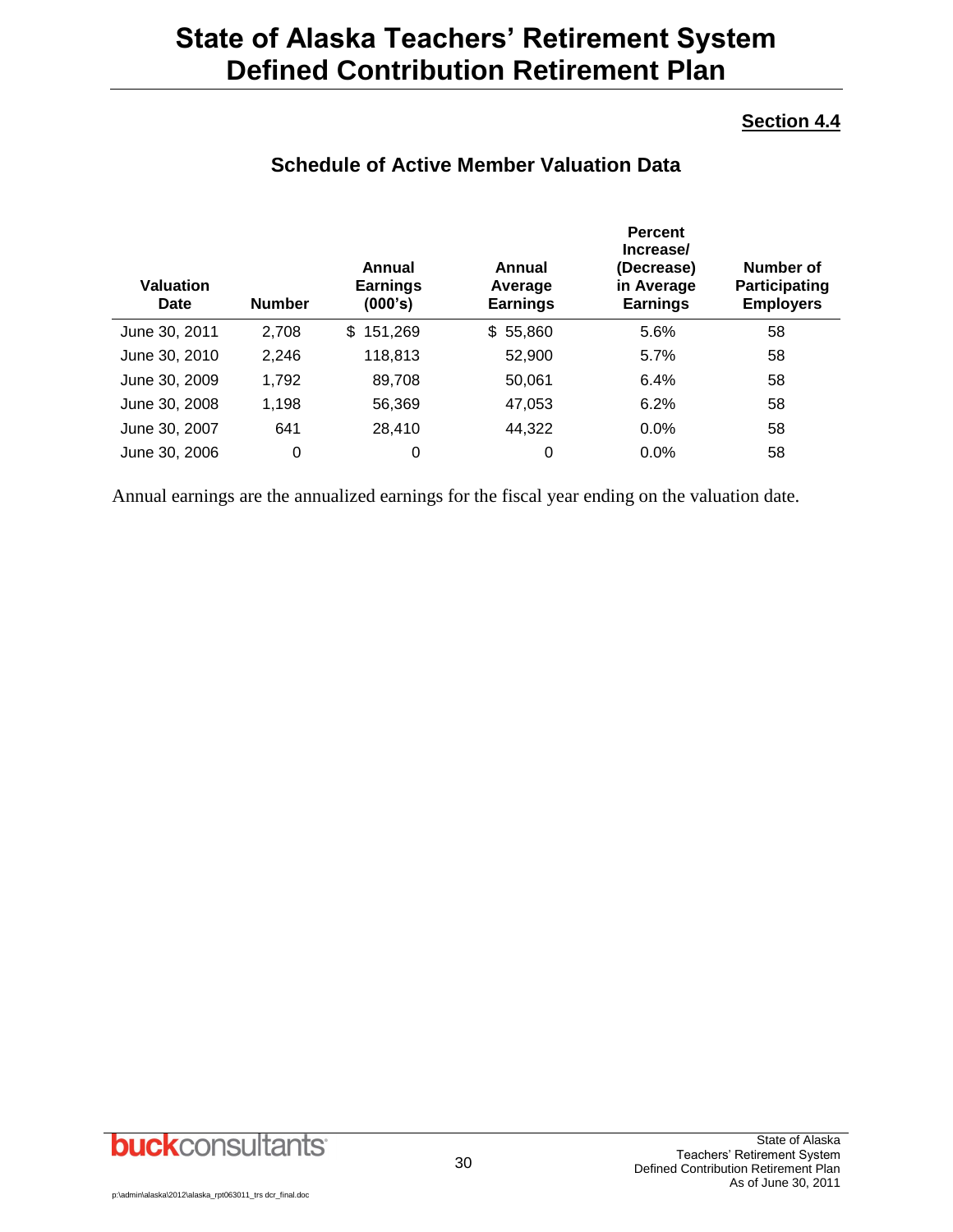#### **Section 4.4**

| <b>Valuation</b><br>Date | <b>Number</b> | Annual<br><b>Earnings</b><br>(000's) | Annual<br>Average<br><b>Earnings</b> | <b>Percent</b><br>Increase/<br>(Decrease)<br>in Average<br><b>Earnings</b> | Number of<br>Participating<br><b>Employers</b> |
|--------------------------|---------------|--------------------------------------|--------------------------------------|----------------------------------------------------------------------------|------------------------------------------------|
| June 30, 2011            | 2,708         | 151,269<br>\$.                       | \$55,860                             | 5.6%                                                                       | 58                                             |
| June 30, 2010            | 2.246         | 118,813                              | 52,900                               | 5.7%                                                                       | 58                                             |
| June 30, 2009            | 1,792         | 89,708                               | 50,061                               | 6.4%                                                                       | 58                                             |
| June 30, 2008            | 1,198         | 56,369                               | 47,053                               | 6.2%                                                                       | 58                                             |
| June 30, 2007            | 641           | 28.410                               | 44,322                               | 0.0%                                                                       | 58                                             |
| June 30, 2006            | 0             | 0                                    | 0                                    | 0.0%                                                                       | 58                                             |

### **Schedule of Active Member Valuation Data**

Annual earnings are the annualized earnings for the fiscal year ending on the valuation date.

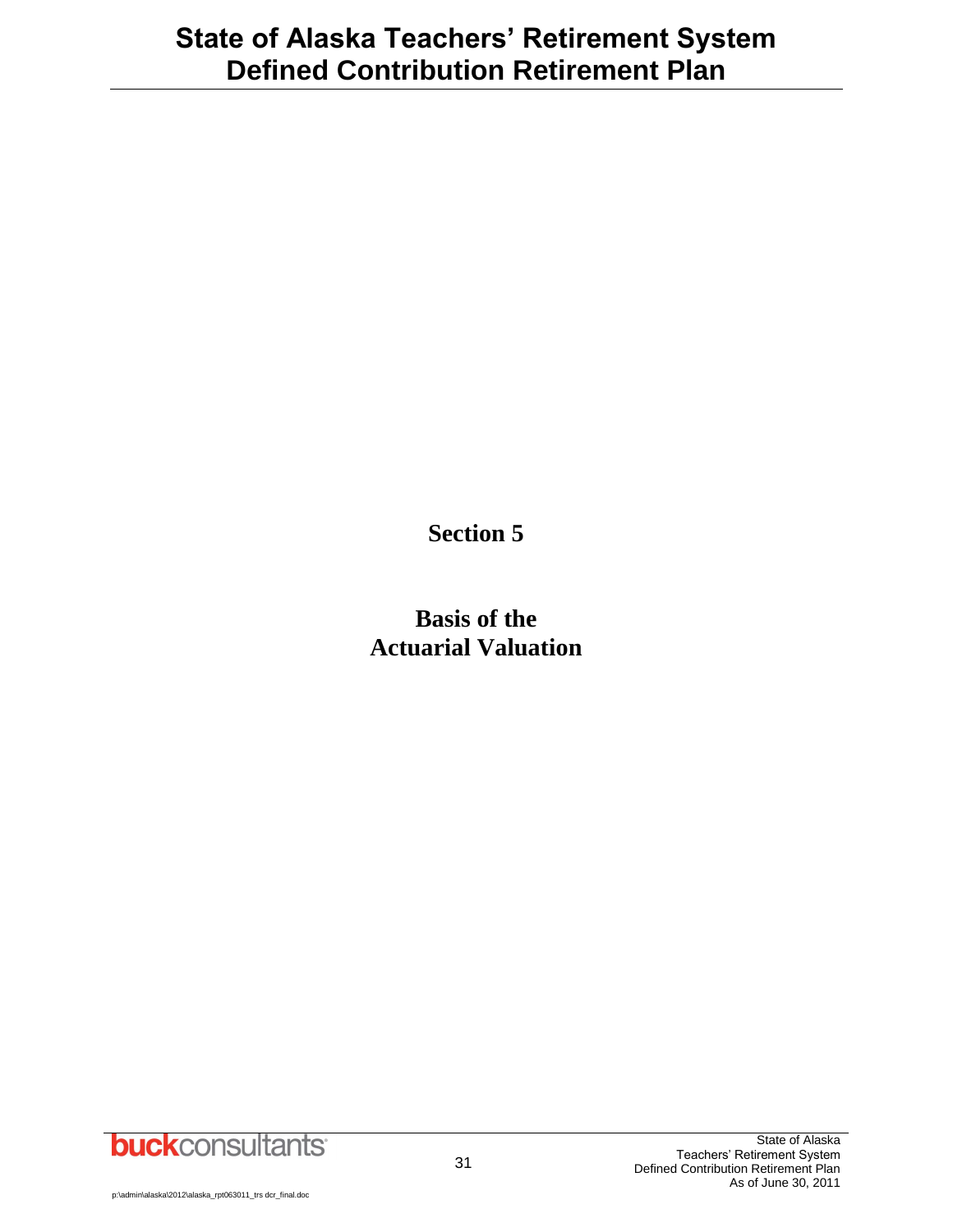**Section 5**

**Basis of the Actuarial Valuation**

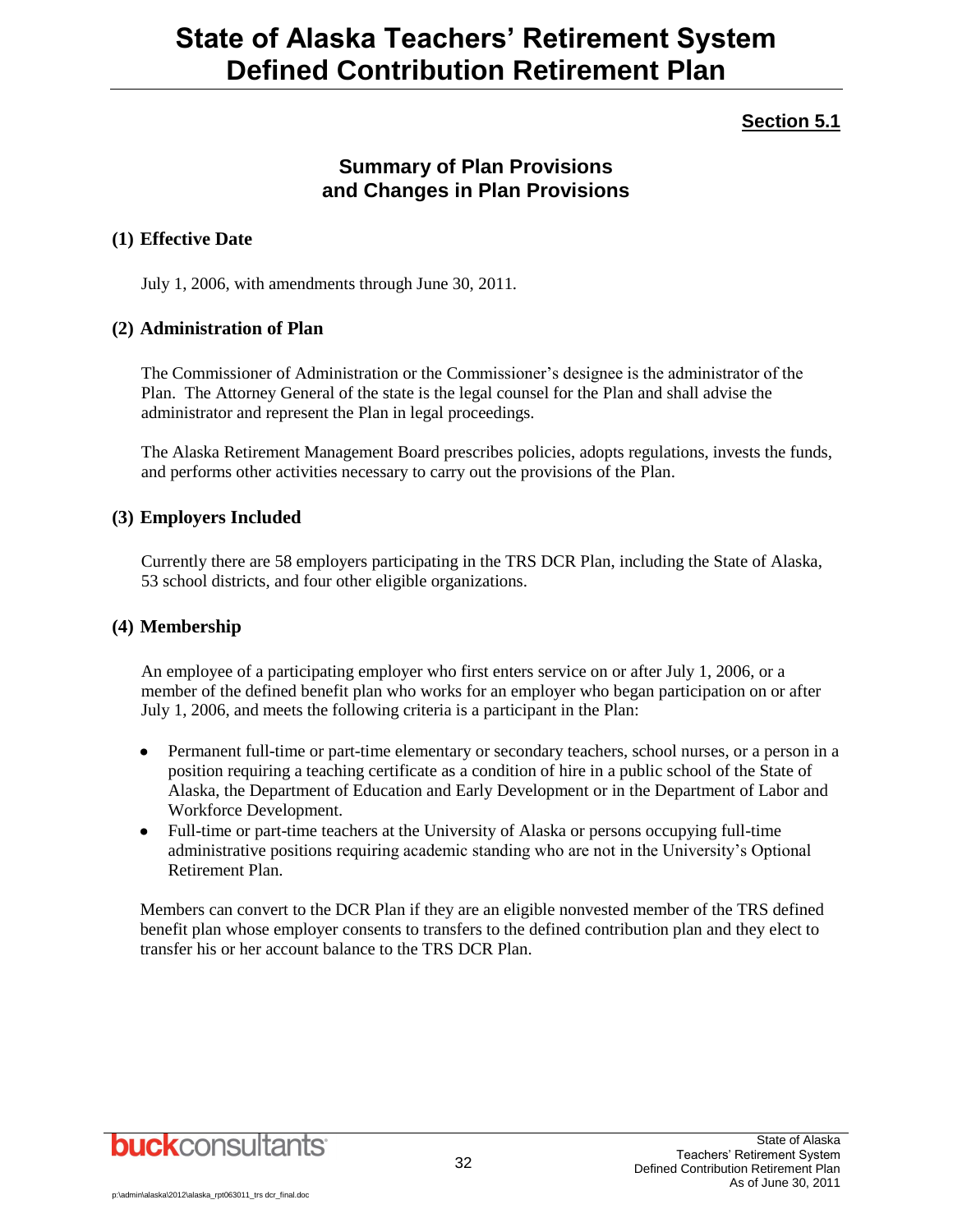### **Section 5.1**

### **Summary of Plan Provisions and Changes in Plan Provisions**

#### **(1) Effective Date**

July 1, 2006, with amendments through June 30, 2011.

#### **(2) Administration of Plan**

The Commissioner of Administration or the Commissioner's designee is the administrator of the Plan. The Attorney General of the state is the legal counsel for the Plan and shall advise the administrator and represent the Plan in legal proceedings.

The Alaska Retirement Management Board prescribes policies, adopts regulations, invests the funds, and performs other activities necessary to carry out the provisions of the Plan.

#### **(3) Employers Included**

Currently there are 58 employers participating in the TRS DCR Plan, including the State of Alaska, 53 school districts, and four other eligible organizations.

#### **(4) Membership**

An employee of a participating employer who first enters service on or after July 1, 2006, or a member of the defined benefit plan who works for an employer who began participation on or after July 1, 2006, and meets the following criteria is a participant in the Plan:

- Permanent full-time or part-time elementary or secondary teachers, school nurses, or a person in a position requiring a teaching certificate as a condition of hire in a public school of the State of Alaska, the Department of Education and Early Development or in the Department of Labor and Workforce Development.
- Full-time or part-time teachers at the University of Alaska or persons occupying full-time administrative positions requiring academic standing who are not in the University's Optional Retirement Plan.

Members can convert to the DCR Plan if they are an eligible nonvested member of the TRS defined benefit plan whose employer consents to transfers to the defined contribution plan and they elect to transfer his or her account balance to the TRS DCR Plan.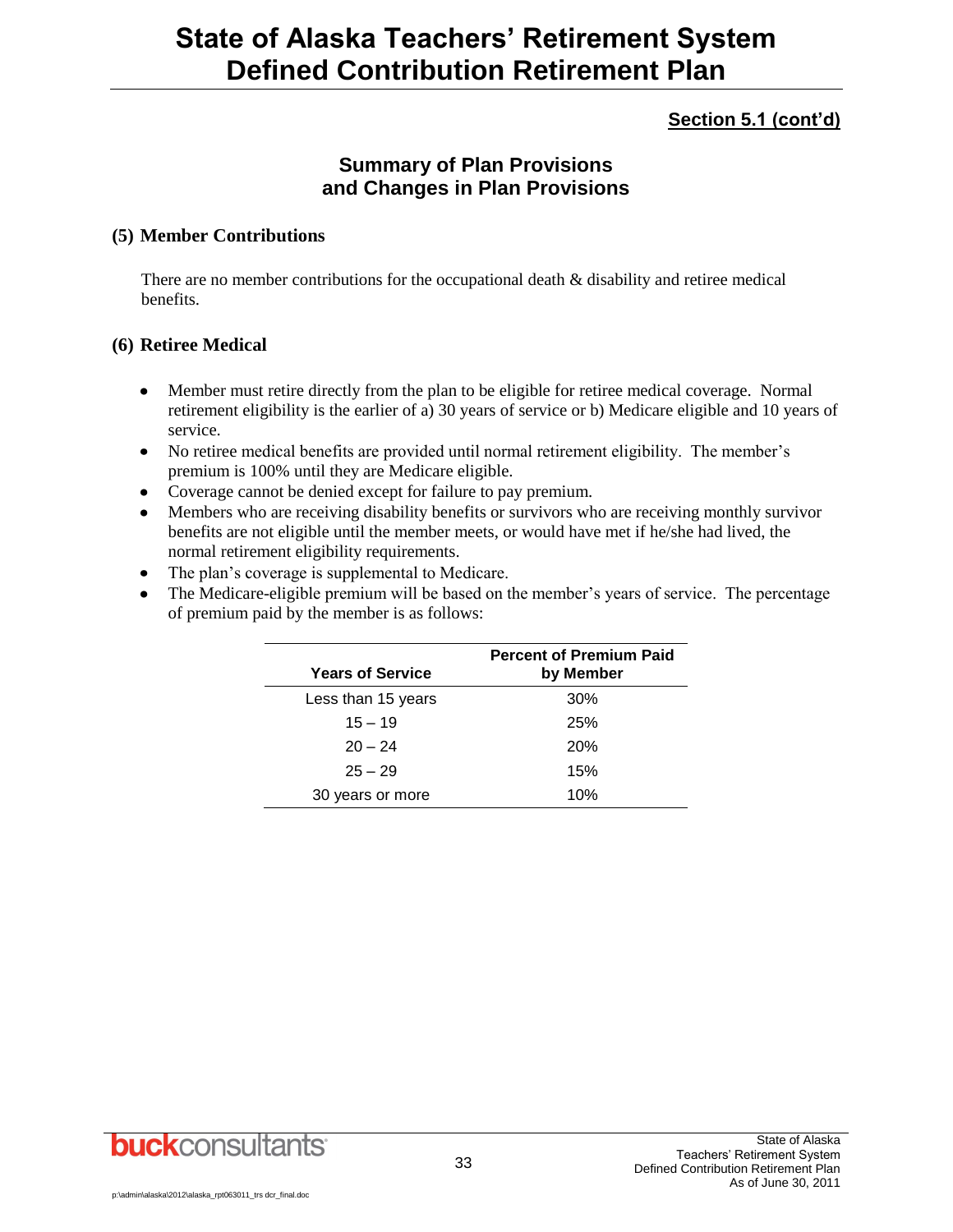### **Section 5.1 (cont'd)**

### **Summary of Plan Provisions and Changes in Plan Provisions**

#### **(5) Member Contributions**

There are no member contributions for the occupational death & disability and retiree medical benefits.

#### **(6) Retiree Medical**

- $\bullet$ Member must retire directly from the plan to be eligible for retiree medical coverage. Normal retirement eligibility is the earlier of a) 30 years of service or b) Medicare eligible and 10 years of service.
- No retiree medical benefits are provided until normal retirement eligibility. The member's premium is 100% until they are Medicare eligible.
- Coverage cannot be denied except for failure to pay premium.
- Members who are receiving disability benefits or survivors who are receiving monthly survivor benefits are not eligible until the member meets, or would have met if he/she had lived, the normal retirement eligibility requirements.
- The plan's coverage is supplemental to Medicare.
- The Medicare-eligible premium will be based on the member's years of service. The percentage of premium paid by the member is as follows:

| <b>Years of Service</b> | <b>Percent of Premium Paid</b><br>by Member |
|-------------------------|---------------------------------------------|
| Less than 15 years      | 30%                                         |
| $15 - 19$               | 25%                                         |
| $20 - 24$               | 20%                                         |
| $25 - 29$               | 15%                                         |
| 30 years or more        | 10%                                         |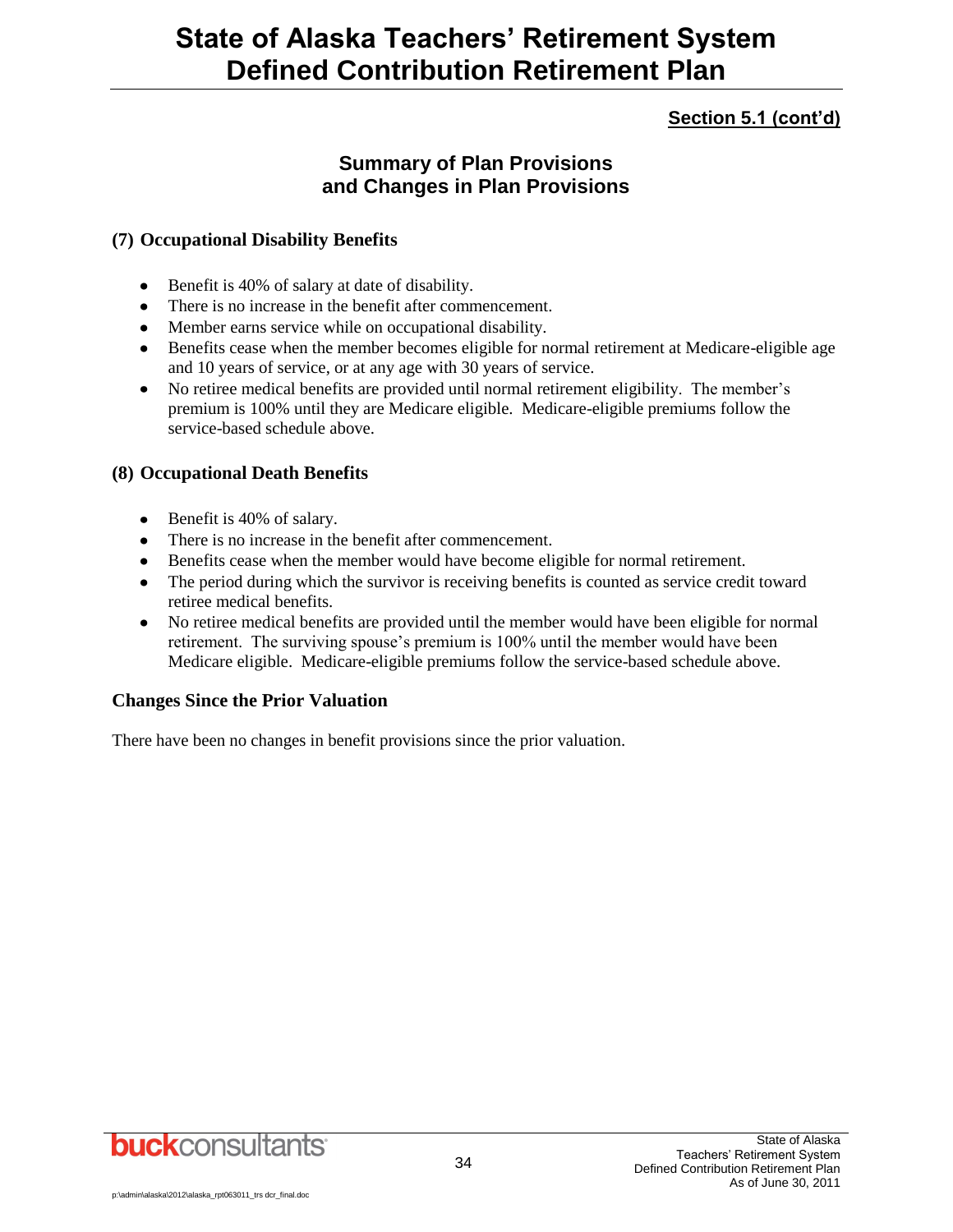### **Section 5.1 (cont'd)**

### **Summary of Plan Provisions and Changes in Plan Provisions**

#### **(7) Occupational Disability Benefits**

- Benefit is 40% of salary at date of disability.
- There is no increase in the benefit after commencement.
- Member earns service while on occupational disability.
- Benefits cease when the member becomes eligible for normal retirement at Medicare-eligible age and 10 years of service, or at any age with 30 years of service.
- No retiree medical benefits are provided until normal retirement eligibility. The member's  $\bullet$ premium is 100% until they are Medicare eligible. Medicare-eligible premiums follow the service-based schedule above.

#### **(8) Occupational Death Benefits**

- Benefit is 40% of salary.
- There is no increase in the benefit after commencement.
- Benefits cease when the member would have become eligible for normal retirement.
- The period during which the survivor is receiving benefits is counted as service credit toward retiree medical benefits.
- No retiree medical benefits are provided until the member would have been eligible for normal retirement. The surviving spouse's premium is 100% until the member would have been Medicare eligible. Medicare-eligible premiums follow the service-based schedule above.

#### **Changes Since the Prior Valuation**

There have been no changes in benefit provisions since the prior valuation.

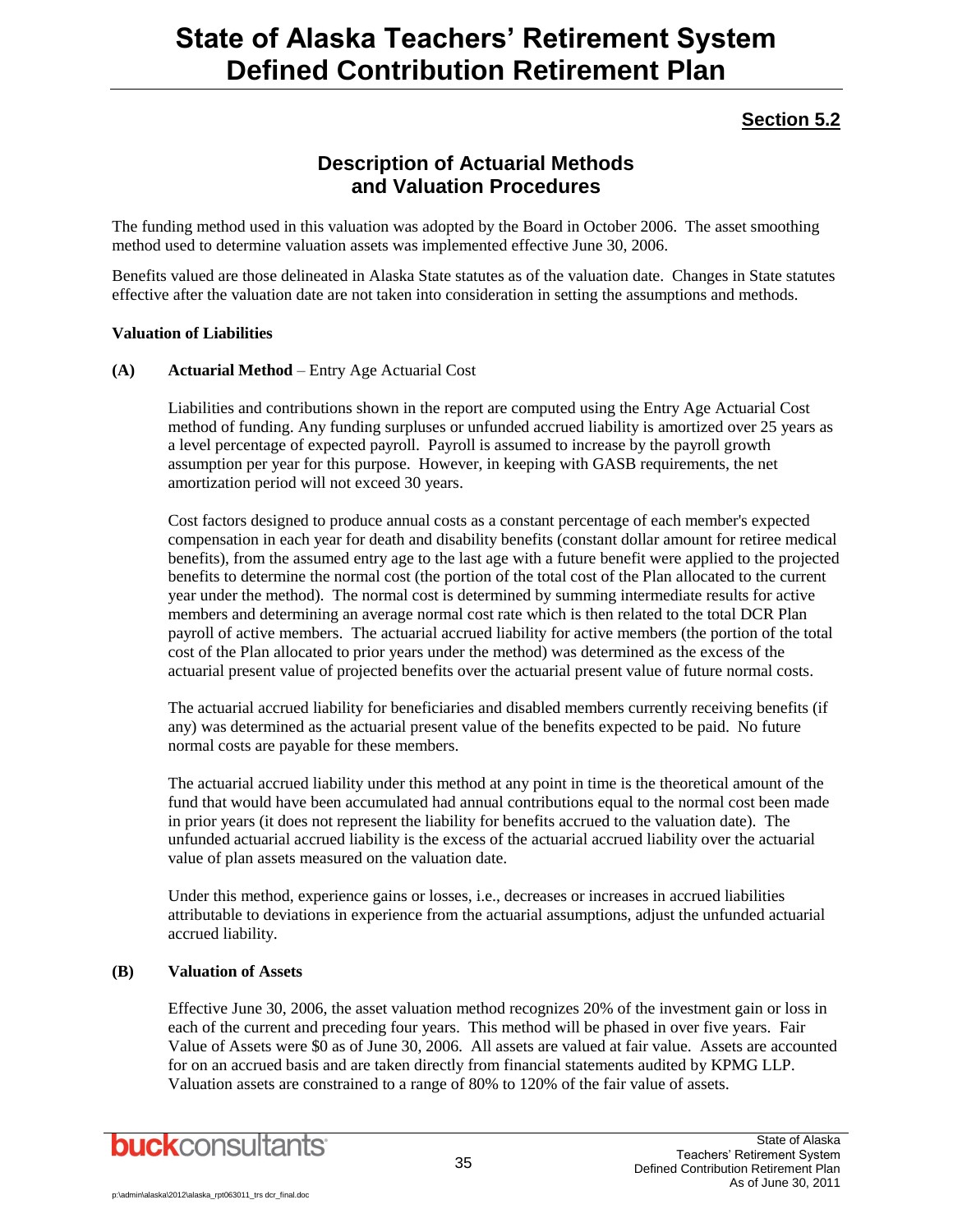### **Section 5.2**

### **Description of Actuarial Methods and Valuation Procedures**

The funding method used in this valuation was adopted by the Board in October 2006. The asset smoothing method used to determine valuation assets was implemented effective June 30, 2006.

Benefits valued are those delineated in Alaska State statutes as of the valuation date. Changes in State statutes effective after the valuation date are not taken into consideration in setting the assumptions and methods.

#### **Valuation of Liabilities**

#### **(A) Actuarial Method** – Entry Age Actuarial Cost

Liabilities and contributions shown in the report are computed using the Entry Age Actuarial Cost method of funding. Any funding surpluses or unfunded accrued liability is amortized over 25 years as a level percentage of expected payroll. Payroll is assumed to increase by the payroll growth assumption per year for this purpose. However, in keeping with GASB requirements, the net amortization period will not exceed 30 years.

Cost factors designed to produce annual costs as a constant percentage of each member's expected compensation in each year for death and disability benefits (constant dollar amount for retiree medical benefits), from the assumed entry age to the last age with a future benefit were applied to the projected benefits to determine the normal cost (the portion of the total cost of the Plan allocated to the current year under the method). The normal cost is determined by summing intermediate results for active members and determining an average normal cost rate which is then related to the total DCR Plan payroll of active members. The actuarial accrued liability for active members (the portion of the total cost of the Plan allocated to prior years under the method) was determined as the excess of the actuarial present value of projected benefits over the actuarial present value of future normal costs.

The actuarial accrued liability for beneficiaries and disabled members currently receiving benefits (if any) was determined as the actuarial present value of the benefits expected to be paid. No future normal costs are payable for these members.

The actuarial accrued liability under this method at any point in time is the theoretical amount of the fund that would have been accumulated had annual contributions equal to the normal cost been made in prior years (it does not represent the liability for benefits accrued to the valuation date). The unfunded actuarial accrued liability is the excess of the actuarial accrued liability over the actuarial value of plan assets measured on the valuation date.

Under this method, experience gains or losses, i.e., decreases or increases in accrued liabilities attributable to deviations in experience from the actuarial assumptions, adjust the unfunded actuarial accrued liability.

#### **(B) Valuation of Assets**

Effective June 30, 2006, the asset valuation method recognizes 20% of the investment gain or loss in each of the current and preceding four years. This method will be phased in over five years. Fair Value of Assets were \$0 as of June 30, 2006. All assets are valued at fair value. Assets are accounted for on an accrued basis and are taken directly from financial statements audited by KPMG LLP. Valuation assets are constrained to a range of 80% to 120% of the fair value of assets.

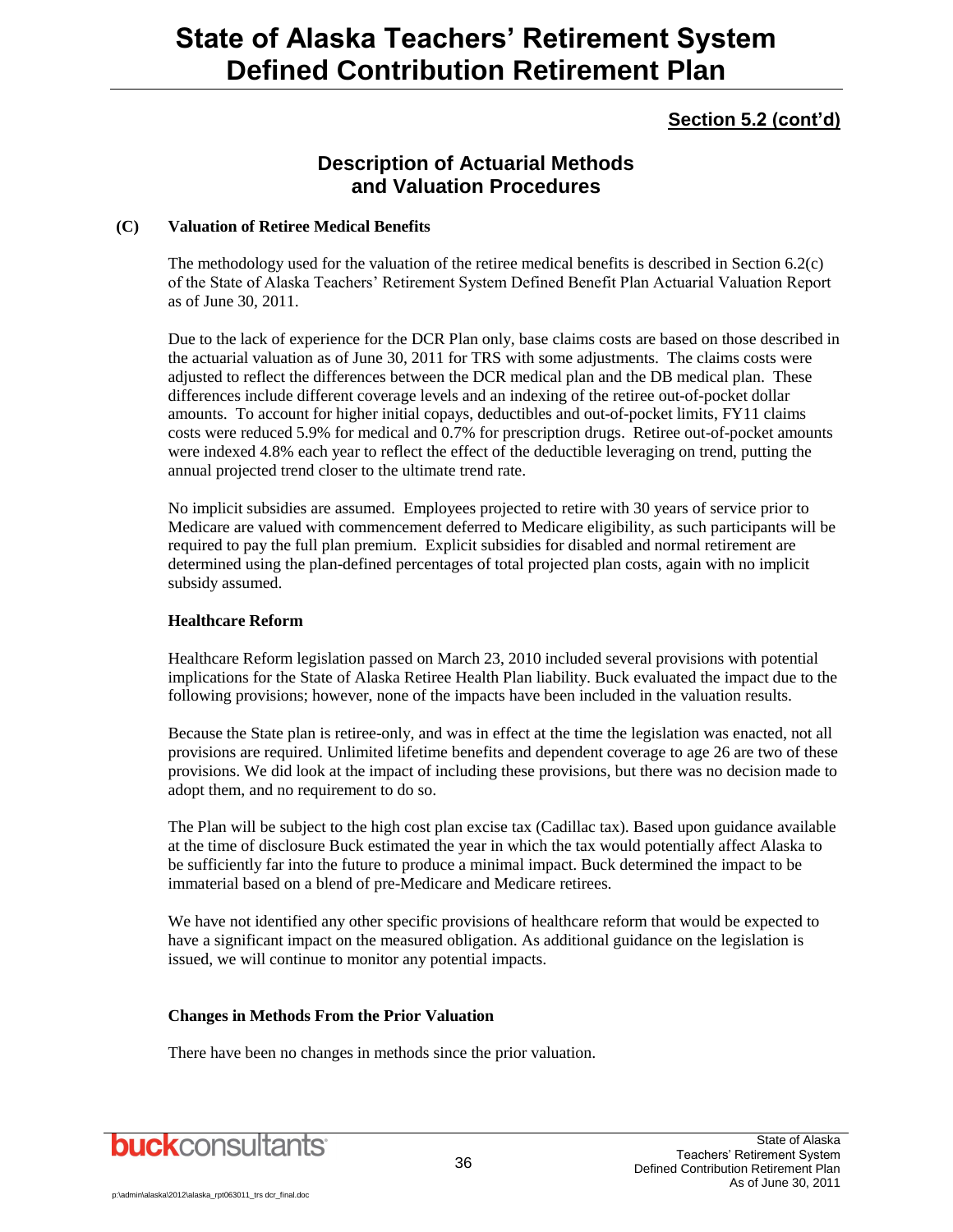### **Section 5.2 (cont'd)**

### **Description of Actuarial Methods and Valuation Procedures**

#### **(C) Valuation of Retiree Medical Benefits**

The methodology used for the valuation of the retiree medical benefits is described in Section 6.2(c) of the State of Alaska Teachers' Retirement System Defined Benefit Plan Actuarial Valuation Report as of June 30, 2011.

Due to the lack of experience for the DCR Plan only, base claims costs are based on those described in the actuarial valuation as of June 30, 2011 for TRS with some adjustments. The claims costs were adjusted to reflect the differences between the DCR medical plan and the DB medical plan. These differences include different coverage levels and an indexing of the retiree out-of-pocket dollar amounts. To account for higher initial copays, deductibles and out-of-pocket limits, FY11 claims costs were reduced 5.9% for medical and 0.7% for prescription drugs. Retiree out-of-pocket amounts were indexed 4.8% each year to reflect the effect of the deductible leveraging on trend, putting the annual projected trend closer to the ultimate trend rate.

No implicit subsidies are assumed. Employees projected to retire with 30 years of service prior to Medicare are valued with commencement deferred to Medicare eligibility, as such participants will be required to pay the full plan premium. Explicit subsidies for disabled and normal retirement are determined using the plan-defined percentages of total projected plan costs, again with no implicit subsidy assumed.

#### **Healthcare Reform**

Healthcare Reform legislation passed on March 23, 2010 included several provisions with potential implications for the State of Alaska Retiree Health Plan liability. Buck evaluated the impact due to the following provisions; however, none of the impacts have been included in the valuation results.

Because the State plan is retiree-only, and was in effect at the time the legislation was enacted, not all provisions are required. Unlimited lifetime benefits and dependent coverage to age 26 are two of these provisions. We did look at the impact of including these provisions, but there was no decision made to adopt them, and no requirement to do so.

The Plan will be subject to the high cost plan excise tax (Cadillac tax). Based upon guidance available at the time of disclosure Buck estimated the year in which the tax would potentially affect Alaska to be sufficiently far into the future to produce a minimal impact. Buck determined the impact to be immaterial based on a blend of pre-Medicare and Medicare retirees.

We have not identified any other specific provisions of healthcare reform that would be expected to have a significant impact on the measured obligation. As additional guidance on the legislation is issued, we will continue to monitor any potential impacts.

#### **Changes in Methods From the Prior Valuation**

There have been no changes in methods since the prior valuation.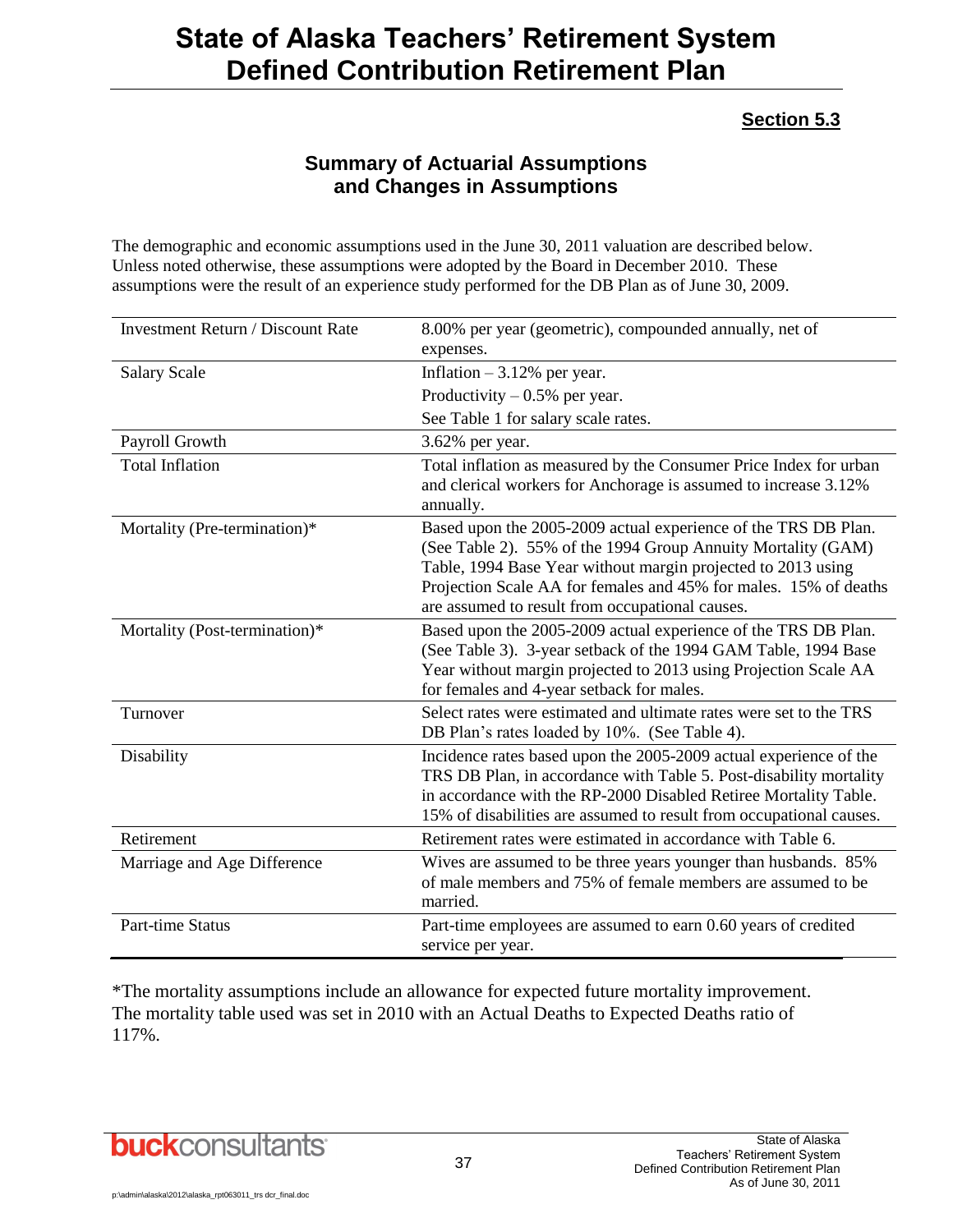### **Section 5.3**

### **Summary of Actuarial Assumptions and Changes in Assumptions**

The demographic and economic assumptions used in the June 30, 2011 valuation are described below. Unless noted otherwise, these assumptions were adopted by the Board in December 2010. These assumptions were the result of an experience study performed for the DB Plan as of June 30, 2009.

| <b>Investment Return / Discount Rate</b> | 8.00% per year (geometric), compounded annually, net of<br>expenses.                                                                                                                                                                                                                                                  |
|------------------------------------------|-----------------------------------------------------------------------------------------------------------------------------------------------------------------------------------------------------------------------------------------------------------------------------------------------------------------------|
| <b>Salary Scale</b>                      | Inflation $-3.12%$ per year.                                                                                                                                                                                                                                                                                          |
|                                          | Productivity $-0.5%$ per year.                                                                                                                                                                                                                                                                                        |
|                                          | See Table 1 for salary scale rates.                                                                                                                                                                                                                                                                                   |
| Payroll Growth                           | 3.62% per year.                                                                                                                                                                                                                                                                                                       |
| <b>Total Inflation</b>                   | Total inflation as measured by the Consumer Price Index for urban<br>and clerical workers for Anchorage is assumed to increase 3.12%<br>annually.                                                                                                                                                                     |
| Mortality (Pre-termination)*             | Based upon the 2005-2009 actual experience of the TRS DB Plan.<br>(See Table 2). 55% of the 1994 Group Annuity Mortality (GAM)<br>Table, 1994 Base Year without margin projected to 2013 using<br>Projection Scale AA for females and 45% for males. 15% of deaths<br>are assumed to result from occupational causes. |
| Mortality (Post-termination)*            | Based upon the 2005-2009 actual experience of the TRS DB Plan.<br>(See Table 3). 3-year setback of the 1994 GAM Table, 1994 Base<br>Year without margin projected to 2013 using Projection Scale AA<br>for females and 4-year setback for males.                                                                      |
| Turnover                                 | Select rates were estimated and ultimate rates were set to the TRS<br>DB Plan's rates loaded by 10%. (See Table 4).                                                                                                                                                                                                   |
| Disability                               | Incidence rates based upon the 2005-2009 actual experience of the<br>TRS DB Plan, in accordance with Table 5. Post-disability mortality<br>in accordance with the RP-2000 Disabled Retiree Mortality Table.<br>15% of disabilities are assumed to result from occupational causes.                                    |
| Retirement                               | Retirement rates were estimated in accordance with Table 6.                                                                                                                                                                                                                                                           |
| Marriage and Age Difference              | Wives are assumed to be three years younger than husbands. 85%<br>of male members and 75% of female members are assumed to be<br>married.                                                                                                                                                                             |
| <b>Part-time Status</b>                  | Part-time employees are assumed to earn 0.60 years of credited<br>service per year.                                                                                                                                                                                                                                   |

\*The mortality assumptions include an allowance for expected future mortality improvement. The mortality table used was set in 2010 with an Actual Deaths to Expected Deaths ratio of 117%.

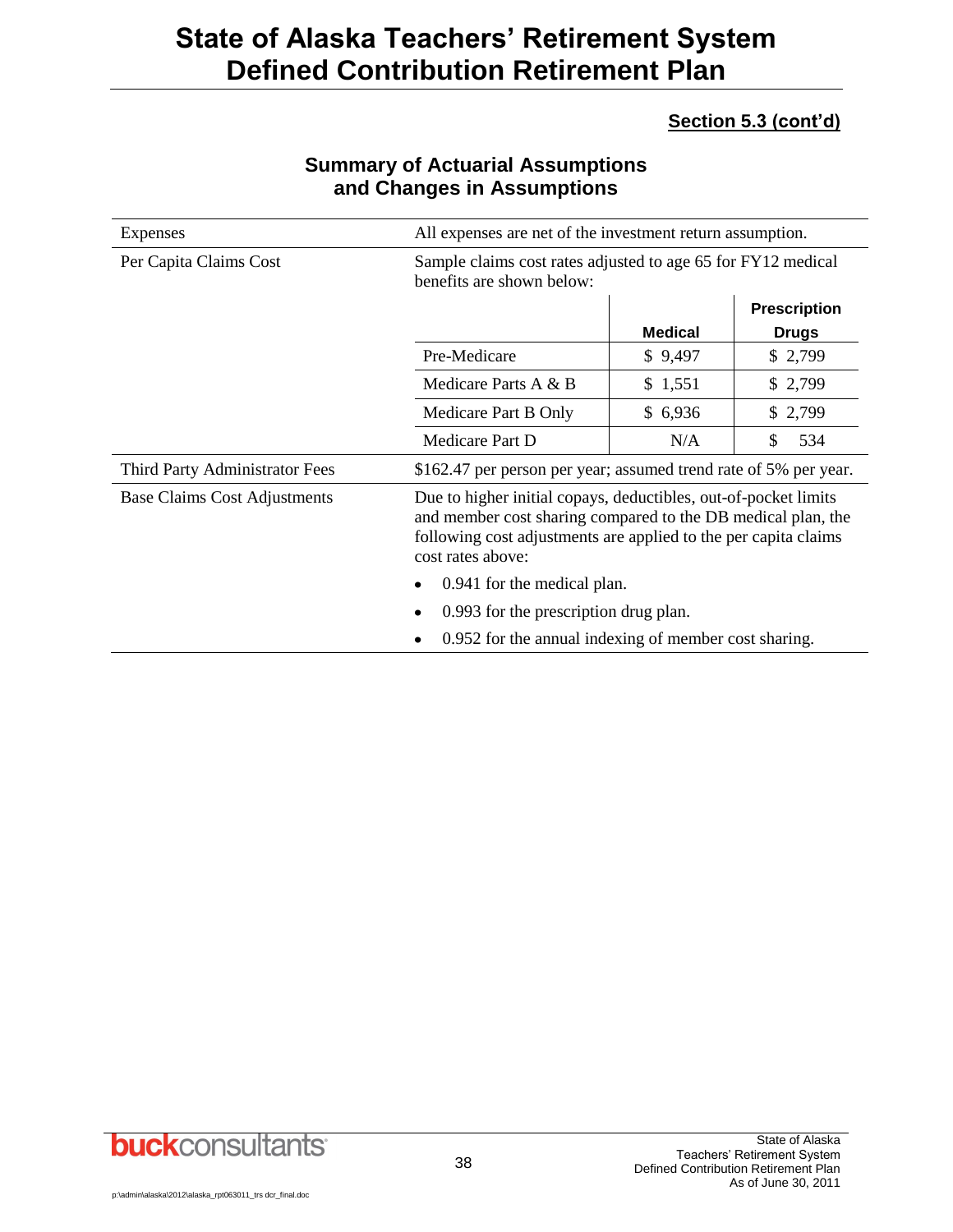### **Section 5.3 (cont'd)**

| <b>Expenses</b>                     | All expenses are net of the investment return assumption.                                                                                                                                                               |                |                     |
|-------------------------------------|-------------------------------------------------------------------------------------------------------------------------------------------------------------------------------------------------------------------------|----------------|---------------------|
| Per Capita Claims Cost              | Sample claims cost rates adjusted to age 65 for FY12 medical<br>benefits are shown below:                                                                                                                               |                |                     |
|                                     |                                                                                                                                                                                                                         |                | <b>Prescription</b> |
|                                     |                                                                                                                                                                                                                         | <b>Medical</b> | <b>Drugs</b>        |
|                                     | Pre-Medicare                                                                                                                                                                                                            | \$9,497        | \$2,799             |
|                                     | Medicare Parts A & B                                                                                                                                                                                                    | \$1,551        | \$2,799             |
|                                     | Medicare Part B Only                                                                                                                                                                                                    | \$6,936        | \$2,799             |
|                                     | Medicare Part D                                                                                                                                                                                                         | N/A            | 534<br>S            |
| Third Party Administrator Fees      | \$162.47 per person per year; assumed trend rate of 5% per year.                                                                                                                                                        |                |                     |
| <b>Base Claims Cost Adjustments</b> | Due to higher initial copays, deductibles, out-of-pocket limits<br>and member cost sharing compared to the DB medical plan, the<br>following cost adjustments are applied to the per capita claims<br>cost rates above: |                |                     |
|                                     | 0.941 for the medical plan.                                                                                                                                                                                             |                |                     |
|                                     | 0.993 for the prescription drug plan.                                                                                                                                                                                   |                |                     |
|                                     | 0.952 for the annual indexing of member cost sharing.<br>٠                                                                                                                                                              |                |                     |

### **Summary of Actuarial Assumptions and Changes in Assumptions**

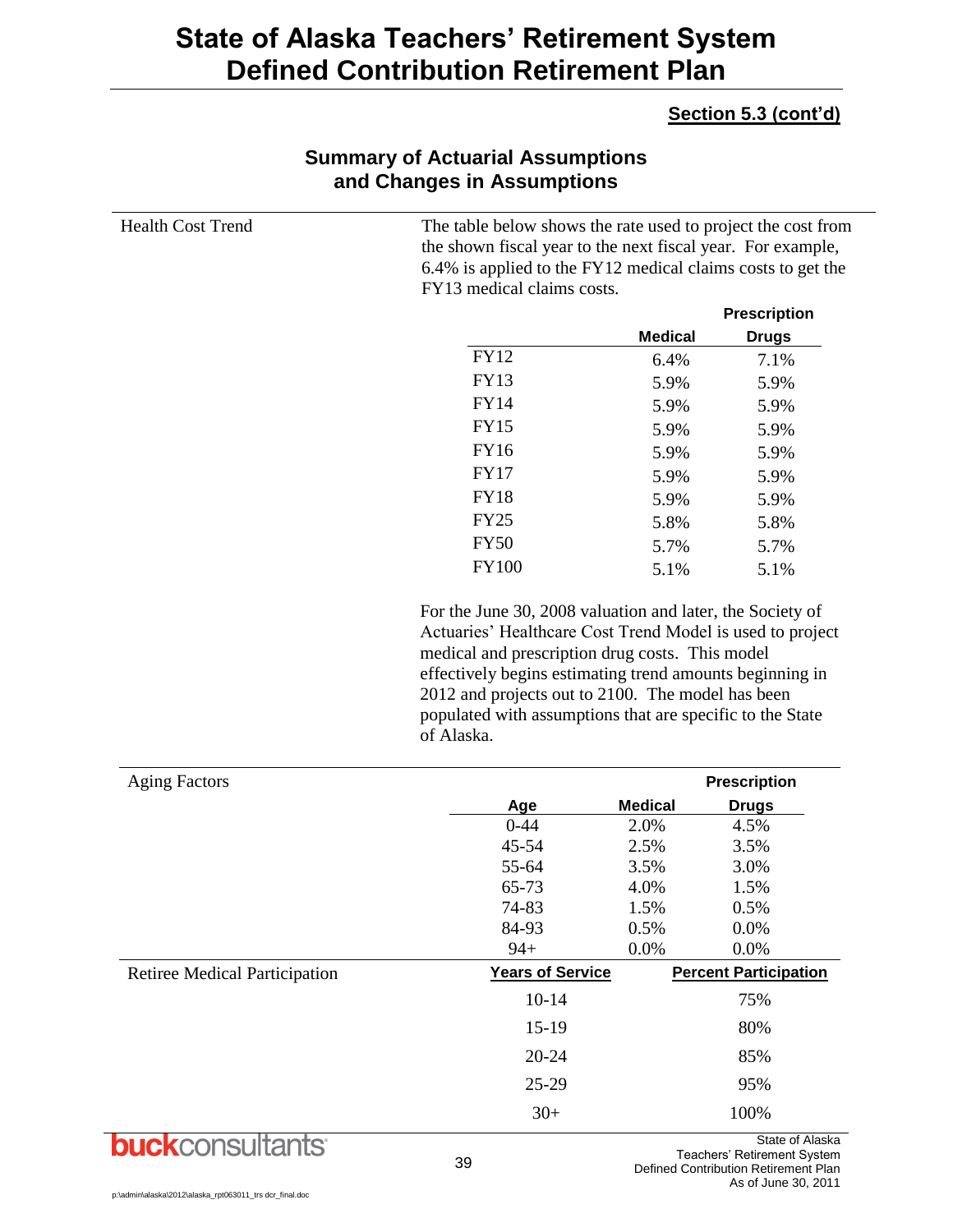### **Section 5.3 (cont'd)**

| <b>Health Cost Trend</b>             | The table below shows the rate used to project the cost from<br>the shown fiscal year to the next fiscal year. For example,<br>6.4% is applied to the FY12 medical claims costs to get the<br>FY13 medical claims costs. |                |                              |
|--------------------------------------|--------------------------------------------------------------------------------------------------------------------------------------------------------------------------------------------------------------------------|----------------|------------------------------|
|                                      |                                                                                                                                                                                                                          |                | <b>Prescription</b>          |
|                                      |                                                                                                                                                                                                                          | <b>Medical</b> | <b>Drugs</b>                 |
|                                      | <b>FY12</b>                                                                                                                                                                                                              | 6.4%           | 7.1%                         |
|                                      | <b>FY13</b>                                                                                                                                                                                                              | 5.9%           | 5.9%                         |
|                                      | <b>FY14</b>                                                                                                                                                                                                              | 5.9%           | 5.9%                         |
|                                      | <b>FY15</b>                                                                                                                                                                                                              | 5.9%           | 5.9%                         |
|                                      | <b>FY16</b>                                                                                                                                                                                                              | 5.9%           | 5.9%                         |
|                                      | <b>FY17</b>                                                                                                                                                                                                              | 5.9%           | 5.9%                         |
|                                      | <b>FY18</b>                                                                                                                                                                                                              | 5.9%           | 5.9%                         |
|                                      | <b>FY25</b>                                                                                                                                                                                                              | 5.8%           | 5.8%                         |
|                                      | <b>FY50</b>                                                                                                                                                                                                              | 5.7%           | 5.7%                         |
|                                      | <b>FY100</b>                                                                                                                                                                                                             | 5.1%           | 5.1%                         |
| <b>Aging Factors</b>                 | populated with assumptions that are specific to the State<br>of Alaska.                                                                                                                                                  |                | <b>Prescription</b>          |
|                                      | Age                                                                                                                                                                                                                      | <b>Medical</b> | <b>Drugs</b>                 |
|                                      | $0 - 44$                                                                                                                                                                                                                 | 2.0%           | 4.5%                         |
|                                      | 45-54                                                                                                                                                                                                                    | 2.5%           | 3.5%                         |
|                                      | 55-64                                                                                                                                                                                                                    | 3.5%           | 3.0%                         |
|                                      | 65-73                                                                                                                                                                                                                    | 4.0%           | 1.5%                         |
|                                      | 74-83                                                                                                                                                                                                                    | 1.5%           | 0.5%                         |
|                                      | 84-93                                                                                                                                                                                                                    | 0.5%           | 0.0%                         |
|                                      | $94+$                                                                                                                                                                                                                    | 0.0%           | 0.0%                         |
| <b>Retiree Medical Participation</b> | <b>Years of Service</b>                                                                                                                                                                                                  |                | <b>Percent Participation</b> |
|                                      | $10-14$                                                                                                                                                                                                                  |                | 75%                          |
|                                      | $15-19$                                                                                                                                                                                                                  |                | 80%                          |
|                                      | $20 - 24$                                                                                                                                                                                                                |                | 85%                          |
|                                      | $25-29$                                                                                                                                                                                                                  |                | 95%                          |
|                                      | $30+$                                                                                                                                                                                                                    |                | 100%                         |

### **Summary of Actuarial Assumptions and Changes in Assumptions**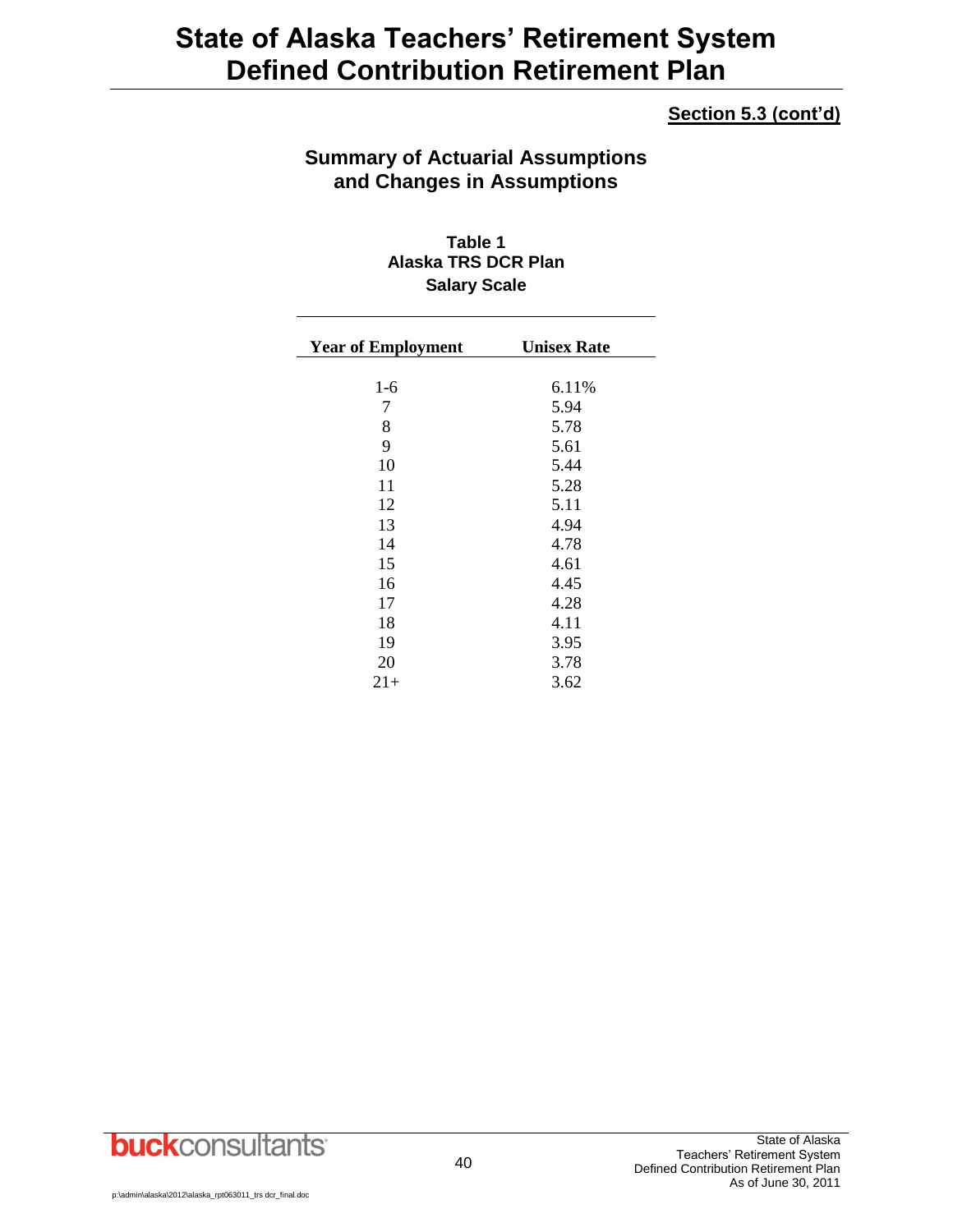### **Section 5.3 (cont'd)**

### **Summary of Actuarial Assumptions and Changes in Assumptions**

**Table 1 Alaska TRS DCR Plan Salary Scale**

| <b>Year of Employment</b> | <b>Unisex Rate</b> |
|---------------------------|--------------------|
|                           |                    |
| $1-6$                     | 6.11%              |
| 7                         | 5.94               |
| 8                         | 5.78               |
| 9                         | 5.61               |
| 10                        | 5.44               |
| 11                        | 5.28               |
| 12                        | 5.11               |
| 13                        | 4.94               |
| 14                        | 4.78               |
| 15                        | 4.61               |
| 16                        | 4.45               |
| 17                        | 4.28               |
| 18                        | 4.11               |
| 19                        | 3.95               |
| 20                        | 3.78               |
| $21+$                     | 3.62               |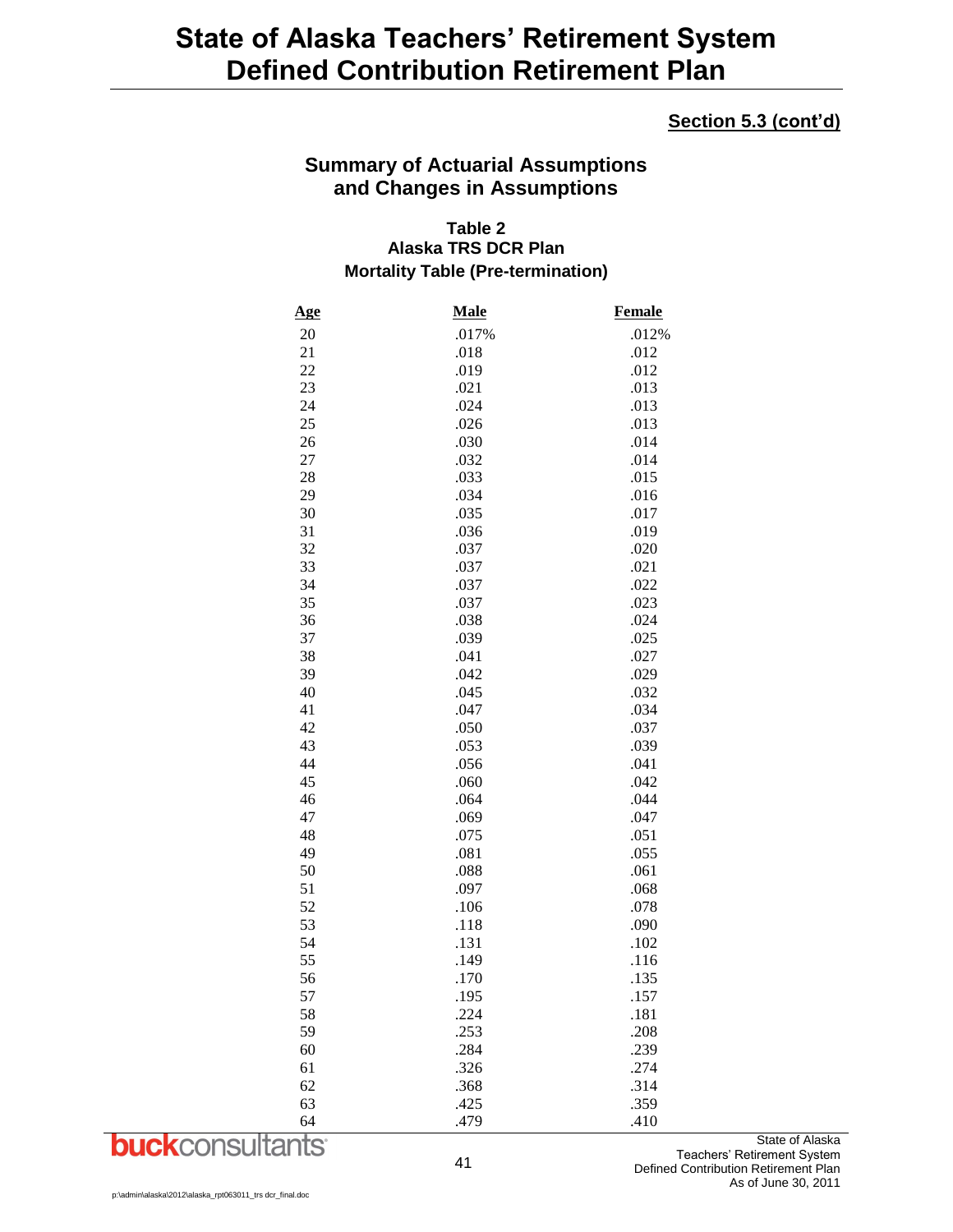#### **Section 5.3 (cont'd)**

### **Summary of Actuarial Assumptions and Changes in Assumptions**

#### **Table 2 Alaska TRS DCR Plan Mortality Table (Pre-termination)**

| <u>Age</u> | <b>Male</b> | <b>Female</b> |
|------------|-------------|---------------|
| 20         | .017%       | .012%         |
| 21         | .018        | .012          |
| 22         | .019        | .012          |
| 23         | .021        | .013          |
| 24         | .024        | .013          |
| 25         | .026        | .013          |
| 26         | .030        | .014          |
| 27         | .032        | .014          |
| 28         | .033        | .015          |
| 29         | .034        | .016          |
| 30         | .035        | .017          |
| 31         | .036        | .019          |
| 32         | .037        | .020          |
| 33         | .037        | .021          |
| 34         | .037        | .022          |
| 35         | .037        | .023          |
| 36         | .038        | .024          |
| 37         | .039        | .025          |
| 38         | .041        | .027          |
| 39         | .042        | .029          |
| 40         | .045        | .032          |
| 41         | .047        | .034          |
| 42         | .050        | .037          |
| 43         | .053        | .039          |
| 44         | .056        | .041          |
| 45         | .060        | .042          |
| 46         | .064        | .044          |
| 47         | .069        | .047          |
| 48         | .075        | .051          |
| 49         | .081        | .055          |
| 50         | .088        | .061          |
| 51         | .097        | .068          |
| 52         | .106        | .078          |
| 53         | .118        | .090          |
| 54         | .131        | .102          |
| 55         | .149        | .116          |
| 56         | .170        | .135          |
| 57         | .195        | .157          |
| 58         | .224        | .181          |
| 59         | .253        | .208          |
| 60         | .284        | .239          |
| 61         | .326        | .274          |
| 62         | .368        | .314          |
| 63         | .425        | .359          |
| 64         | .479        | .410          |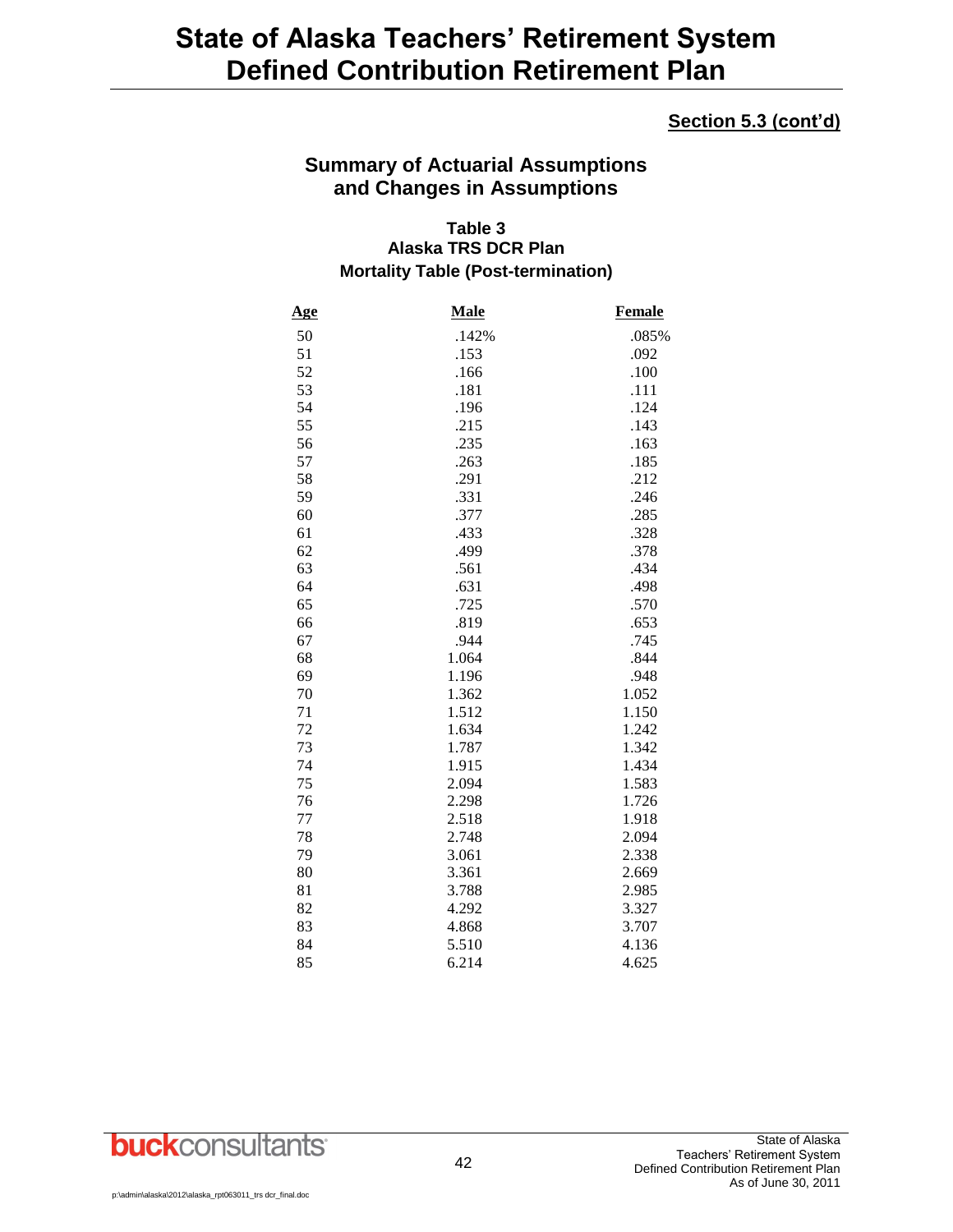#### **Section 5.3 (cont'd)**

### **Summary of Actuarial Assumptions and Changes in Assumptions**

#### **Table 3 Alaska TRS DCR Plan Mortality Table (Post-termination)**

| <u>Age</u> | Male  | <b>Female</b> |
|------------|-------|---------------|
| 50         | .142% | .085%         |
| 51         | .153  | .092          |
| 52         | .166  | .100          |
| 53         | .181  | .111          |
| 54         | .196  | .124          |
| 55         | .215  | .143          |
| 56         | .235  | .163          |
| 57         | .263  | .185          |
| 58         | .291  | .212          |
| 59         | .331  | .246          |
| 60         | .377  | .285          |
| 61         | .433  | .328          |
| 62         | .499  | .378          |
| 63         | .561  | .434          |
| 64         | .631  | .498          |
| 65         | .725  | .570          |
| 66         | .819  | .653          |
| 67         | .944  | .745          |
| 68         | 1.064 | .844          |
| 69         | 1.196 | .948          |
| 70         | 1.362 | 1.052         |
| 71         | 1.512 | 1.150         |
| 72         | 1.634 | 1.242         |
| 73         | 1.787 | 1.342         |
| 74         | 1.915 | 1.434         |
| 75         | 2.094 | 1.583         |
| 76         | 2.298 | 1.726         |
| 77         | 2.518 | 1.918         |
| 78         | 2.748 | 2.094         |
| 79         | 3.061 | 2.338         |
| 80         | 3.361 | 2.669         |
| 81         | 3.788 | 2.985         |
| 82         | 4.292 | 3.327         |
| 83         | 4.868 | 3.707         |
| 84         | 5.510 | 4.136         |
| 85         | 6.214 | 4.625         |

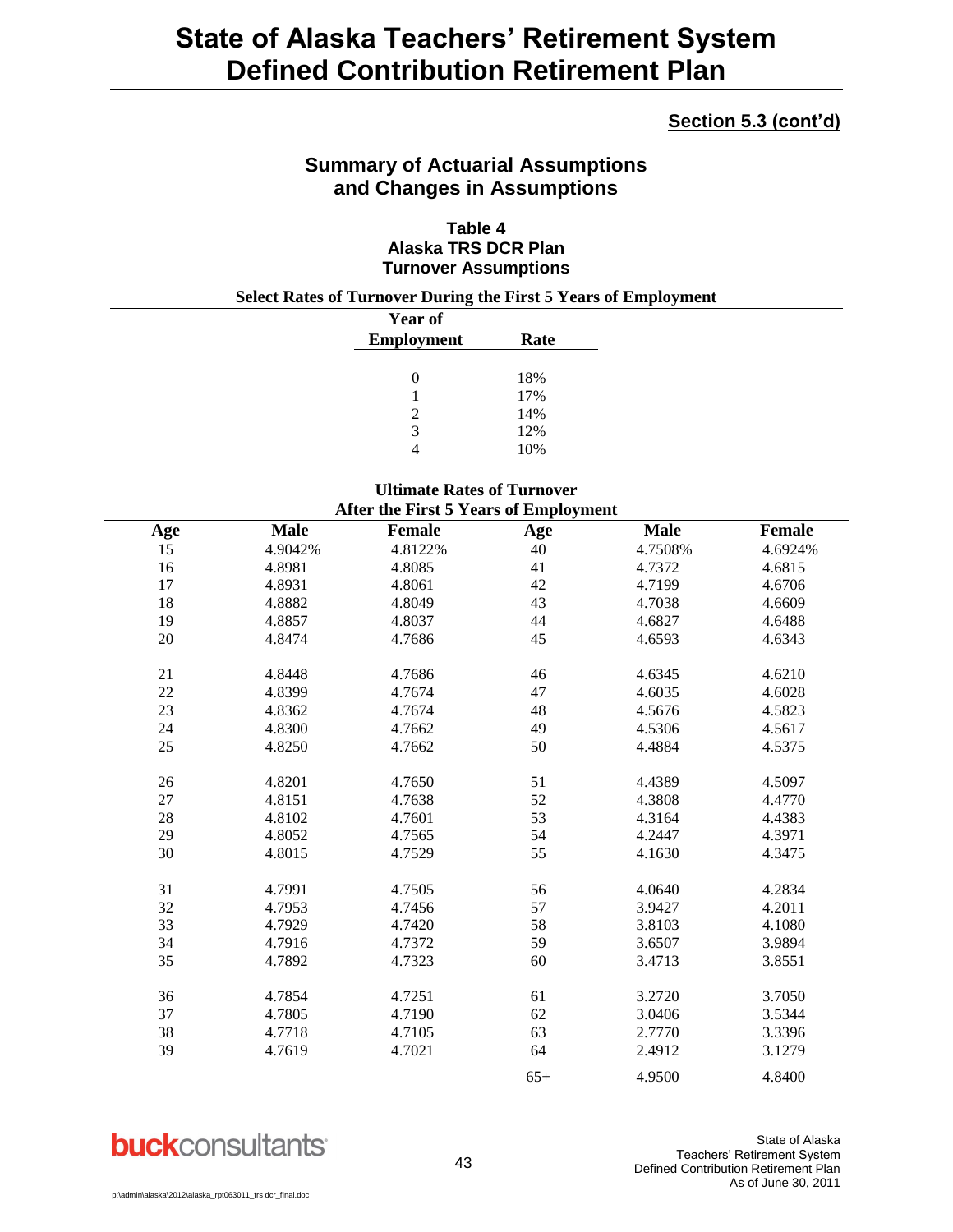#### **Section 5.3 (cont'd)**

### **Summary of Actuarial Assumptions and Changes in Assumptions**

#### **Table 4 Alaska TRS DCR Plan Turnover Assumptions**

#### **Select Rates of Turnover During the First 5 Years of Employment**

| Year of           |      |
|-------------------|------|
| <b>Employment</b> | Rate |
|                   |      |
| $\Omega$          | 18%  |
|                   | 17%  |
| $\mathcal{L}$     | 14%  |
| 3                 | 12%  |
|                   | 10%  |

#### **Ultimate Rates of Turnover After the First 5 Years of Employment**

|          |             | After the $\mathbf{r}$ h st $\mathbf{v}$ is easy of Employment |        |             |                  |
|----------|-------------|----------------------------------------------------------------|--------|-------------|------------------|
| Age      | <b>Male</b> | <b>Female</b>                                                  | Age    | <b>Male</b> | <b>Female</b>    |
| 15       | 4.9042%     | 4.8122%                                                        | 40     | 4.7508%     | 4.6924%          |
| 16       | 4.8981      | 4.8085                                                         | 41     | 4.7372      | 4.6815           |
| 17       | 4.8931      | 4.8061                                                         | $42\,$ | 4.7199      | 4.6706           |
| 18       | 4.8882      | 4.8049                                                         | 43     | 4.7038      | 4.6609           |
| 19       | 4.8857      | 4.8037                                                         | 44     | 4.6827      | 4.6488           |
| 20       | 4.8474      | 4.7686                                                         | 45     | 4.6593      | 4.6343           |
| 21       | 4.8448      | 4.7686                                                         | 46     | 4.6345      | 4.6210           |
| 22       | 4.8399      | 4.7674                                                         | 47     | 4.6035      | 4.6028           |
| 23       | 4.8362      | 4.7674                                                         | 48     | 4.5676      | 4.5823           |
|          |             | 4.7662                                                         | 49     |             |                  |
| 24<br>25 | 4.8300      |                                                                | 50     | 4.5306      | 4.5617<br>4.5375 |
|          | 4.8250      | 4.7662                                                         |        | 4.4884      |                  |
| 26       | 4.8201      | 4.7650                                                         | 51     | 4.4389      | 4.5097           |
| 27       | 4.8151      | 4.7638                                                         | 52     | 4.3808      | 4.4770           |
| 28       | 4.8102      | 4.7601                                                         | 53     | 4.3164      | 4.4383           |
| 29       | 4.8052      | 4.7565                                                         | 54     | 4.2447      | 4.3971           |
| 30       | 4.8015      | 4.7529                                                         | 55     | 4.1630      | 4.3475           |
|          |             |                                                                |        |             |                  |
| 31       | 4.7991      | 4.7505                                                         | 56     | 4.0640      | 4.2834           |
| 32       | 4.7953      | 4.7456                                                         | 57     | 3.9427      | 4.2011           |
| 33       | 4.7929      | 4.7420                                                         | 58     | 3.8103      | 4.1080           |
| 34       | 4.7916      | 4.7372                                                         | 59     | 3.6507      | 3.9894           |
| 35       | 4.7892      | 4.7323                                                         | 60     | 3.4713      | 3.8551           |
| 36       | 4.7854      | 4.7251                                                         | 61     | 3.2720      | 3.7050           |
| 37       | 4.7805      | 4.7190                                                         | 62     | 3.0406      | 3.5344           |
| 38       | 4.7718      | 4.7105                                                         | 63     | 2.7770      | 3.3396           |
| 39       | 4.7619      | 4.7021                                                         | 64     | 2.4912      | 3.1279           |
|          |             |                                                                | $65+$  | 4.9500      | 4.8400           |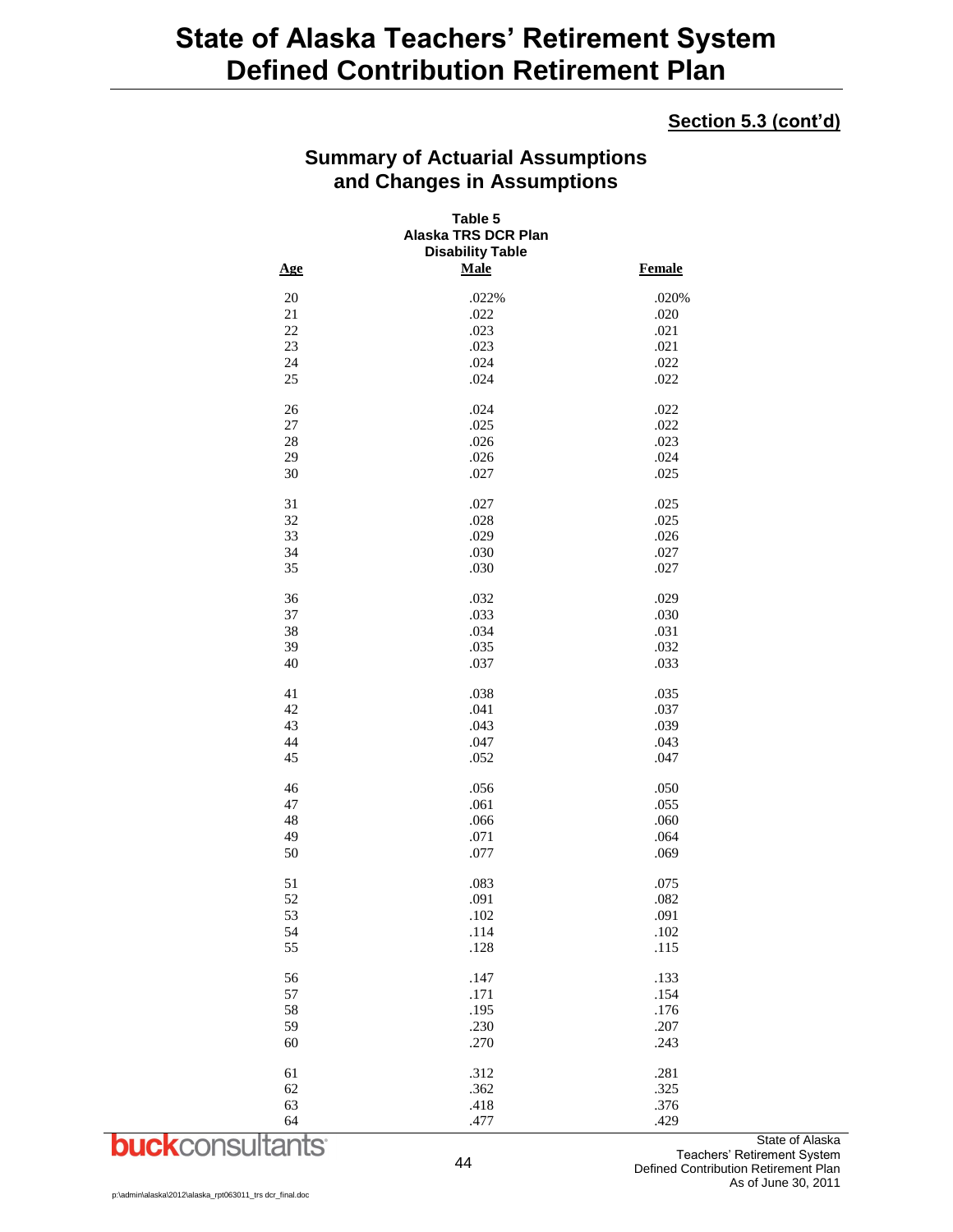#### **Section 5.3 (cont'd)**

| <b>Summary of Actuarial Assumptions</b> |
|-----------------------------------------|
| and Changes in Assumptions              |

|        | Table 5<br>Alaska TRS DCR Plan<br><b>Disability Table</b> |               |  |
|--------|-----------------------------------------------------------|---------------|--|
| Age    | <b>Male</b>                                               | <b>Female</b> |  |
| 20     | .022%                                                     | .020%         |  |
| 21     | .022                                                      | .020          |  |
| 22     | .023                                                      | .021          |  |
| 23     | .023                                                      | .021          |  |
| 24     | .024                                                      | .022          |  |
| 25     | .024                                                      | .022          |  |
| 26     | .024                                                      | .022          |  |
| $27\,$ | .025                                                      | .022          |  |
| 28     | .026                                                      | .023          |  |
| 29     | .026                                                      | .024          |  |
| 30     | .027                                                      | .025          |  |
| 31     | .027                                                      | .025          |  |
| 32     | .028                                                      | .025          |  |
| 33     | .029                                                      | .026          |  |
| 34     | .030                                                      | .027          |  |
| 35     | .030                                                      | .027          |  |
| 36     | .032                                                      | .029          |  |
| 37     | .033                                                      | .030          |  |
| 38     | .034                                                      | .031          |  |
| 39     | .035                                                      | .032          |  |
| 40     | .037                                                      | .033          |  |
| 41     | .038                                                      | .035          |  |
| 42     | .041                                                      | .037          |  |
| 43     | .043                                                      | .039          |  |
| 44     | .047                                                      | .043          |  |
| 45     | .052                                                      | .047          |  |
| 46     | .056                                                      | .050          |  |
| 47     | .061                                                      | .055          |  |
| 48     | .066                                                      | .060          |  |
| 49     | .071                                                      | .064          |  |
| 50     | .077                                                      | .069          |  |
| 51     | .083                                                      | .075          |  |
| 52     | .091                                                      | .082          |  |
| 53     | .102                                                      | .091          |  |
| 54     | .114                                                      | .102          |  |
| 55     | .128                                                      | .115          |  |
| 56     | .147                                                      | .133          |  |
| 57     | .171                                                      | .154          |  |
| 58     | .195                                                      | .176          |  |
| 59     | .230                                                      | .207          |  |
| 60     | .270                                                      | .243          |  |
| 61     | .312                                                      | .281          |  |
| 62     | .362                                                      | .325          |  |
| 63     | .418                                                      | .376          |  |
| 64     | .477                                                      | .429          |  |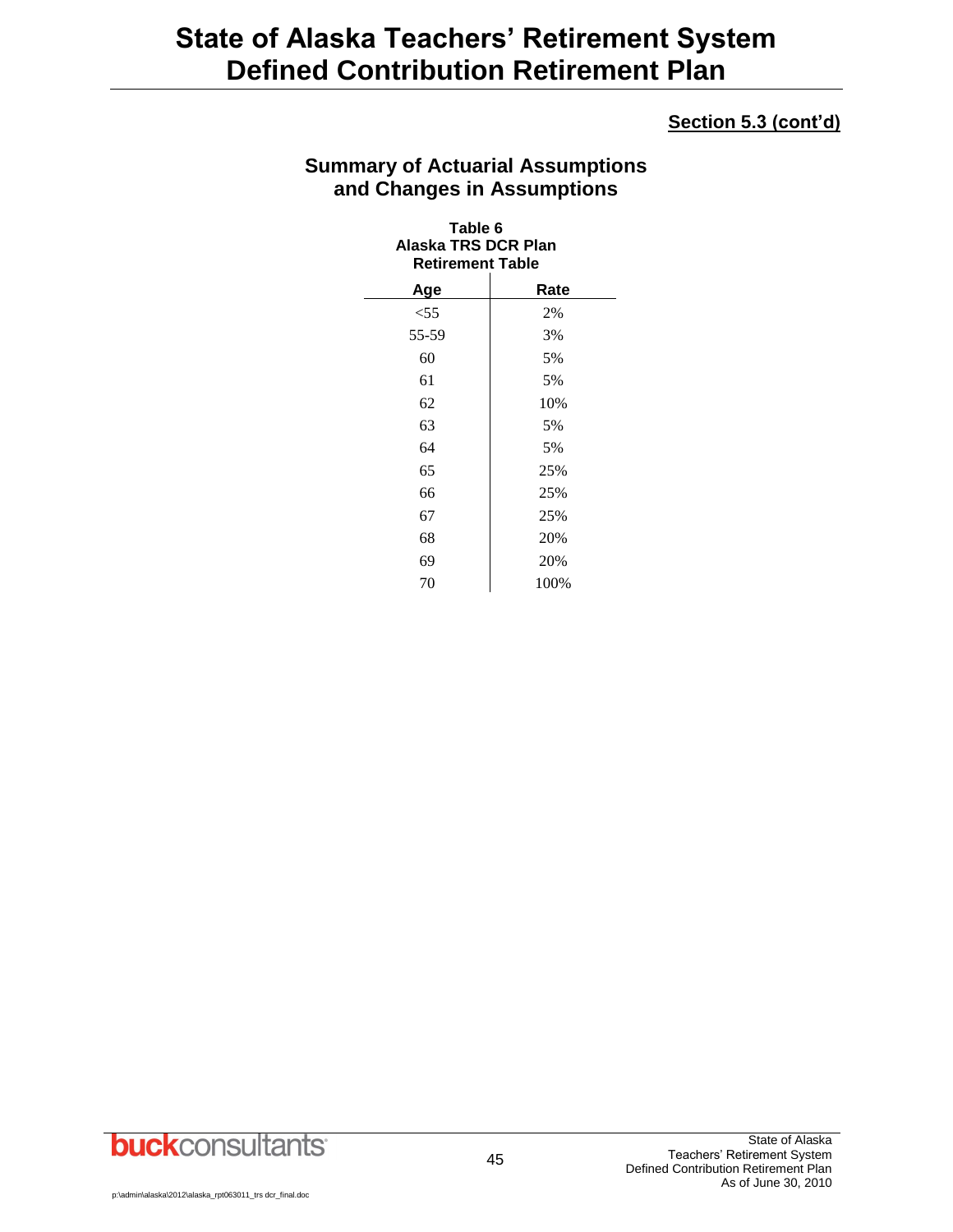### **Section 5.3 (cont'd)**

### **Summary of Actuarial Assumptions and Changes in Assumptions**

| Table 6<br>Alaska TRS DCR Plan<br><b>Retirement Table</b> |      |
|-----------------------------------------------------------|------|
| Age                                                       | Rate |
| $<$ 55                                                    | 2%   |
| 55-59                                                     | 3%   |
| 60                                                        | 5%   |
| 61                                                        | 5%   |
| 62                                                        | 10%  |
| 63                                                        | 5%   |
| 64                                                        | 5%   |
| 65                                                        | 25%  |
| 66                                                        | 25%  |
| 67                                                        | 25%  |
| 68                                                        | 20%  |
| 69                                                        | 20%  |
| 70                                                        | 100% |

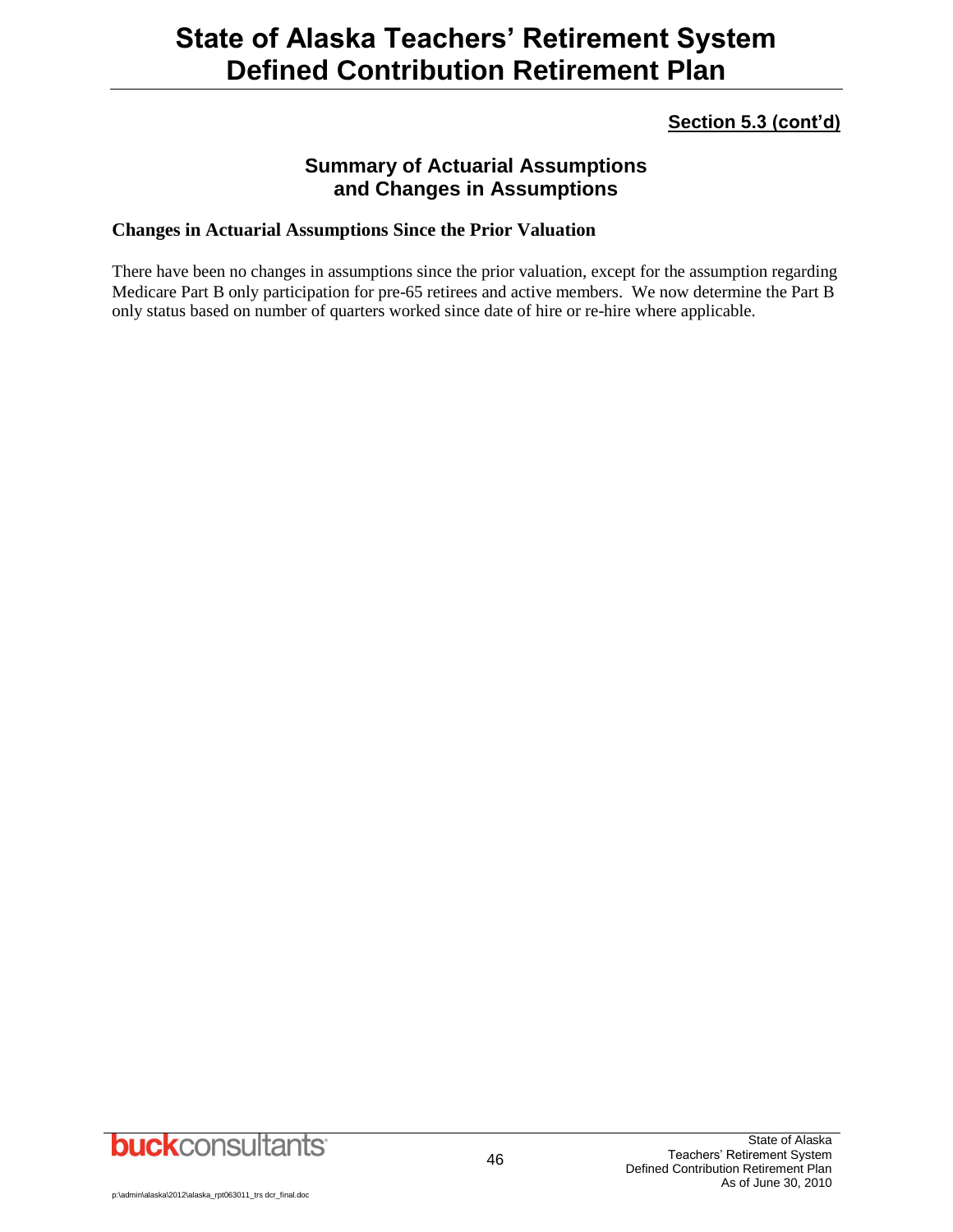### **Section 5.3 (cont'd)**

### **Summary of Actuarial Assumptions and Changes in Assumptions**

#### **Changes in Actuarial Assumptions Since the Prior Valuation**

There have been no changes in assumptions since the prior valuation, except for the assumption regarding Medicare Part B only participation for pre-65 retirees and active members. We now determine the Part B only status based on number of quarters worked since date of hire or re-hire where applicable.